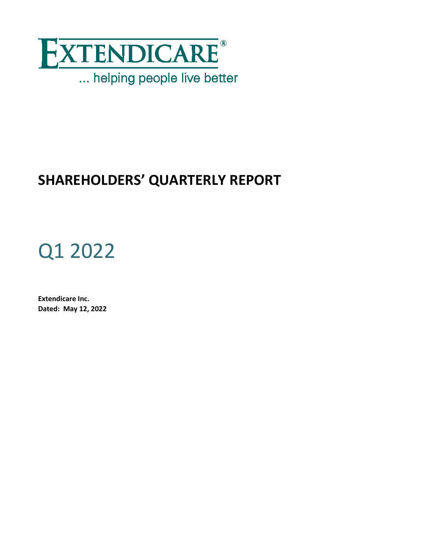

# **SHAREHOLDERS' QUARTERLY REPORT**

# Q1 2022

**Extendicare Inc. Dated: May 12, 2022**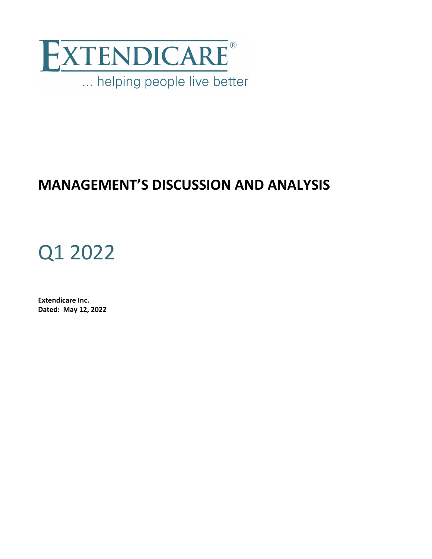

# **MANAGEMENT'S DISCUSSION AND ANALYSIS**

# Q1 2022

**Extendicare Inc. Dated: May 12, 2022**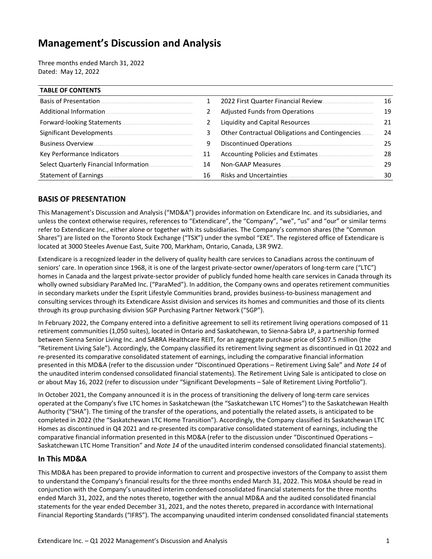# **Management's Discussion and Analysis**

Three months ended March 31, 2022 Dated: May 12, 2022

| <b>TABLE OF CONTENTS</b>   |              |                                                  |    |
|----------------------------|--------------|--------------------------------------------------|----|
|                            | $\mathbf{1}$ | 2022 First Quarter Financial Review.             | 16 |
|                            |              |                                                  | 19 |
| Forward-looking Statements | 2            |                                                  | 21 |
|                            | 3            | Other Contractual Obligations and Contingencies. | 24 |
|                            | 9            |                                                  | 25 |
|                            | 11           |                                                  | 28 |
|                            | 14           |                                                  | 29 |
|                            | 16           |                                                  | 30 |

# **BASIS OF PRESENTATION**

This Management's Discussion and Analysis ("MD&A") provides information on Extendicare Inc. and its subsidiaries, and unless the context otherwise requires, references to "Extendicare", the "Company", "we", "us" and "our" or similar terms refer to Extendicare Inc., either alone or together with its subsidiaries. The Company's common shares (the "Common Shares") are listed on the Toronto Stock Exchange ("TSX") under the symbol "EXE". The registered office of Extendicare is located at 3000 Steeles Avenue East, Suite 700, Markham, Ontario, Canada, L3R 9W2.

Extendicare is a recognized leader in the delivery of quality health care services to Canadians across the continuum of seniors' care. In operation since 1968, it is one of the largest private-sector owner/operators of long-term care ("LTC") homes in Canada and the largest private-sector provider of publicly funded home health care services in Canada through its wholly owned subsidiary ParaMed Inc. ("ParaMed"). In addition, the Company owns and operates retirement communities in secondary markets under the Esprit Lifestyle Communities brand, provides business-to-business management and consulting services through its Extendicare Assist division and services its homes and communities and those of its clients through its group purchasing division SGP Purchasing Partner Network ("SGP").

In February 2022, the Company entered into a definitive agreement to sell its retirement living operations composed of 11 retirement communities (1,050 suites), located in Ontario and Saskatchewan, to Sienna-Sabra LP, a partnership formed between Sienna Senior Living Inc. and SABRA Healthcare REIT, for an aggregate purchase price of \$307.5 million (the "Retirement Living Sale"). Accordingly, the Company classified its retirement living segment as discontinued in Q1 2022 and re-presented its comparative consolidated statement of earnings, including the comparative financial information presented in this MD&A (refer to the discussion under "Discontinued Operations - Retirement Living Sale" and *Note 14* of the unaudited interim condensed consolidated financial statements). The Retirement Living Sale is anticipated to close on or about May 16, 2022 (refer to discussion under "Significant Developments - Sale of Retirement Living Portfolio").

In October 2021, the Company announced it is in the process of transitioning the delivery of long-term care services operated at the Company's five LTC homes in Saskatchewan (the "Saskatchewan LTC Homes") to the Saskatchewan Health Authority ("SHA"). The timing of the transfer of the operations, and potentially the related assets, is anticipated to be completed in 2022 (the "Saskatchewan LTC Home Transition"). Accordingly, the Company classified its Saskatchewan LTC Homes as discontinued in Q4 2021 and re-presented its comparative consolidated statement of earnings, including the comparative financial information presented in this MD&A (refer to the discussion under "Discontinued Operations – Saskatchewan LTC Home Transition" and *Note 14* of the unaudited interim condensed consolidated financial statements).

# **In This MD&A**

This MD&A has been prepared to provide information to current and prospective investors of the Company to assist them to understand the Company's financial results for the three months ended March 31, 2022. This MD&A should be read in conjunction with the Company's unaudited interim condensed consolidated financial statements for the three months ended March 31, 2022, and the notes thereto, together with the annual MD&A and the audited consolidated financial statements for the year ended December 31, 2021, and the notes thereto, prepared in accordance with International Financial Reporting Standards ("IFRS"). The accompanying unaudited interim condensed consolidated financial statements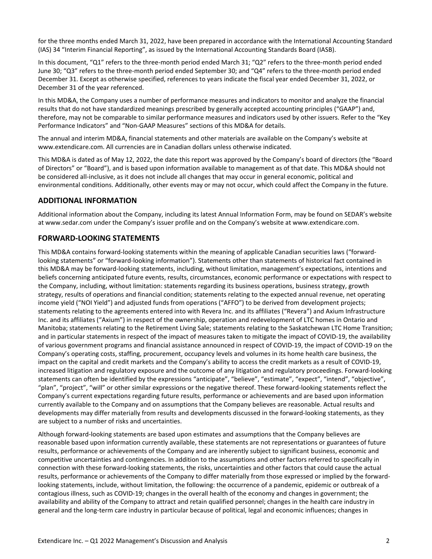<span id="page-5-0"></span>for the three months ended March 31, 2022, have been prepared in accordance with the International Accounting Standard (IAS) 34 "Interim Financial Reporting", as issued by the International Accounting Standards Board (IASB).

In this document, "Q1" refers to the three-month period ended March 31; "Q2" refers to the three-month period ended June 30; "Q3" refers to the three-month period ended September 30; and "Q4" refers to the three-month period ended December 31. Except as otherwise specified, references to years indicate the fiscal year ended December 31, 2022, or December 31 of the year referenced.

In this MD&A, the Company uses a number of performance measures and indicators to monitor and analyze the financial results that do not have standardized meanings prescribed by generally accepted accounting principles ("GAAP") and, therefore, may not be comparable to similar performance measures and indicators used by other issuers. Refer to the "Key Performance Indicators" and "Non-GAAP Measures" sections of this MD&A for details.

The annual and interim MD&A, financial statements and other materials are available on the Company's website at www.extendicare.com. All currencies are in Canadian dollars unless otherwise indicated.

This MD&A is dated as of May 12, 2022, the date this report was approved by the Company's board of directors (the "Board of Directors" or "Board"), and is based upon information available to management as of that date. This MD&A should not be considered all-inclusive, as it does not include all changes that may occur in general economic, political and environmental conditions. Additionally, other events may or may not occur, which could affect the Company in the future.

# **ADDITIONAL INFORMATION**

Additional information about the Company, including its latest Annual Information Form, may be found on SEDAR's website at www.sedar.com under the Company's issuer profile and on the Company's website at www.extendicare.com.

# **FORWARD-LOOKING STATEMENTS**

This MD&A contains forward-looking statements within the meaning of applicable Canadian securities laws ("forwardlooking statements" or "forward-looking information"). Statements other than statements of historical fact contained in this MD&A may be forward-looking statements, including, without limitation, management's expectations, intentions and beliefs concerning anticipated future events, results, circumstances, economic performance or expectations with respect to the Company, including, without limitation: statements regarding its business operations, business strategy, growth strategy, results of operations and financial condition; statements relating to the expected annual revenue, net operating income yield ("NOI Yield") and adjusted funds from operations ("AFFO") to be derived from development projects; statements relating to the agreements entered into with Revera Inc. and its affiliates ("Revera") and Axium Infrastructure Inc. and its affiliates ("Axium") in respect of the ownership, operation and redevelopment of LTC homes in Ontario and Manitoba; statements relating to the Retirement Living Sale; statements relating to the Saskatchewan LTC Home Transition; and in particular statements in respect of the impact of measures taken to mitigate the impact of COVID-19, the availability of various government programs and financial assistance announced in respect of COVID-19, the impact of COVID-19 on the Company's operating costs, staffing, procurement, occupancy levels and volumes in its home health care business, the impact on the capital and credit markets and the Company's ability to access the credit markets as a result of COVID-19, increased litigation and regulatory exposure and the outcome of any litigation and regulatory proceedings. Forward-looking statements can often be identified by the expressions "anticipate", "believe", "estimate", "expect", "intend", "objective", "plan", "project", "will" or other similar expressions or the negative thereof. These forward-looking statements reflect the Company's current expectations regarding future results, performance or achievements and are based upon information currently available to the Company and on assumptions that the Company believes are reasonable. Actual results and developments may differ materially from results and developments discussed in the forward-looking statements, as they are subject to a number of risks and uncertainties.

Although forward-looking statements are based upon estimates and assumptions that the Company believes are reasonable based upon information currently available, these statements are not representations or guarantees of future results, performance or achievements of the Company and are inherently subject to significant business, economic and competitive uncertainties and contingencies. In addition to the assumptions and other factors referred to specifically in connection with these forward-looking statements, the risks, uncertainties and other factors that could cause the actual results, performance or achievements of the Company to differ materially from those expressed or implied by the forwardlooking statements, include, without limitation, the following: the occurrence of a pandemic, epidemic or outbreak of a contagious illness, such as COVID-19; changes in the overall health of the economy and changes in government; the availability and ability of the Company to attract and retain qualified personnel; changes in the health care industry in general and the long-term care industry in particular because of political, legal and economic influences; changes in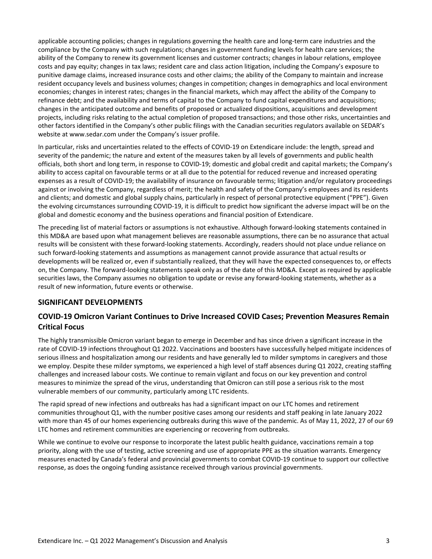<span id="page-6-0"></span>applicable accounting policies; changes in regulations governing the health care and long-term care industries and the compliance by the Company with such regulations; changes in government funding levels for health care services; the ability of the Company to renew its government licenses and customer contracts; changes in labour relations, employee costs and pay equity; changes in tax laws; resident care and class action litigation, including the Company's exposure to punitive damage claims, increased insurance costs and other claims; the ability of the Company to maintain and increase resident occupancy levels and business volumes; changes in competition; changes in demographics and local environment economies; changes in interest rates; changes in the financial markets, which may affect the ability of the Company to refinance debt; and the availability and terms of capital to the Company to fund capital expenditures and acquisitions; changes in the anticipated outcome and benefits of proposed or actualized dispositions, acquisitions and development projects, including risks relating to the actual completion of proposed transactions; and those other risks, uncertainties and other factors identified in the Company's other public filings with the Canadian securities regulators available on SEDAR's website at www.sedar.com under the Company's issuer profile.

In particular, risks and uncertainties related to the effects of COVID-19 on Extendicare include: the length, spread and severity of the pandemic; the nature and extent of the measures taken by all levels of governments and public health officials, both short and long term, in response to COVID-19; domestic and global credit and capital markets; the Company's ability to access capital on favourable terms or at all due to the potential for reduced revenue and increased operating expenses as a result of COVID-19; the availability of insurance on favourable terms; litigation and/or regulatory proceedings against or involving the Company, regardless of merit; the health and safety of the Company's employees and its residents and clients; and domestic and global supply chains, particularly in respect of personal protective equipment ("PPE"). Given the evolving circumstances surrounding COVID-19, it is difficult to predict how significant the adverse impact will be on the global and domestic economy and the business operations and financial position of Extendicare.

The preceding list of material factors or assumptions is not exhaustive. Although forward-looking statements contained in this MD&A are based upon what management believes are reasonable assumptions, there can be no assurance that actual results will be consistent with these forward-looking statements. Accordingly, readers should not place undue reliance on such forward-looking statements and assumptions as management cannot provide assurance that actual results or developments will be realized or, even if substantially realized, that they will have the expected consequences to, or effects on, the Company. The forward-looking statements speak only as of the date of this MD&A. Except as required by applicable securities laws, the Company assumes no obligation to update or revise any forward-looking statements, whether as a result of new information, future events or otherwise.

# **SIGNIFICANT DEVELOPMENTS**

# **COVID-19 Omicron Variant Continues to Drive Increased COVID Cases; Prevention Measures Remain Critical Focus**

The highly transmissible Omicron variant began to emerge in December and has since driven a significant increase in the rate of COVID-19 infections throughout Q1 2022. Vaccinations and boosters have successfully helped mitigate incidences of serious illness and hospitalization among our residents and have generally led to milder symptoms in caregivers and those we employ. Despite these milder symptoms, we experienced a high level of staff absences during Q1 2022, creating staffing challenges and increased labour costs. We continue to remain vigilant and focus on our key prevention and control measures to minimize the spread of the virus, understanding that Omicron can still pose a serious risk to the most vulnerable members of our community, particularly among LTC residents.

The rapid spread of new infections and outbreaks has had a significant impact on our LTC homes and retirement communities throughout Q1, with the number positive cases among our residents and staff peaking in late January 2022 with more than 45 of our homes experiencing outbreaks during this wave of the pandemic. As of May 11, 2022, 27 of our 69 LTC homes and retirement communities are experiencing or recovering from outbreaks.

While we continue to evolve our response to incorporate the latest public health guidance, vaccinations remain a top priority, along with the use of testing, active screening and use of appropriate PPE as the situation warrants. Emergency measures enacted by Canada's federal and provincial governments to combat COVID-19 continue to support our collective response, as does the ongoing funding assistance received through various provincial governments.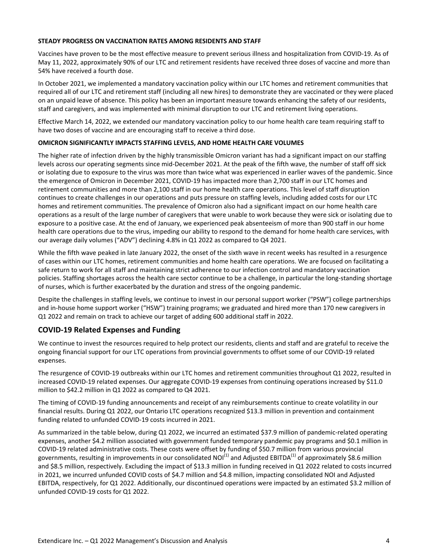#### **STEADY PROGRESS ON VACCINATION RATES AMONG RESIDENTS AND STAFF**

Vaccines have proven to be the most effective measure to prevent serious illness and hospitalization from COVID-19. As of May 11, 2022, approximately 90% of our LTC and retirement residents have received three doses of vaccine and more than 54% have received a fourth dose.

In October 2021, we implemented a mandatory vaccination policy within our LTC homes and retirement communities that required all of our LTC and retirement staff (including all new hires) to demonstrate they are vaccinated or they were placed on an unpaid leave of absence. This policy has been an important measure towards enhancing the safety of our residents, staff and caregivers, and was implemented with minimal disruption to our LTC and retirement living operations.

Effective March 14, 2022, we extended our mandatory vaccination policy to our home health care team requiring staff to have two doses of vaccine and are encouraging staff to receive a third dose.

#### **OMICRON SIGNIFICANTLY IMPACTS STAFFING LEVELS, AND HOME HEALTH CARE VOLUMES**

The higher rate of infection driven by the highly transmissible Omicron variant has had a significant impact on our staffing levels across our operating segments since mid-December 2021. At the peak of the fifth wave, the number of staff off sick or isolating due to exposure to the virus was more than twice what was experienced in earlier waves of the pandemic. Since the emergence of Omicron in December 2021, COVID-19 has impacted more than 2,700 staff in our LTC homes and retirement communities and more than 2,100 staff in our home health care operations. This level of staff disruption continues to create challenges in our operations and puts pressure on staffing levels, including added costs for our LTC homes and retirement communities. The prevalence of Omicron also had a significant impact on our home health care operations as a result of the large number of caregivers that were unable to work because they were sick or isolating due to exposure to a positive case. At the end of January, we experienced peak absenteeism of more than 900 staff in our home health care operations due to the virus, impeding our ability to respond to the demand for home health care services, with our average daily volumes ("ADV") declining 4.8% in Q1 2022 as compared to Q4 2021.

While the fifth wave peaked in late January 2022, the onset of the sixth wave in recent weeks has resulted in a resurgence of cases within our LTC homes, retirement communities and home health care operations. We are focused on facilitating a safe return to work for all staff and maintaining strict adherence to our infection control and mandatory vaccination policies. Staffing shortages across the health care sector continue to be a challenge, in particular the long-standing shortage of nurses, which is further exacerbated by the duration and stress of the ongoing pandemic.

Despite the challenges in staffing levels, we continue to invest in our personal support worker ("PSW") college partnerships and in-house home support worker ("HSW") training programs; we graduated and hired more than 170 new caregivers in Q1 2022 and remain on track to achieve our target of adding 600 additional staff in 2022.

# **COVID-19 Related Expenses and Funding**

We continue to invest the resources required to help protect our residents, clients and staff and are grateful to receive the ongoing financial support for our LTC operations from provincial governments to offset some of our COVID-19 related expenses. 

The resurgence of COVID-19 outbreaks within our LTC homes and retirement communities throughout Q1 2022, resulted in increased COVID-19 related expenses. Our aggregate COVID-19 expenses from continuing operations increased by \$11.0 million to \$42.2 million in Q1 2022 as compared to Q4 2021.

The timing of COVID-19 funding announcements and receipt of any reimbursements continue to create volatility in our financial results. During Q1 2022, our Ontario LTC operations recognized \$13.3 million in prevention and containment funding related to unfunded COVID-19 costs incurred in 2021.

As summarized in the table below, during Q1 2022, we incurred an estimated \$37.9 million of pandemic-related operating expenses, another \$4.2 million associated with government funded temporary pandemic pay programs and \$0.1 million in COVID-19 related administrative costs. These costs were offset by funding of \$50.7 million from various provincial governments, resulting in improvements in our consolidated NOI<sup>(1)</sup> and Adjusted EBITDA<sup>(1)</sup> of approximately \$8.6 million and \$8.5 million, respectively. Excluding the impact of \$13.3 million in funding received in Q1 2022 related to costs incurred in 2021, we incurred unfunded COVID costs of \$4.7 million and \$4.8 million, impacting consolidated NOI and Adjusted EBITDA, respectively, for Q1 2022. Additionally, our discontinued operations were impacted by an estimated \$3.2 million of unfunded COVID-19 costs for Q1 2022.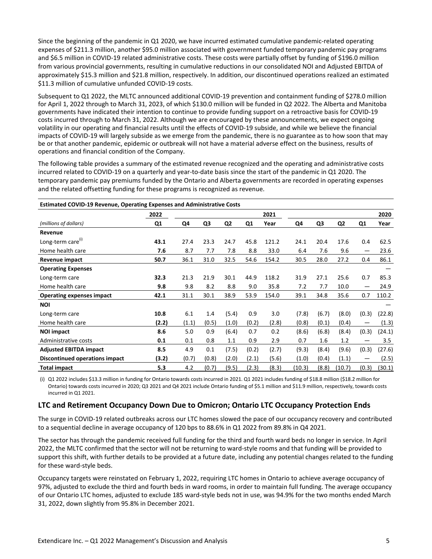Since the beginning of the pandemic in Q1 2020, we have incurred estimated cumulative pandemic-related operating expenses of \$211.3 million, another \$95.0 million associated with government funded temporary pandemic pay programs and \$6.5 million in COVID-19 related administrative costs. These costs were partially offset by funding of \$196.0 million from various provincial governments, resulting in cumulative reductions in our consolidated NOI and Adjusted EBITDA of approximately \$15.3 million and \$21.8 million, respectively. In addition, our discontinued operations realized an estimated \$11.3 million of cumulative unfunded COVID-19 costs.

Subsequent to Q1 2022, the MLTC announced additional COVID-19 prevention and containment funding of \$278.0 million for April 1, 2022 through to March 31, 2023, of which \$130.0 million will be funded in Q2 2022. The Alberta and Manitoba governments have indicated their intention to continue to provide funding support on a retroactive basis for COVID-19 costs incurred through to March 31, 2022. Although we are encouraged by these announcements, we expect ongoing volatility in our operating and financial results until the effects of COVID-19 subside, and while we believe the financial impacts of COVID-19 will largely subside as we emerge from the pandemic, there is no guarantee as to how soon that may be or that another pandemic, epidemic or outbreak will not have a material adverse effect on the business, results of operations and financial condition of the Company.

The following table provides a summary of the estimated revenue recognized and the operating and administrative costs incurred related to COVID-19 on a quarterly and year-to-date basis since the start of the pandemic in Q1 2020. The temporary pandemic pay premiums funded by the Ontario and Alberta governments are recorded in operating expenses and the related offsetting funding for these programs is recognized as revenue.

| <b>Estimated COVID-19 Revenue, Operating Expenses and Administrative Costs</b> |                |       |       |                |       |       |        |       |                |       |        |
|--------------------------------------------------------------------------------|----------------|-------|-------|----------------|-------|-------|--------|-------|----------------|-------|--------|
|                                                                                | 2022           |       |       |                |       | 2021  |        |       |                |       | 2020   |
| (millions of dollars)                                                          | Q <sub>1</sub> | Q4    | Q3    | Q <sub>2</sub> | Q1    | Year  | Q4     | Q3    | Q <sub>2</sub> | Q1    | Year   |
| Revenue                                                                        |                |       |       |                |       |       |        |       |                |       |        |
| Long-term care <sup>(i)</sup>                                                  | 43.1           | 27.4  | 23.3  | 24.7           | 45.8  | 121.2 | 24.1   | 20.4  | 17.6           | 0.4   | 62.5   |
| Home health care                                                               | 7.6            | 8.7   | 7.7   | 7.8            | 8.8   | 33.0  | 6.4    | 7.6   | 9.6            | —     | 23.6   |
| Revenue impact                                                                 | 50.7           | 36.1  | 31.0  | 32.5           | 54.6  | 154.2 | 30.5   | 28.0  | 27.2           | 0.4   | 86.1   |
| <b>Operating Expenses</b>                                                      |                |       |       |                |       |       |        |       |                |       |        |
| Long-term care                                                                 | 32.3           | 21.3  | 21.9  | 30.1           | 44.9  | 118.2 | 31.9   | 27.1  | 25.6           | 0.7   | 85.3   |
| Home health care                                                               | 9.8            | 9.8   | 8.2   | 8.8            | 9.0   | 35.8  | 7.2    | 7.7   | 10.0           | —     | 24.9   |
| <b>Operating expenses impact</b>                                               | 42.1           | 31.1  | 30.1  | 38.9           | 53.9  | 154.0 | 39.1   | 34.8  | 35.6           | 0.7   | 110.2  |
| <b>NOI</b>                                                                     |                |       |       |                |       |       |        |       |                |       |        |
| Long-term care                                                                 | 10.8           | 6.1   | 1.4   | (5.4)          | 0.9   | 3.0   | (7.8)  | (6.7) | (8.0)          | (0.3) | (22.8) |
| Home health care                                                               | (2.2)          | (1.1) | (0.5) | (1.0)          | (0.2) | (2.8) | (0.8)  | (0.1) | (0.4)          |       | (1.3)  |
| <b>NOI impact</b>                                                              | 8.6            | 5.0   | 0.9   | (6.4)          | 0.7   | 0.2   | (8.6)  | (6.8) | (8.4)          | (0.3) | (24.1) |
| Administrative costs                                                           | 0.1            | 0.1   | 0.8   | 1.1            | 0.9   | 2.9   | 0.7    | 1.6   | 1.2            |       | 3.5    |
| <b>Adjusted EBITDA impact</b>                                                  | 8.5            | 4.9   | 0.1   | (7.5)          | (0.2) | (2.7) | (9.3)  | (8.4) | (9.6)          | (0.3) | (27.6) |
| Discontinued operations impact                                                 | (3.2)          | (0.7) | (0.8) | (2.0)          | (2.1) | (5.6) | (1.0)  | (0.4) | (1.1)          |       | (2.5)  |
| <b>Total impact</b>                                                            | 5.3            | 4.2   | (0.7) | (9.5)          | (2.3) | (8.3) | (10.3) | (8.8) | (10.7)         | (0.3) | (30.1) |

(i) Q1 2022 includes \$13.3 million in funding for Ontario towards costs incurred in 2021. Q1 2021 includes funding of \$18.8 million (\$18.2 million for Ontario) towards costs incurred in 2020; Q3 2021 and Q4 2021 include Ontario funding of \$5.1 million and \$11.9 million, respectively, towards costs incurred in Q1 2021.

# **LTC** and Retirement Occupancy Down Due to Omicron; Ontario LTC Occupancy Protection Ends

The surge in COVID-19 related outbreaks across our LTC homes slowed the pace of our occupancy recovery and contributed to a sequential decline in average occupancy of 120 bps to 88.6% in Q1 2022 from 89.8% in Q4 2021.

The sector has through the pandemic received full funding for the third and fourth ward beds no longer in service. In April 2022, the MLTC confirmed that the sector will not be returning to ward-style rooms and that funding will be provided to support this shift, with further details to be provided at a future date, including any potential changes related to the funding for these ward-style beds.

Occupancy targets were reinstated on February 1, 2022, requiring LTC homes in Ontario to achieve average occupancy of 97%, adjusted to exclude the third and fourth beds in ward rooms, in order to maintain full funding. The average occupancy of our Ontario LTC homes, adjusted to exclude 185 ward-style beds not in use, was 94.9% for the two months ended March 31, 2022, down slightly from 95.8% in December 2021.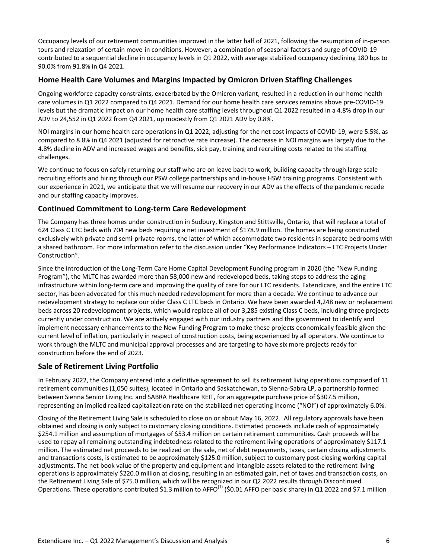Occupancy levels of our retirement communities improved in the latter half of 2021, following the resumption of in-person tours and relaxation of certain move-in conditions. However, a combination of seasonal factors and surge of COVID-19 contributed to a sequential decline in occupancy levels in Q1 2022, with average stabilized occupancy declining 180 bps to 90.0% from 91.8% in Q4 2021.

# **Home Health Care Volumes and Margins Impacted by Omicron Driven Staffing Challenges**

Ongoing workforce capacity constraints, exacerbated by the Omicron variant, resulted in a reduction in our home health care volumes in Q1 2022 compared to Q4 2021. Demand for our home health care services remains above pre-COVID-19 levels but the dramatic impact on our home health care staffing levels throughout Q1 2022 resulted in a 4.8% drop in our ADV to 24,552 in Q1 2022 from Q4 2021, up modestly from Q1 2021 ADV by 0.8%.

NOI margins in our home health care operations in Q1 2022, adjusting for the net cost impacts of COVID-19, were 5.5%, as compared to 8.8% in Q4 2021 (adjusted for retroactive rate increase). The decrease in NOI margins was largely due to the 4.8% decline in ADV and increased wages and benefits, sick pay, training and recruiting costs related to the staffing challenges.

We continue to focus on safely returning our staff who are on leave back to work, building capacity through large scale recruiting efforts and hiring through our PSW college partnerships and in-house HSW training programs. Consistent with our experience in 2021, we anticipate that we will resume our recovery in our ADV as the effects of the pandemic recede and our staffing capacity improves.

# **Continued Commitment to Long-term Care Redevelopment**

The Company has three homes under construction in Sudbury, Kingston and Stittsville, Ontario, that will replace a total of 624 Class C LTC beds with 704 new beds requiring a net investment of \$178.9 million. The homes are being constructed exclusively with private and semi-private rooms, the latter of which accommodate two residents in separate bedrooms with a shared bathroom. For more information refer to the discussion under "Key Performance Indicators – LTC Projects Under Construction".

Since the introduction of the Long-Term Care Home Capital Development Funding program in 2020 (the "New Funding Program"), the MLTC has awarded more than 58,000 new and redeveloped beds, taking steps to address the aging infrastructure within long-term care and improving the quality of care for our LTC residents. Extendicare, and the entire LTC sector, has been advocated for this much needed redevelopment for more than a decade. We continue to advance our redevelopment strategy to replace our older Class C LTC beds in Ontario. We have been awarded 4,248 new or replacement beds across 20 redevelopment projects, which would replace all of our 3,285 existing Class C beds, including three projects currently under construction. We are actively engaged with our industry partners and the government to identify and implement necessary enhancements to the New Funding Program to make these projects economically feasible given the current level of inflation, particularly in respect of construction costs, being experienced by all operators. We continue to work through the MLTC and municipal approval processes and are targeting to have six more projects ready for construction before the end of 2023.

# **Sale of Retirement Living Portfolio**

In February 2022, the Company entered into a definitive agreement to sell its retirement living operations composed of 11 retirement communities (1,050 suites), located in Ontario and Saskatchewan, to Sienna-Sabra LP, a partnership formed between Sienna Senior Living Inc. and SABRA Healthcare REIT, for an aggregate purchase price of \$307.5 million, representing an implied realized capitalization rate on the stabilized net operating income ("NOI") of approximately 6.0%.

Closing of the Retirement Living Sale is scheduled to close on or about May 16, 2022. All regulatory approvals have been obtained and closing is only subject to customary closing conditions. Estimated proceeds include cash of approximately \$254.1 million and assumption of mortgages of \$53.4 million on certain retirement communities. Cash proceeds will be used to repay all remaining outstanding indebtedness related to the retirement living operations of approximately \$117.1 million. The estimated net proceeds to be realized on the sale, net of debt repayments, taxes, certain closing adjustments and transactions costs, is estimated to be approximately \$125.0 million, subject to customary post-closing working capital adjustments. The net book value of the property and equipment and intangible assets related to the retirement living operations is approximately \$220.0 million at closing, resulting in an estimated gain, net of taxes and transaction costs, on the Retirement Living Sale of \$75.0 million, which will be recognized in our Q2 2022 results through Discontinued Operations. These operations contributed \$1.3 million to AFFO<sup>(1)</sup> (\$0.01 AFFO per basic share) in Q1 2022 and \$7.1 million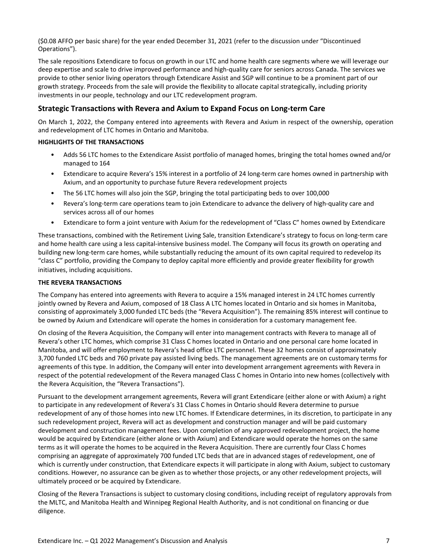(\$0.08 AFFO per basic share) for the year ended December 31, 2021 (refer to the discussion under "Discontinued Operations"). 

The sale repositions Extendicare to focus on growth in our LTC and home health care segments where we will leverage our deep expertise and scale to drive improved performance and high-quality care for seniors across Canada. The services we provide to other senior living operators through Extendicare Assist and SGP will continue to be a prominent part of our growth strategy. Proceeds from the sale will provide the flexibility to allocate capital strategically, including priority investments in our people, technology and our LTC redevelopment program.

# **Strategic Transactions with Revera and Axium to Expand Focus on Long-term Care**

On March 1, 2022, the Company entered into agreements with Revera and Axium in respect of the ownership, operation and redevelopment of LTC homes in Ontario and Manitoba.

#### **HIGHLIGHTS OF THE TRANSACTIONS**

- Adds 56 LTC homes to the Extendicare Assist portfolio of managed homes, bringing the total homes owned and/or managed to 164
- Extendicare to acquire Revera's 15% interest in a portfolio of 24 long-term care homes owned in partnership with Axium, and an opportunity to purchase future Revera redevelopment projects
- The 56 LTC homes will also join the SGP, bringing the total participating beds to over 100,000
- Revera's long-term care operations team to join Extendicare to advance the delivery of high-quality care and services across all of our homes
- Extendicare to form a joint venture with Axium for the redevelopment of "Class C" homes owned by Extendicare

These transactions, combined with the Retirement Living Sale, transition Extendicare's strategy to focus on long-term care and home health care using a less capital-intensive business model. The Company will focus its growth on operating and building new long-term care homes, while substantially reducing the amount of its own capital required to redevelop its "class C" portfolio, providing the Company to deploy capital more efficiently and provide greater flexibility for growth initiatives, including acquisitions.

#### **THE REVERA TRANSACTIONS**

The Company has entered into agreements with Revera to acquire a 15% managed interest in 24 LTC homes currently jointly owned by Revera and Axium, composed of 18 Class A LTC homes located in Ontario and six homes in Manitoba, consisting of approximately 3,000 funded LTC beds (the "Revera Acquisition"). The remaining 85% interest will continue to be owned by Axium and Extendicare will operate the homes in consideration for a customary management fee.

On closing of the Revera Acquisition, the Company will enter into management contracts with Revera to manage all of Revera's other LTC homes, which comprise 31 Class C homes located in Ontario and one personal care home located in Manitoba, and will offer employment to Revera's head office LTC personnel. These 32 homes consist of approximately 3,700 funded LTC beds and 760 private pay assisted living beds. The management agreements are on customary terms for agreements of this type. In addition, the Company will enter into development arrangement agreements with Revera in respect of the potential redevelopment of the Revera managed Class C homes in Ontario into new homes (collectively with the Revera Acquisition, the "Revera Transactions").

Pursuant to the development arrangement agreements, Revera will grant Extendicare (either alone or with Axium) a right to participate in any redevelopment of Revera's 31 Class C homes in Ontario should Revera determine to pursue redevelopment of any of those homes into new LTC homes. If Extendicare determines, in its discretion, to participate in any such redevelopment project, Revera will act as development and construction manager and will be paid customary development and construction management fees. Upon completion of any approved redevelopment project, the home would be acquired by Extendicare (either alone or with Axium) and Extendicare would operate the homes on the same terms as it will operate the homes to be acquired in the Revera Acquisition. There are currently four Class C homes comprising an aggregate of approximately 700 funded LTC beds that are in advanced stages of redevelopment, one of which is currently under construction, that Extendicare expects it will participate in along with Axium, subject to customary conditions. However, no assurance can be given as to whether those projects, or any other redevelopment projects, will ultimately proceed or be acquired by Extendicare.

Closing of the Revera Transactions is subject to customary closing conditions, including receipt of regulatory approvals from the MLTC, and Manitoba Health and Winnipeg Regional Health Authority, and is not conditional on financing or due diligence.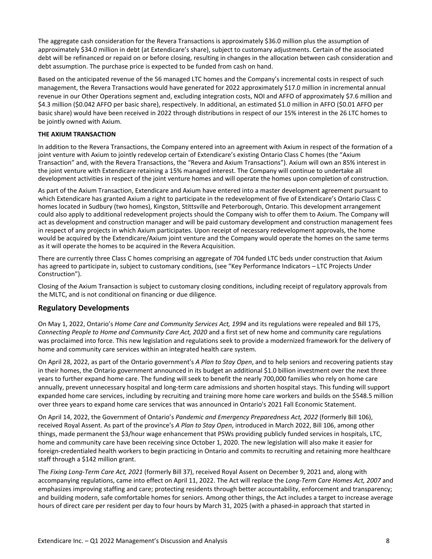The aggregate cash consideration for the Revera Transactions is approximately \$36.0 million plus the assumption of approximately \$34.0 million in debt (at Extendicare's share), subject to customary adjustments. Certain of the associated debt will be refinanced or repaid on or before closing, resulting in changes in the allocation between cash consideration and debt assumption. The purchase price is expected to be funded from cash on hand.

Based on the anticipated revenue of the 56 managed LTC homes and the Company's incremental costs in respect of such management, the Revera Transactions would have generated for 2022 approximately \$17.0 million in incremental annual revenue in our Other Operations segment and, excluding integration costs, NOI and AFFO of approximately \$7.6 million and \$4.3 million (\$0.042 AFFO per basic share), respectively. In additional, an estimated \$1.0 million in AFFO (\$0.01 AFFO per basic share) would have been received in 2022 through distributions in respect of our 15% interest in the 26 LTC homes to be jointly owned with Axium.

#### **THE AXIUM TRANSACTION**

In addition to the Revera Transactions, the Company entered into an agreement with Axium in respect of the formation of a joint venture with Axium to jointly redevelop certain of Extendicare's existing Ontario Class C homes (the "Axium Transaction" and, with the Revera Transactions, the "Revera and Axium Transactions"). Axium will own an 85% interest in the joint venture with Extendicare retaining a 15% managed interest. The Company will continue to undertake all development activities in respect of the joint venture homes and will operate the homes upon completion of construction.

As part of the Axium Transaction, Extendicare and Axium have entered into a master development agreement pursuant to which Extendicare has granted Axium a right to participate in the redevelopment of five of Extendicare's Ontario Class C homes located in Sudbury (two homes), Kingston, Stittsville and Peterborough, Ontario. This development arrangement could also apply to additional redevelopment projects should the Company wish to offer them to Axium. The Company will act as development and construction manager and will be paid customary development and construction management fees in respect of any projects in which Axium participates. Upon receipt of necessary redevelopment approvals, the home would be acquired by the Extendicare/Axium joint venture and the Company would operate the homes on the same terms as it will operate the homes to be acquired in the Revera Acquisition.

There are currently three Class C homes comprising an aggregate of 704 funded LTC beds under construction that Axium has agreed to participate in, subject to customary conditions, (see "Key Performance Indicators – LTC Projects Under Construction").

Closing of the Axium Transaction is subject to customary closing conditions, including receipt of regulatory approvals from the MLTC, and is not conditional on financing or due diligence.

# **Regulatory Developments**

On May 1, 2022, Ontario's *Home Care and Community Services Act, 1994* and its regulations were repealed and Bill 175, *Connecting* People to Home and Community Care Act, 2020 and a first set of new home and community care regulations was proclaimed into force. This new legislation and regulations seek to provide a modernized framework for the delivery of home and community care services within an integrated health care system.

On April 28, 2022, as part of the Ontario government's A Plan to Stay Open, and to help seniors and recovering patients stay in their homes, the Ontario government announced in its budget an additional \$1.0 billion investment over the next three years to further expand home care. The funding will seek to benefit the nearly 700,000 families who rely on home care annually, prevent unnecessary hospital and long-term care admissions and shorten hospital stays. This funding will support expanded home care services, including by recruiting and training more home care workers and builds on the \$548.5 million over three years to expand home care services that was announced in Ontario's 2021 Fall Economic Statement.

On April 14, 2022, the Government of Ontario's Pandemic and Emergency Preparedness Act, 2022 (formerly Bill 106), received Royal Assent. As part of the province's A Plan to Stay Open, introduced in March 2022, Bill 106, among other things, made permanent the \$3/hour wage enhancement that PSWs providing publicly funded services in hospitals, LTC, home and community care have been receiving since October 1, 2020. The new legislation will also make it easier for foreign-credentialed health workers to begin practicing in Ontario and commits to recruiting and retaining more healthcare staff through a \$142 million grant.

The Fixing Long-Term Care Act, 2021 (formerly Bill 37), received Royal Assent on December 9, 2021 and, along with accompanying regulations, came into effect on April 11, 2022. The Act will replace the *Long-Term Care Homes Act, 2007* and emphasizes improving staffing and care; protecting residents through better accountability, enforcement and transparency; and building modern, safe comfortable homes for seniors. Among other things, the Act includes a target to increase average hours of direct care per resident per day to four hours by March 31, 2025 (with a phased-in approach that started in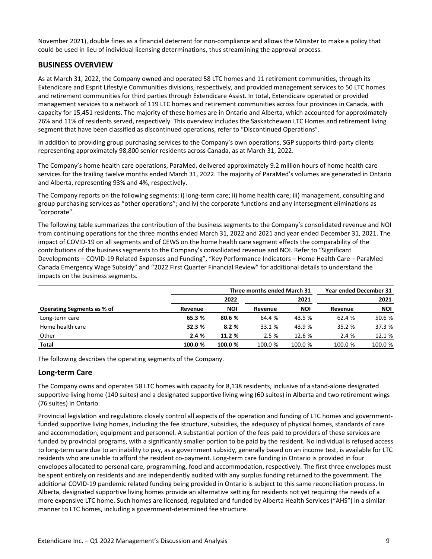<span id="page-12-0"></span>November 2021), double fines as a financial deterrent for non-compliance and allows the Minister to make a policy that could be used in lieu of individual licensing determinations, thus streamlining the approval process.

# **BUSINESS OVERVIEW**

As at March 31, 2022, the Company owned and operated 58 LTC homes and 11 retirement communities, through its Extendicare and Esprit Lifestyle Communities divisions, respectively, and provided management services to 50 LTC homes and retirement communities for third parties through Extendicare Assist. In total, Extendicare operated or provided management services to a network of 119 LTC homes and retirement communities across four provinces in Canada, with capacity for 15,451 residents. The majority of these homes are in Ontario and Alberta, which accounted for approximately 76% and 11% of residents served, respectively. This overview includes the Saskatchewan LTC Homes and retirement living segment that have been classified as discontinued operations, refer to "Discontinued Operations".

In addition to providing group purchasing services to the Company's own operations, SGP supports third-party clients representing approximately 98,800 senior residents across Canada, as at March 31, 2022.

The Company's home health care operations, ParaMed, delivered approximately 9.2 million hours of home health care services for the trailing twelve months ended March 31, 2022. The majority of ParaMed's volumes are generated in Ontario and Alberta, representing 93% and 4%, respectively.

The Company reports on the following segments: i) long-term care; ii) home health care; iii) management, consulting and group purchasing services as "other operations"; and iv) the corporate functions and any intersegment eliminations as "corporate".

The following table summarizes the contribution of the business segments to the Company's consolidated revenue and NOI from continuing operations for the three months ended March 31, 2022 and 2021 and year ended December 31, 2021. The impact of COVID-19 on all segments and of CEWS on the home health care segment effects the comparability of the contributions of the business segments to the Company's consolidated revenue and NOI. Refer to "Significant Developments – COVID-19 Related Expenses and Funding", "Key Performance Indicators – Home Health Care – ParaMed Canada Emergency Wage Subsidy" and "2022 First Quarter Financial Review" for additional details to understand the impacts on the business segments.

|                            |         | Three months ended March 31 |         |            |         |            |  |  |
|----------------------------|---------|-----------------------------|---------|------------|---------|------------|--|--|
|                            |         | 2022                        |         | 2021       |         | 2021       |  |  |
| Operating Segments as % of | Revenue | NOI                         | Revenue | <b>NOI</b> | Revenue | <b>NOI</b> |  |  |
| Long-term care             | 65.3 %  | 80.6 %                      | 64.4 %  | 43.5 %     | 62.4 %  | 50.6 %     |  |  |
| Home health care           | 32.3 %  | 8.2%                        | 33.1 %  | 43.9 %     | 35.2 %  | 37.3 %     |  |  |
| Other                      | 2.4%    | 11.2 %                      | 2.5%    | 12.6 %     | 2.4 %   | 12.1 %     |  |  |
| <b>Total</b>               | 100.0 % | 100.0 %                     | 100.0 % | 100.0 %    | 100.0 % | 100.0 %    |  |  |

The following describes the operating segments of the Company.

# **Long-term Care**

The Company owns and operates 58 LTC homes with capacity for 8,138 residents, inclusive of a stand-alone designated supportive living home (140 suites) and a designated supportive living wing (60 suites) in Alberta and two retirement wings (76 suites) in Ontario.

Provincial legislation and regulations closely control all aspects of the operation and funding of LTC homes and governmentfunded supportive living homes, including the fee structure, subsidies, the adequacy of physical homes, standards of care and accommodation, equipment and personnel. A substantial portion of the fees paid to providers of these services are funded by provincial programs, with a significantly smaller portion to be paid by the resident. No individual is refused access to long-term care due to an inability to pay, as a government subsidy, generally based on an income test, is available for LTC residents who are unable to afford the resident co-payment. Long-term care funding in Ontario is provided in four envelopes allocated to personal care, programming, food and accommodation, respectively. The first three envelopes must be spent entirely on residents and are independently audited with any surplus funding returned to the government. The additional COVID-19 pandemic related funding being provided in Ontario is subject to this same reconciliation process. In Alberta, designated supportive living homes provide an alternative setting for residents not yet requiring the needs of a more expensive LTC home. Such homes are licensed, regulated and funded by Alberta Health Services ("AHS") in a similar manner to LTC homes, including a government-determined fee structure.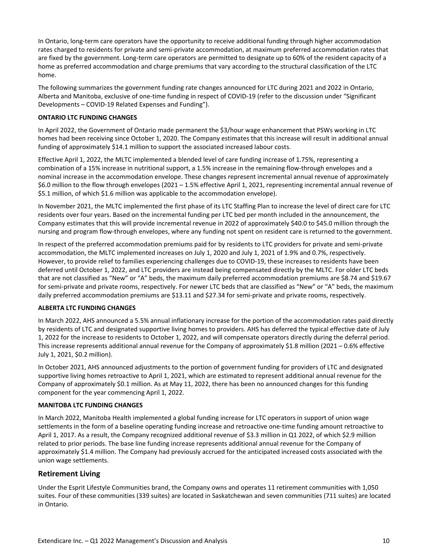In Ontario, long-term care operators have the opportunity to receive additional funding through higher accommodation rates charged to residents for private and semi-private accommodation, at maximum preferred accommodation rates that are fixed by the government. Long-term care operators are permitted to designate up to 60% of the resident capacity of a home as preferred accommodation and charge premiums that vary according to the structural classification of the LTC home. 

The following summarizes the government funding rate changes announced for LTC during 2021 and 2022 in Ontario, Alberta and Manitoba, exclusive of one-time funding in respect of COVID-19 (refer to the discussion under "Significant Developments - COVID-19 Related Expenses and Funding").

#### **ONTARIO LTC FUNDING CHANGES**

In April 2022, the Government of Ontario made permanent the \$3/hour wage enhancement that PSWs working in LTC homes had been receiving since October 1, 2020. The Company estimates that this increase will result in additional annual funding of approximately \$14.1 million to support the associated increased labour costs.

Effective April 1, 2022, the MLTC implemented a blended level of care funding increase of 1.75%, representing a combination of a 15% increase in nutritional support, a 1.5% increase in the remaining flow-through envelopes and a nominal increase in the accommodation envelope. These changes represent incremental annual revenue of approximately \$6.0 million to the flow through envelopes (2021 - 1.5% effective April 1, 2021, representing incremental annual revenue of \$5.1 million, of which \$1.6 million was applicable to the accommodation envelope).

In November 2021, the MLTC implemented the first phase of its LTC Staffing Plan to increase the level of direct care for LTC residents over four years. Based on the incremental funding per LTC bed per month included in the announcement, the Company estimates that this will provide incremental revenue in 2022 of approximately \$40.0 to \$45.0 million through the nursing and program flow-through envelopes, where any funding not spent on resident care is returned to the government.

In respect of the preferred accommodation premiums paid for by residents to LTC providers for private and semi-private accommodation, the MLTC implemented increases on July 1, 2020 and July 1, 2021 of 1.9% and 0.7%, respectively. However, to provide relief to families experiencing challenges due to COVID-19, these increases to residents have been deferred until October 1, 2022, and LTC providers are instead being compensated directly by the MLTC. For older LTC beds that are not classified as "New" or "A" beds, the maximum daily preferred accommodation premiums are \$8.74 and \$19.67 for semi-private and private rooms, respectively. For newer LTC beds that are classified as "New" or "A" beds, the maximum daily preferred accommodation premiums are \$13.11 and \$27.34 for semi-private and private rooms, respectively.

#### **ALBERTA LTC FUNDING CHANGES**

In March 2022, AHS announced a 5.5% annual inflationary increase for the portion of the accommodation rates paid directly by residents of LTC and designated supportive living homes to providers. AHS has deferred the typical effective date of July 1, 2022 for the increase to residents to October 1, 2022, and will compensate operators directly during the deferral period. This increase represents additional annual revenue for the Company of approximately \$1.8 million (2021 – 0.6% effective July 1, 2021, \$0.2 million).

In October 2021, AHS announced adjustments to the portion of government funding for providers of LTC and designated supportive living homes retroactive to April 1, 2021, which are estimated to represent additional annual revenue for the Company of approximately \$0.1 million. As at May 11, 2022, there has been no announced changes for this funding component for the year commencing April 1, 2022.

#### **MANITOBA LTC FUNDING CHANGES**

In March 2022, Manitoba Health implemented a global funding increase for LTC operators in support of union wage settlements in the form of a baseline operating funding increase and retroactive one-time funding amount retroactive to April 1, 2017. As a result, the Company recognized additional revenue of \$3.3 million in Q1 2022, of which \$2.9 million related to prior periods. The base line funding increase represents additional annual revenue for the Company of approximately \$1.4 million. The Company had previously accrued for the anticipated increased costs associated with the union wage settlements.

# **Retirement Living**

Under the Esprit Lifestyle Communities brand, the Company owns and operates 11 retirement communities with 1,050 suites. Four of these communities (339 suites) are located in Saskatchewan and seven communities (711 suites) are located in Ontario.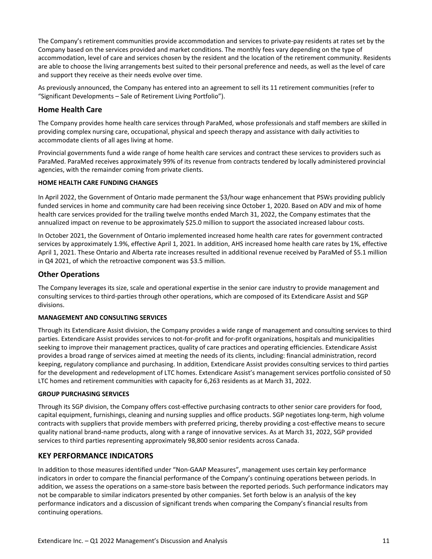<span id="page-14-0"></span>The Company's retirement communities provide accommodation and services to private-pay residents at rates set by the Company based on the services provided and market conditions. The monthly fees vary depending on the type of accommodation, level of care and services chosen by the resident and the location of the retirement community. Residents are able to choose the living arrangements best suited to their personal preference and needs, as well as the level of care and support they receive as their needs evolve over time.

As previously announced, the Company has entered into an agreement to sell its 11 retirement communities (refer to "Significant Developments - Sale of Retirement Living Portfolio").

# **Home Health Care**

The Company provides home health care services through ParaMed, whose professionals and staff members are skilled in providing complex nursing care, occupational, physical and speech therapy and assistance with daily activities to accommodate clients of all ages living at home.

Provincial governments fund a wide range of home health care services and contract these services to providers such as ParaMed. ParaMed receives approximately 99% of its revenue from contracts tendered by locally administered provincial agencies, with the remainder coming from private clients.

#### **HOME HEALTH CARE FUNDING CHANGES**

In April 2022, the Government of Ontario made permanent the \$3/hour wage enhancement that PSWs providing publicly funded services in home and community care had been receiving since October 1, 2020. Based on ADV and mix of home health care services provided for the trailing twelve months ended March 31, 2022, the Company estimates that the annualized impact on revenue to be approximately \$25.0 million to support the associated increased labour costs.

In October 2021, the Government of Ontario implemented increased home health care rates for government contracted services by approximately 1.9%, effective April 1, 2021. In addition, AHS increased home health care rates by 1%, effective April 1, 2021. These Ontario and Alberta rate increases resulted in additional revenue received by ParaMed of \$5.1 million in Q4 2021, of which the retroactive component was \$3.5 million.

# **Other Operations**

The Company leverages its size, scale and operational expertise in the senior care industry to provide management and consulting services to third-parties through other operations, which are composed of its Extendicare Assist and SGP divisions. 

#### **MANAGEMENT AND CONSULTING SERVICES**

Through its Extendicare Assist division, the Company provides a wide range of management and consulting services to third parties. Extendicare Assist provides services to not-for-profit and for-profit organizations, hospitals and municipalities seeking to improve their management practices, quality of care practices and operating efficiencies. Extendicare Assist provides a broad range of services aimed at meeting the needs of its clients, including: financial administration, record keeping, regulatory compliance and purchasing. In addition, Extendicare Assist provides consulting services to third parties for the development and redevelopment of LTC homes. Extendicare Assist's management services portfolio consisted of 50 LTC homes and retirement communities with capacity for 6,263 residents as at March 31, 2022.

#### **GROUP PURCHASING SERVICES**

Through its SGP division, the Company offers cost-effective purchasing contracts to other senior care providers for food, capital equipment, furnishings, cleaning and nursing supplies and office products. SGP negotiates long-term, high volume contracts with suppliers that provide members with preferred pricing, thereby providing a cost-effective means to secure quality national brand-name products, along with a range of innovative services. As at March 31, 2022, SGP provided services to third parties representing approximately 98,800 senior residents across Canada.

# **KEY PERFORMANCE INDICATORS**

In addition to those measures identified under "Non-GAAP Measures", management uses certain key performance indicators in order to compare the financial performance of the Company's continuing operations between periods. In addition, we assess the operations on a same-store basis between the reported periods. Such performance indicators may not be comparable to similar indicators presented by other companies. Set forth below is an analysis of the key performance indicators and a discussion of significant trends when comparing the Company's financial results from continuing operations.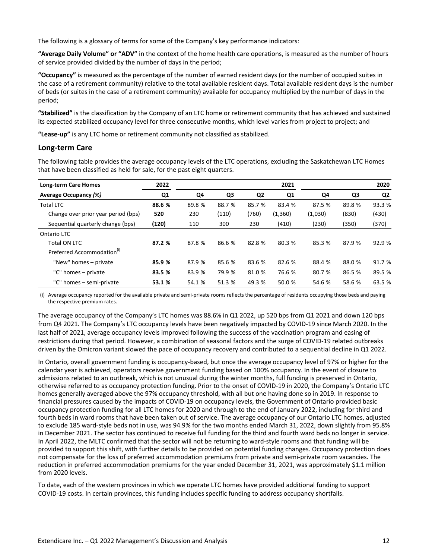The following is a glossary of terms for some of the Company's key performance indicators:

"Average Daily Volume" or "ADV" in the context of the home health care operations, is measured as the number of hours of service provided divided by the number of days in the period;

**"Occupancy"** is measured as the percentage of the number of earned resident days (or the number of occupied suites in the case of a retirement community) relative to the total available resident days. Total available resident days is the number of beds (or suites in the case of a retirement community) available for occupancy multiplied by the number of days in the period; 

"Stabilized" is the classification by the Company of an LTC home or retirement community that has achieved and sustained its expected stabilized occupancy level for three consecutive months, which level varies from project to project; and

**"Lease-up"** is any LTC home or retirement community not classified as stabilized.

# **Long-term Care**

The following table provides the average occupancy levels of the LTC operations, excluding the Saskatchewan LTC Homes that have been classified as held for sale, for the past eight quarters.

| <b>Long-term Care Homes</b>            | 2022   |        |        |                | 2021    |         |        | 2020           |
|----------------------------------------|--------|--------|--------|----------------|---------|---------|--------|----------------|
| <b>Average Occupancy (%)</b>           | Q1     | Q4     | Q3     | Q <sub>2</sub> | Q1      | Q4      | Q3     | Q <sub>2</sub> |
| <b>Total LTC</b>                       | 88.6 % | 89.8 % | 88.7 % | 85.7 %         | 83.4 %  | 87.5 %  | 89.8%  | 93.3 %         |
| Change over prior year period (bps)    | 520    | 230    | (110)  | (760)          | (1,360) | (1,030) | (830)  | (430)          |
| Sequential quarterly change (bps)      | (120)  | 110    | 300    | 230            | (410)   | (230)   | (350)  | (370)          |
| Ontario LTC                            |        |        |        |                |         |         |        |                |
| <b>Total ON LTC</b>                    | 87.2 % | 87.8 % | 86.6 % | 82.8%          | 80.3 %  | 85.3 %  | 87.9 % | 92.9 %         |
| Preferred Accommodation <sup>(i)</sup> |        |        |        |                |         |         |        |                |
| "New" homes – private                  | 85.9 % | 87.9 % | 85.6 % | 83.6 %         | 82.6 %  | 88.4 %  | 88.0 % | 91.7 %         |
| "C" homes - private                    | 83.5 % | 83.9 % | 79.9 % | 81.0%          | 76.6 %  | 80.7 %  | 86.5 % | 89.5 %         |
| "C" homes - semi-private               | 53.1 % | 54.1 % | 51.3 % | 49.3 %         | 50.0 %  | 54.6 %  | 58.6 % | 63.5 %         |

(i) Average occupancy reported for the available private and semi-private rooms reflects the percentage of residents occupying those beds and paying the respective premium rates.

The average occupancy of the Company's LTC homes was 88.6% in Q1 2022, up 520 bps from Q1 2021 and down 120 bps from Q4 2021. The Company's LTC occupancy levels have been negatively impacted by COVID-19 since March 2020. In the last half of 2021, average occupancy levels improved following the success of the vaccination program and easing of restrictions during that period. However, a combination of seasonal factors and the surge of COVID-19 related outbreaks driven by the Omicron variant slowed the pace of occupancy recovery and contributed to a sequential decline in Q1 2022.

In Ontario, overall government funding is occupancy-based, but once the average occupancy level of 97% or higher for the calendar year is achieved, operators receive government funding based on 100% occupancy. In the event of closure to admissions related to an outbreak, which is not unusual during the winter months, full funding is preserved in Ontario, otherwise referred to as occupancy protection funding. Prior to the onset of COVID-19 in 2020, the Company's Ontario LTC homes generally averaged above the 97% occupancy threshold, with all but one having done so in 2019. In response to financial pressures caused by the impacts of COVID-19 on occupancy levels, the Government of Ontario provided basic occupancy protection funding for all LTC homes for 2020 and through to the end of January 2022, including for third and fourth beds in ward rooms that have been taken out of service. The average occupancy of our Ontario LTC homes, adjusted to exclude 185 ward-style beds not in use, was 94.9% for the two months ended March 31, 2022, down slightly from 95.8% in December 2021. The sector has continued to receive full funding for the third and fourth ward beds no longer in service. In April 2022, the MLTC confirmed that the sector will not be returning to ward-style rooms and that funding will be provided to support this shift, with further details to be provided on potential funding changes. Occupancy protection does not compensate for the loss of preferred accommodation premiums from private and semi-private room vacancies. The reduction in preferred accommodation premiums for the year ended December 31, 2021, was approximately \$1.1 million from 2020 levels.

To date, each of the western provinces in which we operate LTC homes have provided additional funding to support COVID-19 costs. In certain provinces, this funding includes specific funding to address occupancy shortfalls.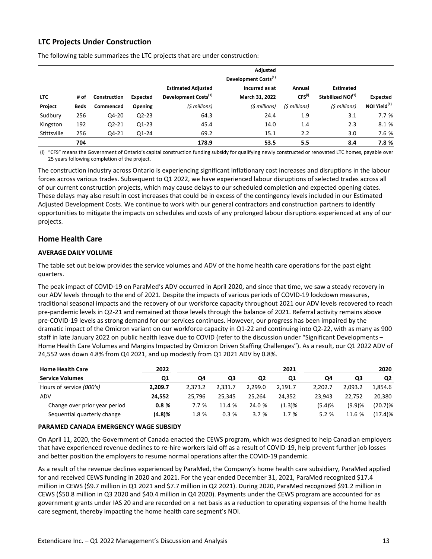# **LTC Projects Under Construction**

|             |      |              |                 |                                                               | Adjusted<br>Development Costs <sup>(1)</sup> |                       |                                                   |                          |
|-------------|------|--------------|-----------------|---------------------------------------------------------------|----------------------------------------------|-----------------------|---------------------------------------------------|--------------------------|
| <b>LTC</b>  | # of | Construction | <b>Expected</b> | <b>Estimated Adjusted</b><br>Development Costs <sup>(1)</sup> | Incurred as at<br>March 31, 2022             | Annual<br>$CFS^{(i)}$ | <b>Estimated</b><br>Stabilized NOI <sup>(1)</sup> | Expected                 |
| Project     | Beds | Commenced    | Opening         | (\$ millions)                                                 | (\$ millions)                                | (\$ millions)         | (\$ millions)                                     | NOI Yield <sup>(1)</sup> |
| Sudbury     | 256  | Q4-20        | $Q2 - 23$       | 64.3                                                          | 24.4                                         | 1.9                   | 3.1                                               | 7.7%                     |
| Kingston    | 192  | $Q2 - 21$    | Q1-23           | 45.4                                                          | 14.0                                         | 1.4                   | 2.3                                               | 8.1 %                    |
| Stittsville | 256  | Q4-21        | Q1-24           | 69.2                                                          | 15.1                                         | 2.2                   | 3.0                                               | 7.6 %                    |
|             | 704  |              |                 | 178.9                                                         | 53.5                                         | 5.5                   | 8.4                                               | 7.8 %                    |

The following table summarizes the LTC projects that are under construction:

(i) "CFS" means the Government of Ontario's capital construction funding subsidy for qualifying newly constructed or renovated LTC homes, payable over 25 years following completion of the project.

The construction industry across Ontario is experiencing significant inflationary cost increases and disruptions in the labour forces across various trades. Subsequent to Q1 2022, we have experienced labour disruptions of selected trades across all of our current construction projects, which may cause delays to our scheduled completion and expected opening dates. These delays may also result in cost increases that could be in excess of the contingency levels included in our Estimated Adjusted Development Costs. We continue to work with our general contractors and construction partners to identify opportunities to mitigate the impacts on schedules and costs of any prolonged labour disruptions experienced at any of our projects.

# **Home Health Care**

#### **AVERAGE DAILY VOLUME**

The table set out below provides the service volumes and ADV of the home health care operations for the past eight quarters. 

The peak impact of COVID-19 on ParaMed's ADV occurred in April 2020, and since that time, we saw a steady recovery in our ADV levels through to the end of 2021. Despite the impacts of various periods of COVID-19 lockdown measures, traditional seasonal impacts and the recovery of our workforce capacity throughout 2021 our ADV levels recovered to reach pre-pandemic levels in Q2-21 and remained at those levels through the balance of 2021. Referral activity remains above pre-COVID-19 levels as strong demand for our services continues. However, our progress has been impaired by the dramatic impact of the Omicron variant on our workforce capacity in Q1-22 and continuing into Q2-22, with as many as 900 staff in late January 2022 on public health leave due to COVID (refer to the discussion under "Significant Developments -Home Health Care Volumes and Margins Impacted by Omicron Driven Staffing Challenges"). As a result, our Q1 2022 ADV of 24,552 was down 4.8% from Q4 2021, and up modestly from Q1 2021 ADV by 0.8%.

| <b>Home Health Care</b>       | 2022    |         |         |         | 2021    |         | 2020    |         |  |
|-------------------------------|---------|---------|---------|---------|---------|---------|---------|---------|--|
| <b>Service Volumes</b>        | Q1      | Q4      | Q3      | Q2      | Q1      | Q4      | Q3      | Q2      |  |
| Hours of service (000's)      | 2.209.7 | 2.373.2 | 2.331.7 | 2.299.0 | 2.191.7 | 2.202.7 | 2.093.2 | 1.854.6 |  |
| ADV                           | 24.552  | 25.796  | 25.345  | 25.264  | 24.352  | 23.943  | 22.752  | 20.380  |  |
| Change over prior year period | 0.8%    | 7.7%    | 11.4 %  | 24.0 %  | (1.3)%  | (5.4)%  | (9.9)%  | (20.7)% |  |
| Sequential quarterly change   | (4.8)%  | 1.8 %   | 0.3%    | 3.7%    | 1.7 %   | 5.2%    | 11.6 %  | (17.4)% |  |

#### **PARAMED CANADA EMERGENCY WAGE SUBSIDY**

On April 11, 2020, the Government of Canada enacted the CEWS program, which was designed to help Canadian employers that have experienced revenue declines to re-hire workers laid off as a result of COVID-19, help prevent further job losses and better position the employers to resume normal operations after the COVID-19 pandemic.

As a result of the revenue declines experienced by ParaMed, the Company's home health care subsidiary, ParaMed applied for and received CEWS funding in 2020 and 2021. For the year ended December 31, 2021, ParaMed recognized \$17.4 million in CEWS (\$9.7 million in Q1 2021 and \$7.7 million in Q2 2021). During 2020, ParaMed recognized \$91.2 million in CEWS (\$50.8 million in Q3 2020 and \$40.4 million in Q4 2020). Payments under the CEWS program are accounted for as government grants under IAS 20 and are recorded on a net basis as a reduction to operating expenses of the home health care segment, thereby impacting the home health care segment's NOI.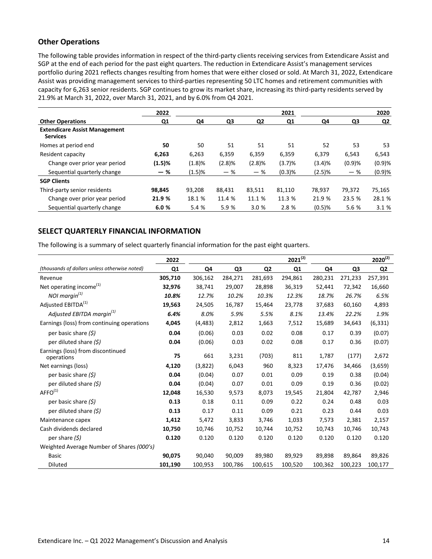# <span id="page-17-0"></span>**Other Operations**

The following table provides information in respect of the third-party clients receiving services from Extendicare Assist and SGP at the end of each period for the past eight quarters. The reduction in Extendicare Assist's management services portfolio during 2021 reflects changes resulting from homes that were either closed or sold. At March 31, 2022, Extendicare Assist was providing management services to third-parties representing 50 LTC homes and retirement communities with capacity for 6,263 senior residents. SGP continues to grow its market share, increasing its third-party residents served by 21.9% at March 31, 2022, over March 31, 2021, and by 6.0% from Q4 2021.

|                                                         | 2022   |        |        |        | 2021      |           |        | 2020      |
|---------------------------------------------------------|--------|--------|--------|--------|-----------|-----------|--------|-----------|
| <b>Other Operations</b>                                 | Q1     | Q4     | Q3     | Q2     | Q1        | Q4        | Q3     | <u>Q2</u> |
| <b>Extendicare Assist Management</b><br><b>Services</b> |        |        |        |        |           |           |        |           |
| Homes at period end                                     | 50     | 50     | 51     | 51     | 51        | 52        | 53     | 53        |
| Resident capacity                                       | 6,263  | 6,263  | 6,359  | 6,359  | 6,359     | 6,379     | 6,543  | 6,543     |
| Change over prior year period                           | (1.5)% | (1.8)% | (2.8)% | (2.8)% | (3.7)%    | (3.4)%    | (0.9)% | (0.9)%    |
| Sequential quarterly change                             | - %    | (1.5)% | $-$ %  | - %    | $(0.3)$ % | (2.5)%    | $-$ %  | (0.9)%    |
| <b>SGP Clients</b>                                      |        |        |        |        |           |           |        |           |
| Third-party senior residents                            | 98,845 | 93,208 | 88.431 | 83.511 | 81,110    | 78.937    | 79.372 | 75,165    |
| Change over prior year period                           | 21.9 % | 18.1 % | 11.4 % | 11.1 % | 11.3 %    | 21.9 %    | 23.5 % | 28.1 %    |
| Sequential quarterly change                             | 6.0%   | 5.4 %  | 5.9%   | 3.0%   | 2.8 %     | $(0.5)$ % | 5.6 %  | 3.1%      |

# **SELECT QUARTERLY FINANCIAL INFORMATION**

The following is a summary of select quarterly financial information for the past eight quarters.

|                                                 | 2022    |          |         |                | $2021^{(2)}$ |         |         | $2020^{(2)}$   |
|-------------------------------------------------|---------|----------|---------|----------------|--------------|---------|---------|----------------|
| (thousands of dollars unless otherwise noted)   | Q1      | Q4       | Q3      | Q <sub>2</sub> | Q1           | Q4      | Q3      | Q <sub>2</sub> |
| Revenue                                         | 305,710 | 306,162  | 284,271 | 281,693        | 294,861      | 280,231 | 271,233 | 257,391        |
| Net operating income <sup>(1)</sup>             | 32,976  | 38,741   | 29,007  | 28,898         | 36,319       | 52,441  | 72,342  | 16,660         |
| NOI margin <sup>(1)</sup>                       | 10.8%   | 12.7%    | 10.2%   | 10.3%          | 12.3%        | 18.7%   | 26.7%   | 6.5%           |
| Adjusted EBITDA <sup>(1)</sup>                  | 19,563  | 24,505   | 16,787  | 15,464         | 23,778       | 37,683  | 60,160  | 4,893          |
| Adjusted EBITDA margin <sup>(1)</sup>           | 6.4%    | 8.0%     | 5.9%    | 5.5%           | 8.1%         | 13.4%   | 22.2%   | 1.9%           |
| Earnings (loss) from continuing operations      | 4,045   | (4, 483) | 2,812   | 1,663          | 7,512        | 15,689  | 34,643  | (6, 331)       |
| per basic share $(\xi)$                         | 0.04    | (0.06)   | 0.03    | 0.02           | 0.08         | 0.17    | 0.39    | (0.07)         |
| per diluted share $(\xi)$                       | 0.04    | (0.06)   | 0.03    | 0.02           | 0.08         | 0.17    | 0.36    | (0.07)         |
| Earnings (loss) from discontinued<br>operations | 75      | 661      | 3,231   | (703)          | 811          | 1,787   | (177)   | 2,672          |
| Net earnings (loss)                             | 4,120   | (3,822)  | 6,043   | 960            | 8,323        | 17,476  | 34,466  | (3,659)        |
| per basic share (\$)                            | 0.04    | (0.04)   | 0.07    | 0.01           | 0.09         | 0.19    | 0.38    | (0.04)         |
| per diluted share $(5)$                         | 0.04    | (0.04)   | 0.07    | 0.01           | 0.09         | 0.19    | 0.36    | (0.02)         |
| AFFO <sup>(1)</sup>                             | 12,048  | 16,530   | 9,573   | 8,073          | 19,545       | 21,804  | 42,787  | 2,946          |
| per basic share (\$)                            | 0.13    | 0.18     | 0.11    | 0.09           | 0.22         | 0.24    | 0.48    | 0.03           |
| per diluted share $(5)$                         | 0.13    | 0.17     | 0.11    | 0.09           | 0.21         | 0.23    | 0.44    | 0.03           |
| Maintenance capex                               | 1,412   | 5,472    | 3,833   | 3,746          | 1,033        | 7,573   | 2,381   | 2,157          |
| Cash dividends declared                         | 10,750  | 10,746   | 10,752  | 10,744         | 10,752       | 10,743  | 10,746  | 10,743         |
| per share $(5)$                                 | 0.120   | 0.120    | 0.120   | 0.120          | 0.120        | 0.120   | 0.120   | 0.120          |
| Weighted Average Number of Shares (000's)       |         |          |         |                |              |         |         |                |
| <b>Basic</b>                                    | 90,075  | 90,040   | 90,009  | 89,980         | 89,929       | 89,898  | 89,864  | 89,826         |
| Diluted                                         | 101,190 | 100,953  | 100,786 | 100,615        | 100,520      | 100,362 | 100,223 | 100,177        |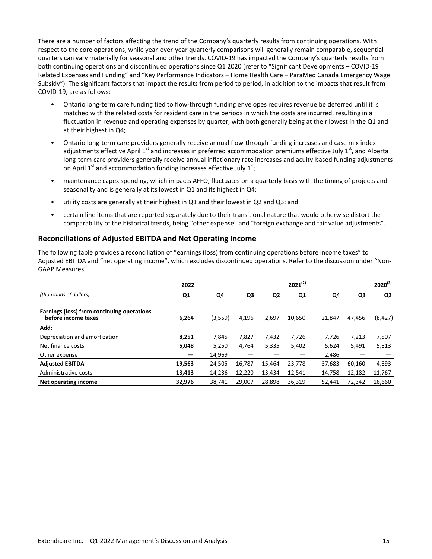There are a number of factors affecting the trend of the Company's quarterly results from continuing operations. With respect to the core operations, while year-over-year quarterly comparisons will generally remain comparable, sequential quarters can vary materially for seasonal and other trends. COVID-19 has impacted the Company's quarterly results from both continuing operations and discontinued operations since Q1 2020 (refer to "Significant Developments – COVID-19 Related Expenses and Funding" and "Key Performance Indicators – Home Health Care – ParaMed Canada Emergency Wage Subsidy"). The significant factors that impact the results from period to period, in addition to the impacts that result from COVID-19, are as follows:

- Ontario long-term care funding tied to flow-through funding envelopes requires revenue be deferred until it is matched with the related costs for resident care in the periods in which the costs are incurred, resulting in a fluctuation in revenue and operating expenses by quarter, with both generally being at their lowest in the Q1 and at their highest in Q4;
- Ontario long-term care providers generally receive annual flow-through funding increases and case mix index adjustments effective April  $1^{st}$  and increases in preferred accommodation premiums effective July  $1^{st}$ , and Alberta long-term care providers generally receive annual inflationary rate increases and acuity-based funding adjustments on April 1<sup>st</sup> and accommodation funding increases effective July 1<sup>st</sup>;
- maintenance capex spending, which impacts AFFO, fluctuates on a quarterly basis with the timing of projects and seasonality and is generally at its lowest in Q1 and its highest in Q4;
- utility costs are generally at their highest in Q1 and their lowest in Q2 and Q3; and
- certain line items that are reported separately due to their transitional nature that would otherwise distort the comparability of the historical trends, being "other expense" and "foreign exchange and fair value adjustments".

# **Reconciliations of Adjusted EBITDA and Net Operating Income**

The following table provides a reconciliation of "earnings (loss) from continuing operations before income taxes" to Adjusted EBITDA and "net operating income", which excludes discontinued operations. Refer to the discussion under "Non-GAAP Measures".

|                                                                   | 2022   |         |        |                | $2021^{(2)}$ |        |        | $2020^{(2)}$ |
|-------------------------------------------------------------------|--------|---------|--------|----------------|--------------|--------|--------|--------------|
| (thousands of dollars)                                            | Q1     | Q4      | Q3     | Q <sub>2</sub> | Q1           | Q4     | Q3     | Q2           |
| Earnings (loss) from continuing operations<br>before income taxes | 6,264  | (3,559) | 4,196  | 2,697          | 10,650       | 21,847 | 47.456 | (8, 427)     |
| Add:                                                              |        |         |        |                |              |        |        |              |
| Depreciation and amortization                                     | 8,251  | 7,845   | 7,827  | 7,432          | 7,726        | 7,726  | 7,213  | 7,507        |
| Net finance costs                                                 | 5,048  | 5,250   | 4,764  | 5,335          | 5,402        | 5,624  | 5,491  | 5,813        |
| Other expense                                                     |        | 14,969  |        |                |              | 2,486  |        |              |
| <b>Adjusted EBITDA</b>                                            | 19,563 | 24,505  | 16,787 | 15,464         | 23,778       | 37,683 | 60,160 | 4,893        |
| Administrative costs                                              | 13,413 | 14,236  | 12,220 | 13,434         | 12,541       | 14,758 | 12,182 | 11,767       |
| Net operating income                                              | 32,976 | 38.741  | 29,007 | 28.898         | 36,319       | 52,441 | 72,342 | 16,660       |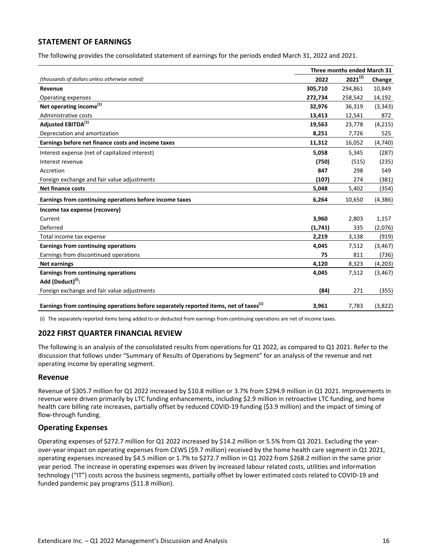### <span id="page-19-0"></span>**STATEMENT OF EARNINGS**

The following provides the consolidated statement of earnings for the periods ended March 31, 2022 and 2021.

|                                                                                                   |         | Three months ended March 31 |          |  |  |  |
|---------------------------------------------------------------------------------------------------|---------|-----------------------------|----------|--|--|--|
| (thousands of dollars unless otherwise noted)                                                     | 2022    | $2021^{(2)}$                | Change   |  |  |  |
| Revenue                                                                                           | 305,710 | 294,861                     | 10,849   |  |  |  |
| Operating expenses                                                                                | 272,734 | 258,542                     | 14,192   |  |  |  |
| Net operating income <sup>(1)</sup>                                                               | 32,976  | 36,319                      | (3, 343) |  |  |  |
| Administrative costs                                                                              | 13,413  | 12,541                      | 872      |  |  |  |
| Adjusted EBITDA <sup>(1)</sup>                                                                    | 19,563  | 23,778                      | (4, 215) |  |  |  |
| Depreciation and amortization                                                                     | 8,251   | 7,726                       | 525      |  |  |  |
| Earnings before net finance costs and income taxes                                                | 11,312  | 16,052                      | (4,740)  |  |  |  |
| Interest expense (net of capitalized interest)                                                    | 5,058   | 5,345                       | (287)    |  |  |  |
| Interest revenue                                                                                  | (750)   | (515)                       | (235)    |  |  |  |
| Accretion                                                                                         | 847     | 298                         | 549      |  |  |  |
| Foreign exchange and fair value adjustments                                                       | (107)   | 274                         | (381)    |  |  |  |
| <b>Net finance costs</b>                                                                          | 5,048   | 5,402                       | (354)    |  |  |  |
| Earnings from continuing operations before income taxes                                           | 6,264   | 10,650                      | (4,386)  |  |  |  |
| Income tax expense (recovery)                                                                     |         |                             |          |  |  |  |
| Current                                                                                           | 3,960   | 2,803                       | 1,157    |  |  |  |
| Deferred                                                                                          | (1,741) | 335                         | (2,076)  |  |  |  |
| Total income tax expense                                                                          | 2,219   | 3,138                       | (919)    |  |  |  |
| Earnings from continuing operations                                                               | 4,045   | 7,512                       | (3, 467) |  |  |  |
| Earnings from discontinued operations                                                             | 75      | 811                         | (736)    |  |  |  |
| <b>Net earnings</b>                                                                               | 4,120   | 8,323                       | (4,203)  |  |  |  |
| Earnings from continuing operations                                                               | 4,045   | 7,512                       | (3, 467) |  |  |  |
| Add (Deduct) <sup>(i)</sup> :                                                                     |         |                             |          |  |  |  |
| Foreign exchange and fair value adjustments                                                       | (84)    | 271                         | (355)    |  |  |  |
| Earnings from continuing operations before separately reported items, net of taxes <sup>(1)</sup> | 3,961   | 7,783                       | (3,822)  |  |  |  |

(i) The separately reported items being added to or deducted from earnings from continuing operations are net of income taxes.

#### **2022 FIRST QUARTER FINANCIAL REVIEW**

The following is an analysis of the consolidated results from operations for Q1 2022, as compared to Q1 2021. Refer to the discussion that follows under "Summary of Results of Operations by Segment" for an analysis of the revenue and net operating income by operating segment.

#### **Revenue**

Revenue of \$305.7 million for Q1 2022 increased by \$10.8 million or 3.7% from \$294.9 million in Q1 2021. Improvements in revenue were driven primarily by LTC funding enhancements, including \$2.9 million in retroactive LTC funding, and home health care billing rate increases, partially offset by reduced COVID-19 funding (\$3.9 million) and the impact of timing of flow-through funding.

#### **Operating Expenses**

Operating expenses of \$272.7 million for Q1 2022 increased by \$14.2 million or 5.5% from Q1 2021. Excluding the yearover-year impact on operating expenses from CEWS (\$9.7 million) received by the home health care segment in Q1 2021, operating expenses increased by \$4.5 million or 1.7% to \$272.7 million in Q1 2022 from \$268.2 million in the same prior year period. The increase in operating expenses was driven by increased labour related costs, utilities and information technology ("IT") costs across the business segments, partially offset by lower estimated costs related to COVID-19 and funded pandemic pay programs (\$11.8 million).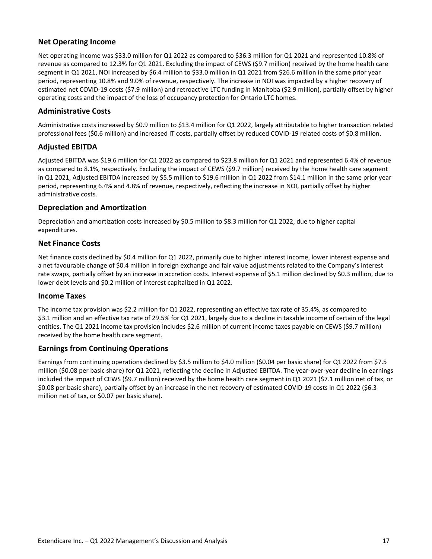# **Net Operating Income**

Net operating income was \$33.0 million for Q1 2022 as compared to \$36.3 million for Q1 2021 and represented 10.8% of revenue as compared to 12.3% for Q1 2021. Excluding the impact of CEWS (\$9.7 million) received by the home health care segment in Q1 2021, NOI increased by \$6.4 million to \$33.0 million in Q1 2021 from \$26.6 million in the same prior year period, representing 10.8% and 9.0% of revenue, respectively. The increase in NOI was impacted by a higher recovery of estimated net COVID-19 costs (\$7.9 million) and retroactive LTC funding in Manitoba (\$2.9 million), partially offset by higher operating costs and the impact of the loss of occupancy protection for Ontario LTC homes.

# **Administrative Costs**

Administrative costs increased by \$0.9 million to \$13.4 million for Q1 2022, largely attributable to higher transaction related professional fees (\$0.6 million) and increased IT costs, partially offset by reduced COVID-19 related costs of \$0.8 million.

# **Adjusted EBITDA**

Adjusted EBITDA was \$19.6 million for Q1 2022 as compared to \$23.8 million for Q1 2021 and represented 6.4% of revenue as compared to 8.1%, respectively. Excluding the impact of CEWS (\$9.7 million) received by the home health care segment in Q1 2021, Adjusted EBITDA increased by \$5.5 million to \$19.6 million in Q1 2022 from \$14.1 million in the same prior year period, representing 6.4% and 4.8% of revenue, respectively, reflecting the increase in NOI, partially offset by higher administrative costs.

# **Depreciation and Amortization**

Depreciation and amortization costs increased by \$0.5 million to \$8.3 million for Q1 2022, due to higher capital expenditures.

# **Net Finance Costs**

Net finance costs declined by \$0.4 million for Q1 2022, primarily due to higher interest income, lower interest expense and a net favourable change of \$0.4 million in foreign exchange and fair value adjustments related to the Company's interest rate swaps, partially offset by an increase in accretion costs. Interest expense of \$5.1 million declined by \$0.3 million, due to lower debt levels and \$0.2 million of interest capitalized in Q1 2022.

#### **Income Taxes**

The income tax provision was \$2.2 million for Q1 2022, representing an effective tax rate of 35.4%, as compared to \$3.1 million and an effective tax rate of 29.5% for Q1 2021, largely due to a decline in taxable income of certain of the legal entities. The Q1 2021 income tax provision includes \$2.6 million of current income taxes payable on CEWS (\$9.7 million) received by the home health care segment.

# **Earnings from Continuing Operations**

Earnings from continuing operations declined by \$3.5 million to \$4.0 million (\$0.04 per basic share) for Q1 2022 from \$7.5 million (\$0.08 per basic share) for Q1 2021, reflecting the decline in Adjusted EBITDA. The year-over-year decline in earnings included the impact of CEWS (\$9.7 million) received by the home health care segment in Q1 2021 (\$7.1 million net of tax, or \$0.08 per basic share), partially offset by an increase in the net recovery of estimated COVID-19 costs in Q1 2022 (\$6.3 million net of tax, or \$0.07 per basic share).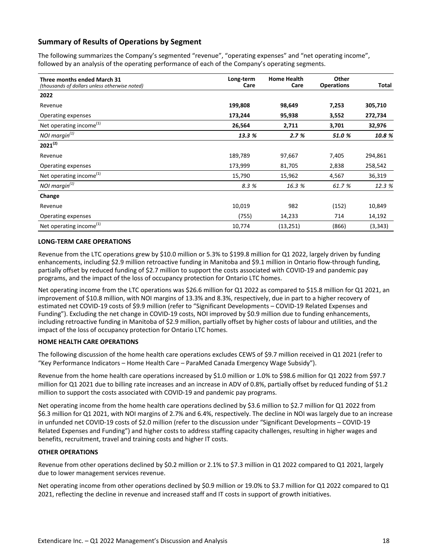# **Summary of Results of Operations by Segment**

The following summarizes the Company's segmented "revenue", "operating expenses" and "net operating income", followed by an analysis of the operating performance of each of the Company's operating segments.

| Three months ended March 31<br>(thousands of dollars unless otherwise noted) | Long-term<br>Care | <b>Home Health</b><br>Care | Other<br><b>Operations</b> | Total    |
|------------------------------------------------------------------------------|-------------------|----------------------------|----------------------------|----------|
| 2022                                                                         |                   |                            |                            |          |
| Revenue                                                                      | 199,808           | 98,649                     | 7,253                      | 305,710  |
| Operating expenses                                                           | 173,244           | 95,938                     | 3,552                      | 272,734  |
| Net operating income <sup>(1)</sup>                                          | 26,564            | 2,711                      | 3,701                      | 32,976   |
| NOI margin $(1)$                                                             | 13.3 %            | 2.7%                       | 51.0 %                     | 10.8 %   |
| $2021^{(2)}$                                                                 |                   |                            |                            |          |
| Revenue                                                                      | 189,789           | 97,667                     | 7,405                      | 294,861  |
| Operating expenses                                                           | 173,999           | 81,705                     | 2,838                      | 258,542  |
| Net operating income <sup>(1)</sup>                                          | 15,790            | 15,962                     | 4,567                      | 36,319   |
| NOI margin $(1)$                                                             | 8.3 %             | 16.3 %                     | 61.7 %                     | 12.3 %   |
| Change                                                                       |                   |                            |                            |          |
| Revenue                                                                      | 10,019            | 982                        | (152)                      | 10,849   |
| Operating expenses                                                           | (755)             | 14,233                     | 714                        | 14,192   |
| Net operating income <sup>(1)</sup>                                          | 10,774            | (13, 251)                  | (866)                      | (3, 343) |

#### **LONG-TERM CARE OPERATIONS**

Revenue from the LTC operations grew by \$10.0 million or 5.3% to \$199.8 million for Q1 2022, largely driven by funding enhancements, including \$2.9 million retroactive funding in Manitoba and \$9.1 million in Ontario flow-through funding, partially offset by reduced funding of \$2.7 million to support the costs associated with COVID-19 and pandemic pay programs, and the impact of the loss of occupancy protection for Ontario LTC homes.

Net operating income from the LTC operations was \$26.6 million for Q1 2022 as compared to \$15.8 million for Q1 2021, an improvement of \$10.8 million, with NOI margins of 13.3% and 8.3%, respectively, due in part to a higher recovery of estimated net COVID-19 costs of \$9.9 million (refer to "Significant Developments - COVID-19 Related Expenses and Funding"). Excluding the net change in COVID-19 costs, NOI improved by \$0.9 million due to funding enhancements, including retroactive funding in Manitoba of \$2.9 million, partially offset by higher costs of labour and utilities, and the impact of the loss of occupancy protection for Ontario LTC homes.

#### **HOME HEALTH CARE OPERATIONS**

The following discussion of the home health care operations excludes CEWS of \$9.7 million received in Q1 2021 (refer to "Key Performance Indicators - Home Health Care - ParaMed Canada Emergency Wage Subsidy").

Revenue from the home health care operations increased by \$1.0 million or 1.0% to \$98.6 million for Q1 2022 from \$97.7 million for Q1 2021 due to billing rate increases and an increase in ADV of 0.8%, partially offset by reduced funding of \$1.2 million to support the costs associated with COVID-19 and pandemic pay programs.

Net operating income from the home health care operations declined by \$3.6 million to \$2.7 million for Q1 2022 from \$6.3 million for Q1 2021, with NOI margins of 2.7% and 6.4%, respectively. The decline in NOI was largely due to an increase in unfunded net COVID-19 costs of \$2.0 million (refer to the discussion under "Significant Developments – COVID-19 Related Expenses and Funding") and higher costs to address staffing capacity challenges, resulting in higher wages and benefits, recruitment, travel and training costs and higher IT costs.

#### **OTHER OPERATIONS**

Revenue from other operations declined by \$0.2 million or 2.1% to \$7.3 million in Q1 2022 compared to Q1 2021, largely due to lower management services revenue.

Net operating income from other operations declined by \$0.9 million or 19.0% to \$3.7 million for Q1 2022 compared to Q1 2021, reflecting the decline in revenue and increased staff and IT costs in support of growth initiatives.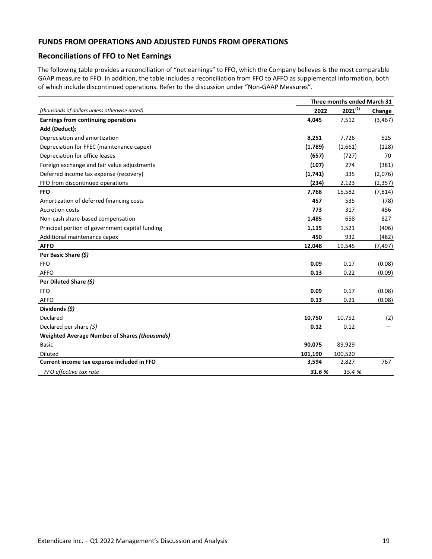#### <span id="page-22-0"></span>**FUNDS FROM OPERATIONS AND ADJUSTED FUNDS FROM OPERATIONS**

# **Reconciliations of FFO to Net Earnings**

The following table provides a reconciliation of "net earnings" to FFO, which the Company believes is the most comparable GAAP measure to FFO. In addition, the table includes a reconciliation from FFO to AFFO as supplemental information, both of which include discontinued operations. Refer to the discussion under "Non-GAAP Measures".

|                                                      |         | Three months ended March 31 |          |
|------------------------------------------------------|---------|-----------------------------|----------|
| (thousands of dollars unless otherwise noted)        | 2022    | $2021^{(2)}$                | Change   |
| Earnings from continuing operations                  | 4,045   | 7,512                       | (3, 467) |
| Add (Deduct):                                        |         |                             |          |
| Depreciation and amortization                        | 8,251   | 7,726                       | 525      |
| Depreciation for FFEC (maintenance capex)            | (1,789) | (1,661)                     | (128)    |
| Depreciation for office leases                       | (657)   | (727)                       | 70       |
| Foreign exchange and fair value adjustments          | (107)   | 274                         | (381)    |
| Deferred income tax expense (recovery)               | (1,741) | 335                         | (2,076)  |
| FFO from discontinued operations                     | (234)   | 2,123                       | (2, 357) |
| <b>FFO</b>                                           | 7,768   | 15,582                      | (7, 814) |
| Amortization of deferred financing costs             | 457     | 535                         | (78)     |
| <b>Accretion costs</b>                               | 773     | 317                         | 456      |
| Non-cash share-based compensation                    | 1,485   | 658                         | 827      |
| Principal portion of government capital funding      | 1,115   | 1,521                       | (406)    |
| Additional maintenance capex                         | 450     | 932                         | (482)    |
| <b>AFFO</b>                                          | 12,048  | 19,545                      | (7,497)  |
| Per Basic Share (\$)                                 |         |                             |          |
| <b>FFO</b>                                           | 0.09    | 0.17                        | (0.08)   |
| <b>AFFO</b>                                          | 0.13    | 0.22                        | (0.09)   |
| Per Diluted Share (\$)                               |         |                             |          |
| <b>FFO</b>                                           | 0.09    | 0.17                        | (0.08)   |
| <b>AFFO</b>                                          | 0.13    | 0.21                        | (0.08)   |
| Dividends (\$)                                       |         |                             |          |
| Declared                                             | 10,750  | 10,752                      | (2)      |
| Declared per share $(5)$                             | 0.12    | 0.12                        |          |
| <b>Weighted Average Number of Shares (thousands)</b> |         |                             |          |
| <b>Basic</b>                                         | 90,075  | 89,929                      |          |
| <b>Diluted</b>                                       | 101,190 | 100,520                     |          |
| Current income tax expense included in FFO           | 3,594   | 2,827                       | 767      |
| FFO effective tax rate                               | 31.6 %  | 15.4 %                      |          |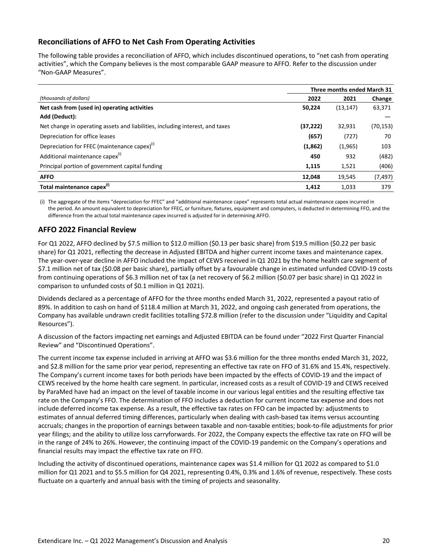# **Reconciliations of AFFO to Net Cash From Operating Activities**

The following table provides a reconciliation of AFFO, which includes discontinued operations, to "net cash from operating activities", which the Company believes is the most comparable GAAP measure to AFFO. Refer to the discussion under "Non-GAAP Measures".

|                                                                               | Three months ended March 31 |           |           |
|-------------------------------------------------------------------------------|-----------------------------|-----------|-----------|
| (thousands of dollars)                                                        | 2022                        | 2021      | Change    |
| Net cash from (used in) operating activities                                  | 50,224                      | (13, 147) | 63,371    |
| Add (Deduct):                                                                 |                             |           |           |
| Net change in operating assets and liabilities, including interest, and taxes | (37, 222)                   | 32,931    | (70, 153) |
| Depreciation for office leases                                                | (657)                       | (727)     | 70        |
| Depreciation for FFEC (maintenance capex) <sup>(i)</sup>                      | (1,862)                     | (1,965)   | 103       |
| Additional maintenance capex <sup>(i)</sup>                                   | 450                         | 932       | (482)     |
| Principal portion of government capital funding                               | 1,115                       | 1,521     | (406)     |
| <b>AFFO</b>                                                                   | 12,048                      | 19,545    | (7, 497)  |
| Total maintenance capex <sup>(i)</sup>                                        | 1.412                       | 1.033     | 379       |

(i) The aggregate of the items "depreciation for FFEC" and "additional maintenance capex" represents total actual maintenance capex incurred in the period. An amount equivalent to depreciation for FFEC, or furniture, fixtures, equipment and computers, is deducted in determining FFO, and the difference from the actual total maintenance capex incurred is adjusted for in determining AFFO.

# **AFFO 2022 Financial Review**

For Q1 2022, AFFO declined by \$7.5 million to \$12.0 million (\$0.13 per basic share) from \$19.5 million (\$0.22 per basic share) for Q1 2021, reflecting the decrease in Adjusted EBITDA and higher current income taxes and maintenance capex. The year-over-year decline in AFFO included the impact of CEWS received in Q1 2021 by the home health care segment of \$7.1 million net of tax (\$0.08 per basic share), partially offset by a favourable change in estimated unfunded COVID-19 costs from continuing operations of \$6.3 million net of tax (a net recovery of \$6.2 million (\$0.07 per basic share) in Q1 2022 in comparison to unfunded costs of \$0.1 million in Q1 2021).

Dividends declared as a percentage of AFFO for the three months ended March 31, 2022, represented a payout ratio of 89%. In addition to cash on hand of \$118.4 million at March 31, 2022, and ongoing cash generated from operations, the Company has available undrawn credit facilities totalling \$72.8 million (refer to the discussion under "Liquidity and Capital Resources").

A discussion of the factors impacting net earnings and Adjusted EBITDA can be found under "2022 First Quarter Financial Review" and "Discontinued Operations".

The current income tax expense included in arriving at AFFO was \$3.6 million for the three months ended March 31, 2022, and \$2.8 million for the same prior year period, representing an effective tax rate on FFO of 31.6% and 15.4%, respectively. The Company's current income taxes for both periods have been impacted by the effects of COVID-19 and the impact of CEWS received by the home health care segment. In particular, increased costs as a result of COVID-19 and CEWS received by ParaMed have had an impact on the level of taxable income in our various legal entities and the resulting effective tax rate on the Company's FFO. The determination of FFO includes a deduction for current income tax expense and does not include deferred income tax expense. As a result, the effective tax rates on FFO can be impacted by: adjustments to estimates of annual deferred timing differences, particularly when dealing with cash-based tax items versus accounting accruals; changes in the proportion of earnings between taxable and non-taxable entities; book-to-file adjustments for prior year filings; and the ability to utilize loss carryforwards. For 2022, the Company expects the effective tax rate on FFO will be in the range of 24% to 26%. However, the continuing impact of the COVID-19 pandemic on the Company's operations and financial results may impact the effective tax rate on FFO.

Including the activity of discontinued operations, maintenance capex was \$1.4 million for Q1 2022 as compared to \$1.0 million for Q1 2021 and to \$5.5 million for Q4 2021, representing 0.4%, 0.3% and 1.6% of revenue, respectively. These costs fluctuate on a quarterly and annual basis with the timing of projects and seasonality.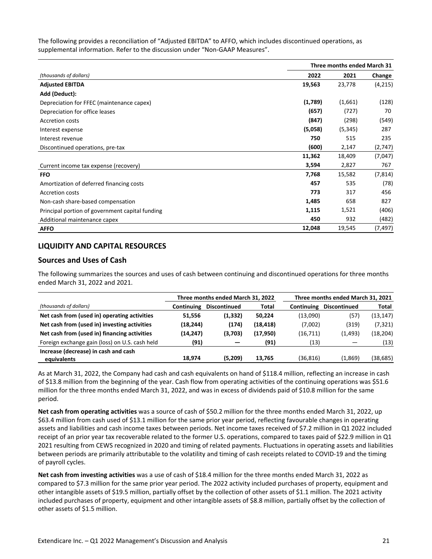<span id="page-24-0"></span>The following provides a reconciliation of "Adjusted EBITDA" to AFFO, which includes discontinued operations, as supplemental information. Refer to the discussion under "Non-GAAP Measures".

|                                                 | Three months ended March 31 |          |          |
|-------------------------------------------------|-----------------------------|----------|----------|
| (thousands of dollars)                          | 2022                        | 2021     | Change   |
| <b>Adjusted EBITDA</b>                          | 19,563                      | 23,778   | (4,215)  |
| Add (Deduct):                                   |                             |          |          |
| Depreciation for FFEC (maintenance capex)       | (1,789)                     | (1,661)  | (128)    |
| Depreciation for office leases                  | (657)                       | (727)    | 70       |
| <b>Accretion costs</b>                          | (847)                       | (298)    | (549)    |
| Interest expense                                | (5,058)                     | (5, 345) | 287      |
| Interest revenue                                | 750                         | 515      | 235      |
| Discontinued operations, pre-tax                | (600)                       | 2,147    | (2,747)  |
|                                                 | 11,362                      | 18,409   | (7,047)  |
| Current income tax expense (recovery)           | 3,594                       | 2,827    | 767      |
| <b>FFO</b>                                      | 7,768                       | 15,582   | (7, 814) |
| Amortization of deferred financing costs        | 457                         | 535      | (78)     |
| <b>Accretion costs</b>                          | 773                         | 317      | 456      |
| Non-cash share-based compensation               | 1,485                       | 658      | 827      |
| Principal portion of government capital funding | 1,115                       | 1,521    | (406)    |
| Additional maintenance capex                    | 450                         | 932      | (482)    |
| <b>AFFO</b>                                     | 12,048                      | 19,545   | (7, 497) |

# **LIQUIDITY AND CAPITAL RESOURCES**

# **Sources and Uses of Cash**

The following summarizes the sources and uses of cash between continuing and discontinued operations for three months ended March 31, 2022 and 2021.

|                                                |                   | Three months ended March 31, 2022 |              |            | Three months ended March 31, 2021 |           |
|------------------------------------------------|-------------------|-----------------------------------|--------------|------------|-----------------------------------|-----------|
| (thousands of dollars)                         | <b>Continuing</b> | <b>Discontinued</b>               | <b>Total</b> | Continuing | Discontinued                      | Total     |
| Net cash from (used in) operating activities   | 51,556            | (1, 332)                          | 50,224       | (13,090)   | (57)                              | (13, 147) |
| Net cash from (used in) investing activities   | (18, 244)         | (174)                             | (18, 418)    | (7,002)    | (319)                             | (7, 321)  |
| Net cash from (used in) financing activities   | (14, 247)         | (3,703)                           | (17, 950)    | (16, 711)  | (1, 493)                          | (18, 204) |
| Foreign exchange gain (loss) on U.S. cash held | (91)              |                                   | (91)         | (13)       |                                   | (13)      |
| Increase (decrease) in cash and cash           |                   |                                   |              |            |                                   |           |
| equivalents                                    | 18.974            | (5,209)                           | 13.765       | (36, 816)  | (1,869)                           | (38,685)  |

As at March 31, 2022, the Company had cash and cash equivalents on hand of \$118.4 million, reflecting an increase in cash of \$13.8 million from the beginning of the year. Cash flow from operating activities of the continuing operations was \$51.6 million for the three months ended March 31, 2022, and was in excess of dividends paid of \$10.8 million for the same period. 

Net cash from operating activities was a source of cash of \$50.2 million for the three months ended March 31, 2022, up \$63.4 million from cash used of \$13.1 million for the same prior year period, reflecting favourable changes in operating assets and liabilities and cash income taxes between periods. Net income taxes received of \$7.2 million in Q1 2022 included receipt of an prior year tax recoverable related to the former U.S. operations, compared to taxes paid of \$22.9 million in Q1 2021 resulting from CEWS recognized in 2020 and timing of related payments. Fluctuations in operating assets and liabilities between periods are primarily attributable to the volatility and timing of cash receipts related to COVID-19 and the timing of payroll cycles.

Net cash from investing activities was a use of cash of \$18.4 million for the three months ended March 31, 2022 as compared to \$7.3 million for the same prior year period. The 2022 activity included purchases of property, equipment and other intangible assets of \$19.5 million, partially offset by the collection of other assets of \$1.1 million. The 2021 activity included purchases of property, equipment and other intangible assets of \$8.8 million, partially offset by the collection of other assets of \$1.5 million.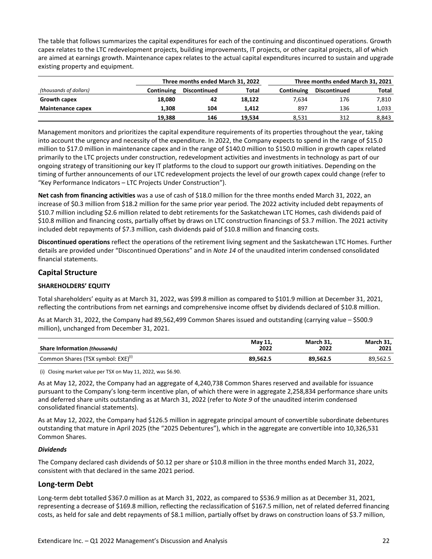The table that follows summarizes the capital expenditures for each of the continuing and discontinued operations. Growth capex relates to the LTC redevelopment projects, building improvements, IT projects, or other capital projects, all of which are aimed at earnings growth. Maintenance capex relates to the actual capital expenditures incurred to sustain and upgrade existing property and equipment.

|                          |            | Three months ended March 31, 2022 |        |            | Three months ended March 31, 2021 |       |
|--------------------------|------------|-----------------------------------|--------|------------|-----------------------------------|-------|
| (thousands of dollars)   | Continuing | Discontinued                      | Total  | Continuing | Total                             |       |
| Growth capex             | 18.080     | 42                                | 18.122 | 7.634      | 176                               | 7,810 |
| <b>Maintenance capex</b> | 1.308      | 104                               | 1.412  | 897        | 136                               | 1,033 |
|                          | 19,388     | 146                               | 19,534 | 8.531      | 312                               | 8.843 |

Management monitors and prioritizes the capital expenditure requirements of its properties throughout the year, taking into account the urgency and necessity of the expenditure. In 2022, the Company expects to spend in the range of \$15.0 million to \$17.0 million in maintenance capex and in the range of \$140.0 million to \$150.0 million in growth capex related primarily to the LTC projects under construction, redevelopment activities and investments in technology as part of our ongoing strategy of transitioning our key IT platforms to the cloud to support our growth initiatives. Depending on the timing of further announcements of our LTC redevelopment projects the level of our growth capex could change (refer to "Key Performance Indicators - LTC Projects Under Construction").

**Net cash from financing activities** was a use of cash of \$18.0 million for the three months ended March 31, 2022, an increase of \$0.3 million from \$18.2 million for the same prior year period. The 2022 activity included debt repayments of \$10.7 million including \$2.6 million related to debt retirements for the Saskatchewan LTC Homes, cash dividends paid of \$10.8 million and financing costs, partially offset by draws on LTC construction financings of \$3.7 million. The 2021 activity included debt repayments of \$7.3 million, cash dividends paid of \$10.8 million and financing costs.

**Discontinued operations** reflect the operations of the retirement living segment and the Saskatchewan LTC Homes. Further details are provided under "Discontinued Operations" and in *Note 14* of the unaudited interim condensed consolidated financial statements.

# **Capital Structure**

#### **SHAREHOLDERS' EQUITY**

Total shareholders' equity as at March 31, 2022, was \$99.8 million as compared to \$101.9 million at December 31, 2021, reflecting the contributions from net earnings and comprehensive income offset by dividends declared of \$10.8 million.

As at March 31, 2022, the Company had 89,562,499 Common Shares issued and outstanding (carrying value – \$500.9 million), unchanged from December 31, 2021.

| <b>Share Information (thousands)</b>           | May 11,  | March 31. | March 31. |
|------------------------------------------------|----------|-----------|-----------|
|                                                | 2022     | 2022      | 2021      |
| Common Shares (TSX symbol: EXE) <sup>(1)</sup> | 89.562.5 | 89.562.5  | 89.562.5  |

(i) Closing market value per TSX on May 11, 2022, was \$6.90.

As at May 12, 2022, the Company had an aggregate of 4,240,738 Common Shares reserved and available for issuance pursuant to the Company's long-term incentive plan, of which there were in aggregate 2,258,834 performance share units and deferred share units outstanding as at March 31, 2022 (refer to *Note 9* of the unaudited interim condensed consolidated financial statements).

As at May 12, 2022, the Company had \$126.5 million in aggregate principal amount of convertible subordinate debentures outstanding that mature in April 2025 (the "2025 Debentures"), which in the aggregate are convertible into 10,326,531 Common Shares.

#### *Dividends*

The Company declared cash dividends of \$0.12 per share or \$10.8 million in the three months ended March 31, 2022, consistent with that declared in the same 2021 period.

# **Long-term Debt**

Long-term debt totalled \$367.0 million as at March 31, 2022, as compared to \$536.9 million as at December 31, 2021, representing a decrease of \$169.8 million, reflecting the reclassification of \$167.5 million, net of related deferred financing costs, as held for sale and debt repayments of \$8.1 million, partially offset by draws on construction loans of \$3.7 million,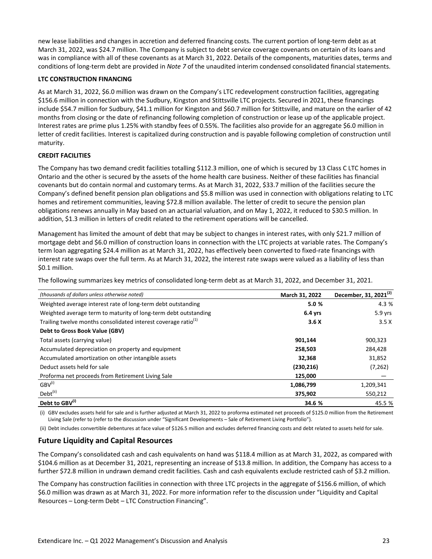new lease liabilities and changes in accretion and deferred financing costs. The current portion of long-term debt as at March 31, 2022, was \$24.7 million. The Company is subject to debt service coverage covenants on certain of its loans and was in compliance with all of these covenants as at March 31, 2022. Details of the components, maturities dates, terms and conditions of long-term debt are provided in *Note* 7 of the unaudited interim condensed consolidated financial statements.

#### **LTC CONSTRUCTION FINANCING**

As at March 31, 2022, \$6.0 million was drawn on the Company's LTC redevelopment construction facilities, aggregating \$156.6 million in connection with the Sudbury, Kingston and Stittsville LTC projects. Secured in 2021, these financings include \$54.7 million for Sudbury, \$41.1 million for Kingston and \$60.7 million for Stittsville, and mature on the earlier of 42 months from closing or the date of refinancing following completion of construction or lease up of the applicable project. Interest rates are prime plus 1.25% with standby fees of 0.55%. The facilities also provide for an aggregate \$6.0 million in letter of credit facilities. Interest is capitalized during construction and is payable following completion of construction until maturity.

#### **CREDIT FACILITIES**

The Company has two demand credit facilities totalling \$112.3 million, one of which is secured by 13 Class C LTC homes in Ontario and the other is secured by the assets of the home health care business. Neither of these facilities has financial covenants but do contain normal and customary terms. As at March 31, 2022, \$33.7 million of the facilities secure the Company's defined benefit pension plan obligations and \$5.8 million was used in connection with obligations relating to LTC homes and retirement communities, leaving \$72.8 million available. The letter of credit to secure the pension plan obligations renews annually in May based on an actuarial valuation, and on May 1, 2022, it reduced to \$30.5 million. In addition, \$1.3 million in letters of credit related to the retirement operations will be cancelled.

Management has limited the amount of debt that may be subject to changes in interest rates, with only \$21.7 million of mortgage debt and \$6.0 million of construction loans in connection with the LTC projects at variable rates. The Company's term loan aggregating \$24.4 million as at March 31, 2022, has effectively been converted to fixed-rate financings with interest rate swaps over the full term. As at March 31, 2022, the interest rate swaps were valued as a liability of less than \$0.1 million.

The following summarizes key metrics of consolidated long-term debt as at March 31, 2022, and December 31, 2021.

| (thousands of dollars unless otherwise noted)                              | March 31, 2022 | December, 31, 2021 <sup>(2)</sup> |
|----------------------------------------------------------------------------|----------------|-----------------------------------|
| Weighted average interest rate of long-term debt outstanding               | 5.0%           | 4.3 %                             |
| Weighted average term to maturity of long-term debt outstanding            | $6.4$ yrs      | 5.9 yrs                           |
| Trailing twelve months consolidated interest coverage ratio <sup>(1)</sup> | 3.6X           | 3.5X                              |
| Debt to Gross Book Value (GBV)                                             |                |                                   |
| Total assets (carrying value)                                              | 901,144        | 900,323                           |
| Accumulated depreciation on property and equipment                         | 258,503        | 284,428                           |
| Accumulated amortization on other intangible assets                        | 32,368         | 31,852                            |
| Deduct assets held for sale                                                | (230, 216)     | (7, 262)                          |
| Proforma net proceeds from Retirement Living Sale                          | 125,000        |                                   |
| $GBV^{(i)}$                                                                | 1,086,799      | 1,209,341                         |
| Debt <sup>(ii)</sup>                                                       | 375,902        | 550,212                           |
| Debt to GBV <sup>(1)</sup>                                                 | 34.6 %         | 45.5 %                            |

(i) GBV excludes assets held for sale and is further adjusted at March 31, 2022 to proforma estimated net proceeds of \$125.0 million from the Retirement Living Sale (refer to (refer to the discussion under "Significant Developments - Sale of Retirement Living Portfolio").

(ii) Debt includes convertible debentures at face value of \$126.5 million and excludes deferred financing costs and debt related to assets held for sale.

# **Future Liquidity and Capital Resources**

The Company's consolidated cash and cash equivalents on hand was \$118.4 million as at March 31, 2022, as compared with \$104.6 million as at December 31, 2021, representing an increase of \$13.8 million. In addition, the Company has access to a further \$72.8 million in undrawn demand credit facilities. Cash and cash equivalents exclude restricted cash of \$3.2 million.

The Company has construction facilities in connection with three LTC projects in the aggregate of \$156.6 million, of which \$6.0 million was drawn as at March 31, 2022. For more information refer to the discussion under "Liquidity and Capital Resources - Long-term Debt - LTC Construction Financing".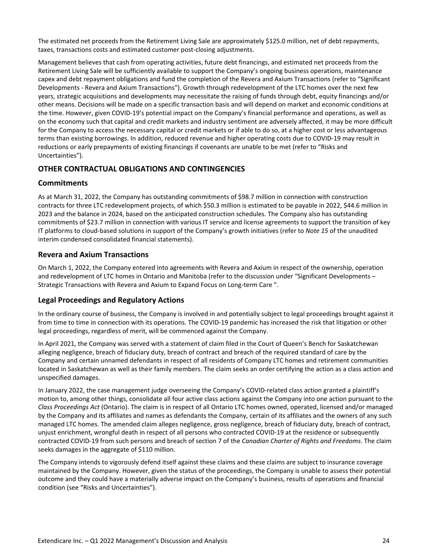<span id="page-27-0"></span>The estimated net proceeds from the Retirement Living Sale are approximately \$125.0 million, net of debt repayments, taxes, transactions costs and estimated customer post-closing adjustments.

Management believes that cash from operating activities, future debt financings, and estimated net proceeds from the Retirement Living Sale will be sufficiently available to support the Company's ongoing business operations, maintenance capex and debt repayment obligations and fund the completion of the Revera and Axium Transactions (refer to "Significant Developments - Revera and Axium Transactions"). Growth through redevelopment of the LTC homes over the next few years, strategic acquisitions and developments may necessitate the raising of funds through debt, equity financings and/or other means. Decisions will be made on a specific transaction basis and will depend on market and economic conditions at the time. However, given COVID-19's potential impact on the Company's financial performance and operations, as well as on the economy such that capital and credit markets and industry sentiment are adversely affected, it may be more difficult for the Company to access the necessary capital or credit markets or if able to do so, at a higher cost or less advantageous terms than existing borrowings. In addition, reduced revenue and higher operating costs due to COVID-19 may result in reductions or early prepayments of existing financings if covenants are unable to be met (refer to "Risks and Uncertainties").

# **OTHER CONTRACTUAL OBLIGATIONS AND CONTINGENCIES**

#### **Commitments**

As at March 31, 2022, the Company has outstanding commitments of \$98.7 million in connection with construction contracts for three LTC redevelopment projects, of which \$50.3 million is estimated to be payable in 2022, \$44.6 million in 2023 and the balance in 2024, based on the anticipated construction schedules. The Company also has outstanding commitments of \$23.7 million in connection with various IT service and license agreements to support the transition of key IT platforms to cloud-based solutions in support of the Company's growth initiatives (refer to *Note 15* of the unaudited interim condensed consolidated financial statements).

# **Revera and Axium Transactions**

On March 1, 2022, the Company entered into agreements with Revera and Axium in respect of the ownership, operation and redevelopment of LTC homes in Ontario and Manitoba (refer to the discussion under "Significant Developments -Strategic Transactions with Revera and Axium to Expand Focus on Long-term Care ".

# Legal Proceedings and Regulatory Actions

In the ordinary course of business, the Company is involved in and potentially subject to legal proceedings brought against it from time to time in connection with its operations. The COVID-19 pandemic has increased the risk that litigation or other legal proceedings, regardless of merit, will be commenced against the Company.

In April 2021, the Company was served with a statement of claim filed in the Court of Queen's Bench for Saskatchewan alleging negligence, breach of fiduciary duty, breach of contract and breach of the required standard of care by the Company and certain unnamed defendants in respect of all residents of Company LTC homes and retirement communities located in Saskatchewan as well as their family members. The claim seeks an order certifying the action as a class action and unspecified damages.

In January 2022, the case management judge overseeing the Company's COVID-related class action granted a plaintiff's motion to, among other things, consolidate all four active class actions against the Company into one action pursuant to the *Class Proceedings Act* (Ontario). The claim is in respect of all Ontario LTC homes owned, operated, licensed and/or managed by the Company and its affiliates and names as defendants the Company, certain of its affiliates and the owners of any such managed LTC homes. The amended claim alleges negligence, gross negligence, breach of fiduciary duty, breach of contract, unjust enrichment, wrongful death in respect of all persons who contracted COVID-19 at the residence or subsequently contracted COVID-19 from such persons and breach of section 7 of the *Canadian Charter of Rights and Freedoms*. The claim seeks damages in the aggregate of \$110 million.

The Company intends to vigorously defend itself against these claims and these claims are subject to insurance coverage maintained by the Company. However, given the status of the proceedings, the Company is unable to assess their potential outcome and they could have a materially adverse impact on the Company's business, results of operations and financial condition (see "Risks and Uncertainties").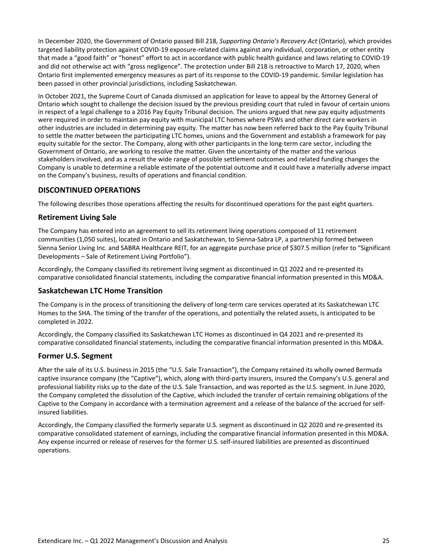<span id="page-28-0"></span>In December 2020, the Government of Ontario passed Bill 218, *Supporting Ontario's Recovery Act* (Ontario), which provides targeted liability protection against COVID-19 exposure-related claims against any individual, corporation, or other entity that made a "good faith" or "honest" effort to act in accordance with public health guidance and laws relating to COVID-19 and did not otherwise act with "gross negligence". The protection under Bill 218 is retroactive to March 17, 2020, when Ontario first implemented emergency measures as part of its response to the COVID-19 pandemic. Similar legislation has been passed in other provincial jurisdictions, including Saskatchewan.

In October 2021, the Supreme Court of Canada dismissed an application for leave to appeal by the Attorney General of Ontario which sought to challenge the decision issued by the previous presiding court that ruled in favour of certain unions in respect of a legal challenge to a 2016 Pay Equity Tribunal decision. The unions argued that new pay equity adjustments were required in order to maintain pay equity with municipal LTC homes where PSWs and other direct care workers in other industries are included in determining pay equity. The matter has now been referred back to the Pay Equity Tribunal to settle the matter between the participating LTC homes, unions and the Government and establish a framework for pay equity suitable for the sector. The Company, along with other participants in the long-term care sector, including the Government of Ontario, are working to resolve the matter. Given the uncertainty of the matter and the various stakeholders involved, and as a result the wide range of possible settlement outcomes and related funding changes the Company is unable to determine a reliable estimate of the potential outcome and it could have a materially adverse impact on the Company's business, results of operations and financial condition.

# **DISCONTINUED OPERATIONS**

The following describes those operations affecting the results for discontinued operations for the past eight quarters.

# **Retirement Living Sale**

The Company has entered into an agreement to sell its retirement living operations composed of 11 retirement communities (1,050 suites), located in Ontario and Saskatchewan, to Sienna-Sabra LP, a partnership formed between Sienna Senior Living Inc. and SABRA Healthcare REIT, for an aggregate purchase price of \$307.5 million (refer to "Significant Developments - Sale of Retirement Living Portfolio").

Accordingly, the Company classified its retirement living segment as discontinued in Q1 2022 and re-presented its comparative consolidated financial statements, including the comparative financial information presented in this MD&A.

# **Saskatchewan LTC Home Transition**

The Company is in the process of transitioning the delivery of long-term care services operated at its Saskatchewan LTC Homes to the SHA. The timing of the transfer of the operations, and potentially the related assets, is anticipated to be completed in 2022.

Accordingly, the Company classified its Saskatchewan LTC Homes as discontinued in Q4 2021 and re-presented its comparative consolidated financial statements, including the comparative financial information presented in this MD&A.

#### **Former U.S. Segment**

After the sale of its U.S. business in 2015 (the "U.S. Sale Transaction"), the Company retained its wholly owned Bermuda captive insurance company (the "Captive"), which, along with third-party insurers, insured the Company's U.S. general and professional liability risks up to the date of the U.S. Sale Transaction, and was reported as the U.S. segment. In June 2020, the Company completed the dissolution of the Captive, which included the transfer of certain remaining obligations of the Captive to the Company in accordance with a termination agreement and a release of the balance of the accrued for selfinsured liabilities.

Accordingly, the Company classified the formerly separate U.S. segment as discontinued in Q2 2020 and re-presented its comparative consolidated statement of earnings, including the comparative financial information presented in this MD&A. Any expense incurred or release of reserves for the former U.S. self-insured liabilities are presented as discontinued operations.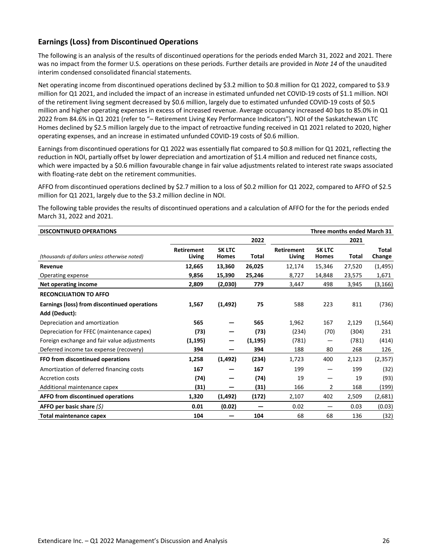# **Earnings (Loss) from Discontinued Operations**

The following is an analysis of the results of discontinued operations for the periods ended March 31, 2022 and 2021. There was no impact from the former U.S. operations on these periods. Further details are provided in *Note 14* of the unaudited interim condensed consolidated financial statements.

Net operating income from discontinued operations declined by \$3.2 million to \$0.8 million for Q1 2022, compared to \$3.9 million for Q1 2021, and included the impact of an increase in estimated unfunded net COVID-19 costs of \$1.1 million. NOI of the retirement living segment decreased by \$0.6 million, largely due to estimated unfunded COVID-19 costs of \$0.5 million and higher operating expenses in excess of increased revenue. Average occupancy increased 40 bps to 85.0% in Q1 2022 from 84.6% in Q1 2021 (refer to "- Retirement Living Key Performance Indicators"). NOI of the Saskatchewan LTC Homes declined by \$2.5 million largely due to the impact of retroactive funding received in Q1 2021 related to 2020, higher operating expenses, and an increase in estimated unfunded COVID-19 costs of \$0.6 million.

Earnings from discontinued operations for Q1 2022 was essentially flat compared to \$0.8 million for Q1 2021, reflecting the reduction in NOI, partially offset by lower depreciation and amortization of \$1.4 million and reduced net finance costs, which were impacted by a \$0.6 million favourable change in fair value adjustments related to interest rate swaps associated with floating-rate debt on the retirement communities.

AFFO from discontinued operations declined by \$2.7 million to a loss of \$0.2 million for Q1 2022, compared to AFFO of \$2.5 million for Q1 2021, largely due to the \$3.2 million decline in NOI.

The following table provides the results of discontinued operations and a calculation of AFFO for the for the periods ended March 31, 2022 and 2021.

| Three months ended March 31<br><b>DISCONTINUED OPERATIONS</b> |                             |                               |          |                             |                               |        |                 |
|---------------------------------------------------------------|-----------------------------|-------------------------------|----------|-----------------------------|-------------------------------|--------|-----------------|
|                                                               |                             |                               | 2022     |                             |                               | 2021   |                 |
| (thousands of dollars unless otherwise noted)                 | <b>Retirement</b><br>Living | <b>SK LTC</b><br><b>Homes</b> | Total    | <b>Retirement</b><br>Living | <b>SK LTC</b><br><b>Homes</b> | Total  | Total<br>Change |
| Revenue                                                       | 12,665                      | 13,360                        | 26,025   | 12,174                      | 15,346                        | 27,520 | (1, 495)        |
| Operating expense                                             | 9,856                       | 15,390                        | 25,246   | 8,727                       | 14,848                        | 23,575 | 1,671           |
| Net operating income                                          | 2,809                       | (2,030)                       | 779      | 3,447                       | 498                           | 3,945  | (3, 166)        |
| <b>RECONCILIATION TO AFFO</b>                                 |                             |                               |          |                             |                               |        |                 |
| Earnings (loss) from discontinued operations                  | 1,567                       | (1, 492)                      | 75       | 588                         | 223                           | 811    | (736)           |
| Add (Deduct):                                                 |                             |                               |          |                             |                               |        |                 |
| Depreciation and amortization                                 | 565                         |                               | 565      | 1,962                       | 167                           | 2,129  | (1, 564)        |
| Depreciation for FFEC (maintenance capex)                     | (73)                        |                               | (73)     | (234)                       | (70)                          | (304)  | 231             |
| Foreign exchange and fair value adjustments                   | (1, 195)                    | –                             | (1, 195) | (781)                       |                               | (781)  | (414)           |
| Deferred income tax expense (recovery)                        | 394                         |                               | 394      | 188                         | 80                            | 268    | 126             |
| FFO from discontinued operations                              | 1,258                       | (1, 492)                      | (234)    | 1,723                       | 400                           | 2,123  | (2, 357)        |
| Amortization of deferred financing costs                      | 167                         |                               | 167      | 199                         |                               | 199    | (32)            |
| <b>Accretion costs</b>                                        | (74)                        |                               | (74)     | 19                          |                               | 19     | (93)            |
| Additional maintenance capex                                  | (31)                        |                               | (31)     | 166                         | 2                             | 168    | (199)           |
| AFFO from discontinued operations                             | 1,320                       | (1, 492)                      | (172)    | 2,107                       | 402                           | 2,509  | (2,681)         |
| AFFO per basic share $(\xi)$                                  | 0.01                        | (0.02)                        |          | 0.02                        | -                             | 0.03   | (0.03)          |
| <b>Total maintenance capex</b>                                | 104                         |                               | 104      | 68                          | 68                            | 136    | (32)            |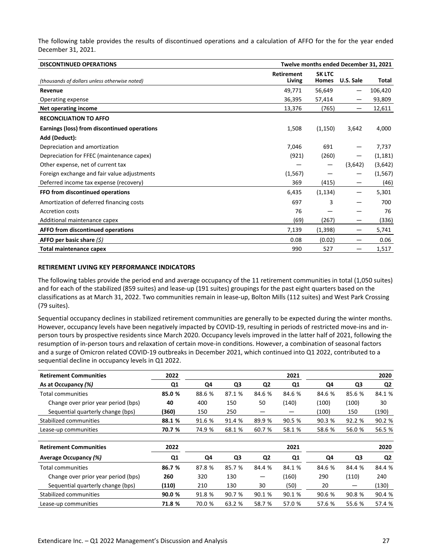The following table provides the results of discontinued operations and a calculation of AFFO for the for the year ended December 31, 2021.

| <b>DISCONTINUED OPERATIONS</b>                | Twelve months ended December 31, 2021 |                               |           |          |
|-----------------------------------------------|---------------------------------------|-------------------------------|-----------|----------|
| (thousands of dollars unless otherwise noted) | <b>Retirement</b><br>Living           | <b>SK LTC</b><br><b>Homes</b> | U.S. Sale | Total    |
| Revenue                                       | 49,771                                | 56,649                        | —         | 106,420  |
| Operating expense                             | 36,395                                | 57,414                        |           | 93,809   |
| Net operating income                          | 13,376                                | (765)                         |           | 12,611   |
| <b>RECONCILIATION TO AFFO</b>                 |                                       |                               |           |          |
| Earnings (loss) from discontinued operations  | 1,508                                 | (1, 150)                      | 3,642     | 4,000    |
| Add (Deduct):                                 |                                       |                               |           |          |
| Depreciation and amortization                 | 7,046                                 | 691                           |           | 7,737    |
| Depreciation for FFEC (maintenance capex)     | (921)                                 | (260)                         | —         | (1, 181) |
| Other expense, net of current tax             |                                       |                               | (3,642)   | (3,642)  |
| Foreign exchange and fair value adjustments   | (1, 567)                              |                               |           | (1, 567) |
| Deferred income tax expense (recovery)        | 369                                   | (415)                         |           | (46)     |
| FFO from discontinued operations              | 6,435                                 | (1, 134)                      | —         | 5,301    |
| Amortization of deferred financing costs      | 697                                   | 3                             |           | 700      |
| <b>Accretion costs</b>                        | 76                                    |                               |           | 76       |
| Additional maintenance capex                  | (69)                                  | (267)                         |           | (336)    |
| AFFO from discontinued operations             | 7,139                                 | (1, 398)                      | -         | 5,741    |
| AFFO per basic share $(5)$                    | 0.08                                  | (0.02)                        |           | 0.06     |
| Total maintenance capex                       | 990                                   | 527                           |           | 1,517    |

#### **RETIREMENT LIVING KEY PERFORMANCE INDICATORS**

The following tables provide the period end and average occupancy of the 11 retirement communities in total (1,050 suites) and for each of the stabilized (859 suites) and lease-up (191 suites) groupings for the past eight quarters based on the classifications as at March 31, 2022. Two communities remain in lease-up, Bolton Mills (112 suites) and West Park Crossing (79 suites).

Sequential occupancy declines in stabilized retirement communities are generally to be expected during the winter months. However, occupancy levels have been negatively impacted by COVID-19, resulting in periods of restricted move-ins and inperson tours by prospective residents since March 2020. Occupancy levels improved in the latter half of 2021, following the resumption of in-person tours and relaxation of certain move-in conditions. However, a combination of seasonal factors and a surge of Omicron related COVID-19 outbreaks in December 2021, which continued into Q1 2022, contributed to a sequential decline in occupancy levels in Q1 2022.

| <b>Retirement Communities</b>       | 2022           |        |        |                | 2021   |        |        | 2020   |
|-------------------------------------|----------------|--------|--------|----------------|--------|--------|--------|--------|
| As at Occupancy (%)                 | Q <sub>1</sub> | Q4     | Q3     | Q <sub>2</sub> | Q1     | Q4     | Q3     | Q2     |
| Total communities                   | 85.0 %         | 88.6 % | 87.1 % | 84.6 %         | 84.6 % | 84.6 % | 85.6 % | 84.1 % |
| Change over prior year period (bps) | 40             | 400    | 150    | 50             | (140)  | (100)  | (100)  | 30     |
| Sequential quarterly change (bps)   | (360)          | 150    | 250    | –              | —      | (100)  | 150    | (190)  |
| Stabilized communities              | 88.1 %         | 91.6 % | 91.4 % | 89.9 %         | 90.5 % | 90.3 % | 92.2 % | 90.2 % |
| Lease-up communities                | 70.7 %         | 74.9 % | 68.1 % | 60.7 %         | 58.1 % | 58.6 % | 56.0%  | 56.5 % |
| <b>Retirement Communities</b>       | 2022           |        |        |                | 2021   |        |        | 2020   |
| <b>Average Occupancy (%)</b>        | Q <sub>1</sub> | Q4     | Q3     | Q <sub>2</sub> | Q1     | Q4     | Q3     | Q2     |
| <b>Total communities</b>            | 86.7 %         | 87.8 % | 85.7 % | 84.4 %         | 84.1 % | 84.6 % | 84.4 % | 84.4 % |
| Change over prior year period (bps) | 260            | 320    | 130    | —              | (160)  | 290    | (110)  | 240    |
| Sequential quarterly change (bps)   | (110)          | 210    | 130    | 30             | (50)   | 20     | —      | (130)  |
| Stabilized communities              | 90.0%          | 91.8 % | 90.7 % | 90.1 %         | 90.1 % | 90.6 % | 90.8 % | 90.4 % |
| Lease-up communities                | 71.8 %         | 70.0 % | 63.2 % | 58.7 %         | 57.0%  | 57.6 % | 55.6 % | 57.4 % |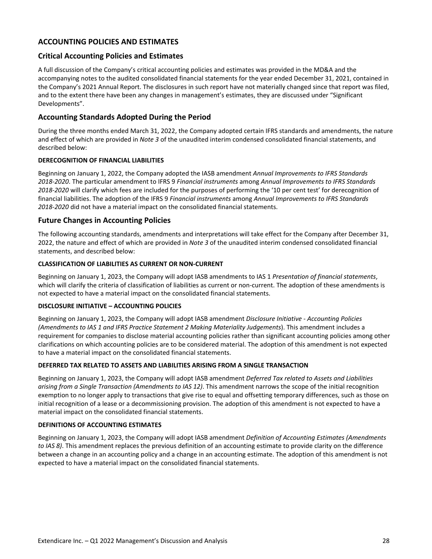# <span id="page-31-0"></span>**ACCOUNTING POLICIES AND ESTIMATES**

# **Critical Accounting Policies and Estimates**

A full discussion of the Company's critical accounting policies and estimates was provided in the MD&A and the accompanying notes to the audited consolidated financial statements for the year ended December 31, 2021, contained in the Company's 2021 Annual Report. The disclosures in such report have not materially changed since that report was filed, and to the extent there have been any changes in management's estimates, they are discussed under "Significant Developments".

# **Accounting Standards Adopted During the Period**

During the three months ended March 31, 2022, the Company adopted certain IFRS standards and amendments, the nature and effect of which are provided in *Note 3* of the unaudited interim condensed consolidated financial statements, and described below:

#### **DERECOGNITION OF FINANCIAL LIABILITIES**

Beginning on January 1, 2022, the Company adopted the IASB amendment Annual Improvements to IFRS Standards 2018-2020. The particular amendment to IFRS 9 Financial instruments among Annual Improvements to IFRS Standards 2018-2020 will clarify which fees are included for the purposes of performing the '10 per cent test' for derecognition of financial liabilities. The adoption of the IFRS 9 *Financial instruments* among *Annual Improvements to IFRS Standards* 2018-2020 did not have a material impact on the consolidated financial statements.

# **Future Changes in Accounting Policies**

The following accounting standards, amendments and interpretations will take effect for the Company after December 31, 2022, the nature and effect of which are provided in *Note 3* of the unaudited interim condensed consolidated financial statements, and described below:

#### **CLASSIFICATION OF LIABILITIES AS CURRENT OR NON-CURRENT**

Beginning on January 1, 2023, the Company will adopt IASB amendments to IAS 1 Presentation of financial statements, which will clarify the criteria of classification of liabilities as current or non-current. The adoption of these amendments is not expected to have a material impact on the consolidated financial statements.

#### **DISCLOSURE INITIATIVE - ACCOUNTING POLICIES**

Beginning on January 1, 2023, the Company will adopt IASB amendment *Disclosure Initiative - Accounting Policies (Amendments to IAS 1 and IFRS Practice Statement 2 Making Materiality Judgements*). This amendment includes a requirement for companies to disclose material accounting policies rather than significant accounting policies among other clarifications on which accounting policies are to be considered material. The adoption of this amendment is not expected to have a material impact on the consolidated financial statements.

#### **DEFERRED TAX RELATED TO ASSETS AND LIABILITIES ARISING FROM A SINGLE TRANSACTION**

Beginning on January 1, 2023, the Company will adopt IASB amendment *Deferred Tax related to Assets and Liabilities arising from a Single Transaction (Amendments to IAS 12)*. This amendment narrows the scope of the initial recognition exemption to no longer apply to transactions that give rise to equal and offsetting temporary differences, such as those on initial recognition of a lease or a decommissioning provision. The adoption of this amendment is not expected to have a material impact on the consolidated financial statements.

#### **DEFINITIONS OF ACCOUNTING ESTIMATES**

Beginning on January 1, 2023, the Company will adopt IASB amendment *Definition of Accounting Estimates (Amendments* to IAS 8). This amendment replaces the previous definition of an accounting estimate to provide clarity on the difference between a change in an accounting policy and a change in an accounting estimate. The adoption of this amendment is not expected to have a material impact on the consolidated financial statements.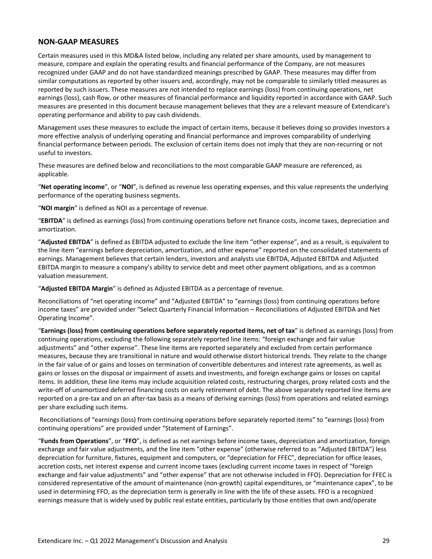#### <span id="page-32-0"></span>**NON-GAAP MEASURES**

Certain measures used in this MD&A listed below, including any related per share amounts, used by management to measure, compare and explain the operating results and financial performance of the Company, are not measures recognized under GAAP and do not have standardized meanings prescribed by GAAP. These measures may differ from similar computations as reported by other issuers and, accordingly, may not be comparable to similarly titled measures as reported by such issuers. These measures are not intended to replace earnings (loss) from continuing operations, net earnings (loss), cash flow, or other measures of financial performance and liquidity reported in accordance with GAAP. Such measures are presented in this document because management believes that they are a relevant measure of Extendicare's operating performance and ability to pay cash dividends.

Management uses these measures to exclude the impact of certain items, because it believes doing so provides investors a more effective analysis of underlying operating and financial performance and improves comparability of underlying financial performance between periods. The exclusion of certain items does not imply that they are non-recurring or not useful to investors.

These measures are defined below and reconciliations to the most comparable GAAP measure are referenced, as applicable. 

"Net operating income", or "NOI", is defined as revenue less operating expenses, and this value represents the underlying performance of the operating business segments.

"NOI margin" is defined as NOI as a percentage of revenue.

"EBITDA" is defined as earnings (loss) from continuing operations before net finance costs, income taxes, depreciation and amortization. 

"Adjusted EBITDA" is defined as EBITDA adjusted to exclude the line item "other expense", and as a result, is equivalent to the line item "earnings before depreciation, amortization, and other expense" reported on the consolidated statements of earnings. Management believes that certain lenders, investors and analysts use EBITDA, Adjusted EBITDA and Adjusted EBITDA margin to measure a company's ability to service debt and meet other payment obligations, and as a common valuation measurement.

"Adjusted EBITDA Margin" is defined as Adjusted EBITDA as a percentage of revenue.

Reconciliations of "net operating income" and "Adjusted EBITDA" to "earnings (loss) from continuing operations before income taxes" are provided under "Select Quarterly Financial Information - Reconciliations of Adjusted EBITDA and Net Operating Income".

"**Earnings (loss) from continuing operations before separately reported items, net of tax**" is defined as earnings (loss) from continuing operations, excluding the following separately reported line items: "foreign exchange and fair value adjustments" and "other expense". These line items are reported separately and excluded from certain performance measures, because they are transitional in nature and would otherwise distort historical trends. They relate to the change in the fair value of or gains and losses on termination of convertible debentures and interest rate agreements, as well as gains or losses on the disposal or impairment of assets and investments, and foreign exchange gains or losses on capital items. In addition, these line items may include acquisition related costs, restructuring charges, proxy related costs and the write-off of unamortized deferred financing costs on early retirement of debt. The above separately reported line items are reported on a pre-tax and on an after-tax basis as a means of deriving earnings (loss) from operations and related earnings per share excluding such items.

Reconciliations of "earnings (loss) from continuing operations before separately reported items" to "earnings (loss) from continuing operations" are provided under "Statement of Earnings".

"Funds from Operations", or "FFO", is defined as net earnings before income taxes, depreciation and amortization, foreign exchange and fair value adjustments, and the line item "other expense" (otherwise referred to as "Adjusted EBITDA") less depreciation for furniture, fixtures, equipment and computers, or "depreciation for FFEC", depreciation for office leases, accretion costs, net interest expense and current income taxes (excluding current income taxes in respect of "foreign exchange and fair value adjustments" and "other expense" that are not otherwise included in FFO). Depreciation for FFEC is considered representative of the amount of maintenance (non-growth) capital expenditures, or "maintenance capex", to be used in determining FFO, as the depreciation term is generally in line with the life of these assets. FFO is a recognized earnings measure that is widely used by public real estate entities, particularly by those entities that own and/operate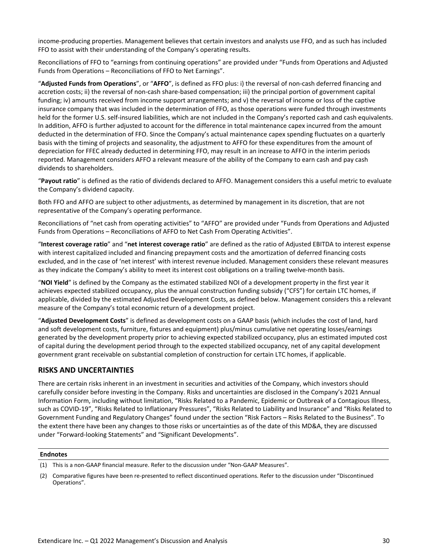<span id="page-33-0"></span>income-producing properties. Management believes that certain investors and analysts use FFO, and as such has included FFO to assist with their understanding of the Company's operating results.

Reconciliations of FFO to "earnings from continuing operations" are provided under "Funds from Operations and Adjusted Funds from Operations - Reconciliations of FFO to Net Earnings".

"Adjusted Funds from Operations", or "AFFO", is defined as FFO plus: i) the reversal of non-cash deferred financing and accretion costs; ii) the reversal of non-cash share-based compensation; iii) the principal portion of government capital funding; iv) amounts received from income support arrangements; and  $v$ ) the reversal of income or loss of the captive insurance company that was included in the determination of FFO, as those operations were funded through investments held for the former U.S. self-insured liabilities, which are not included in the Company's reported cash and cash equivalents. In addition, AFFO is further adjusted to account for the difference in total maintenance capex incurred from the amount deducted in the determination of FFO. Since the Company's actual maintenance capex spending fluctuates on a quarterly basis with the timing of projects and seasonality, the adjustment to AFFO for these expenditures from the amount of depreciation for FFEC already deducted in determining FFO, may result in an increase to AFFO in the interim periods reported. Management considers AFFO a relevant measure of the ability of the Company to earn cash and pay cash dividends to shareholders.

"Payout ratio" is defined as the ratio of dividends declared to AFFO. Management considers this a useful metric to evaluate the Company's dividend capacity.

Both FFO and AFFO are subject to other adjustments, as determined by management in its discretion, that are not representative of the Company's operating performance.

Reconciliations of "net cash from operating activities" to "AFFO" are provided under "Funds from Operations and Adjusted Funds from Operations - Reconciliations of AFFO to Net Cash From Operating Activities".

"Interest coverage ratio" and "net interest coverage ratio" are defined as the ratio of Adjusted EBITDA to interest expense with interest capitalized included and financing prepayment costs and the amortization of deferred financing costs excluded, and in the case of 'net interest' with interest revenue included. Management considers these relevant measures as they indicate the Company's ability to meet its interest cost obligations on a trailing twelve-month basis.

"NOI Yield" is defined by the Company as the estimated stabilized NOI of a development property in the first year it achieves expected stabilized occupancy, plus the annual construction funding subsidy ("CFS") for certain LTC homes, if applicable, divided by the estimated Adjusted Development Costs, as defined below. Management considers this a relevant measure of the Company's total economic return of a development project.

"Adjusted Development Costs" is defined as development costs on a GAAP basis (which includes the cost of land, hard and soft development costs, furniture, fixtures and equipment) plus/minus cumulative net operating losses/earnings generated by the development property prior to achieving expected stabilized occupancy, plus an estimated imputed cost of capital during the development period through to the expected stabilized occupancy, net of any capital development government grant receivable on substantial completion of construction for certain LTC homes, if applicable.

# **RISKS AND UNCERTAINTIES**

There are certain risks inherent in an investment in securities and activities of the Company, which investors should carefully consider before investing in the Company. Risks and uncertainties are disclosed in the Company's 2021 Annual Information Form, including without limitation, "Risks Related to a Pandemic, Epidemic or Outbreak of a Contagious Illness, such as COVID-19", "Risks Related to Inflationary Pressures", "Risks Related to Liability and Insurance" and "Risks Related to Government Funding and Regulatory Changes" found under the section "Risk Factors – Risks Related to the Business". To the extent there have been any changes to those risks or uncertainties as of the date of this MD&A, they are discussed under "Forward-looking Statements" and "Significant Developments".

#### **Endnotes**

<sup>(1)</sup> This is a non-GAAP financial measure. Refer to the discussion under "Non-GAAP Measures".

<sup>(2)</sup> Comparative figures have been re-presented to reflect discontinued operations. Refer to the discussion under "Discontinued Operations".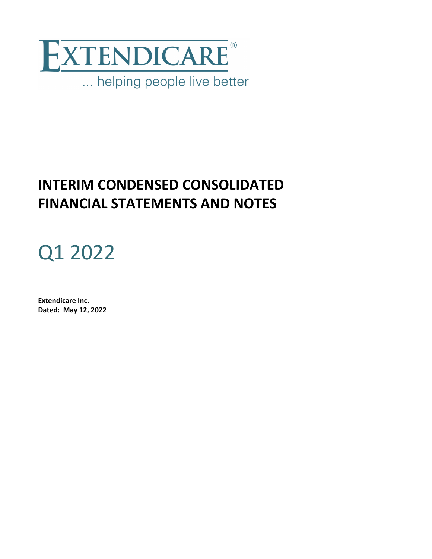

# **INTERIM CONDENSED CONSOLIDATED FINANCIAL STATEMENTS AND NOTES**

# Q1 2022

**Extendicare Inc. Dated: May 12, 2022**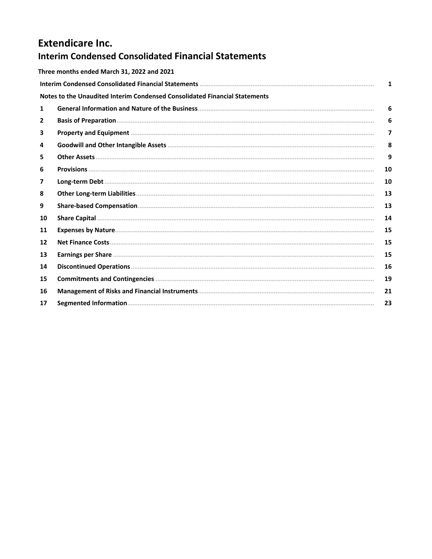# **Extendicare Inc. Interim Condensed Consolidated Financial Statements**

|                | Three months ended March 31, 2022 and 2021                                 |    |
|----------------|----------------------------------------------------------------------------|----|
|                |                                                                            | 1  |
|                | Notes to the Unaudited Interim Condensed Consolidated Financial Statements |    |
| 1              |                                                                            | 6  |
| $\overline{2}$ |                                                                            | 6  |
| 3              |                                                                            | 7  |
| 4              |                                                                            | 8  |
| 5.             |                                                                            | 9  |
| 6              |                                                                            | 10 |
| 7              |                                                                            | 10 |
| 8              |                                                                            | 13 |
| 9              |                                                                            | 13 |
| 10             |                                                                            | 14 |
| 11             |                                                                            | 15 |
| 12             |                                                                            | 15 |
| 13             |                                                                            | 15 |
| 14             |                                                                            | 16 |
| 15             |                                                                            | 19 |
| 16             |                                                                            | 21 |
| 17             |                                                                            | 23 |
|                |                                                                            |    |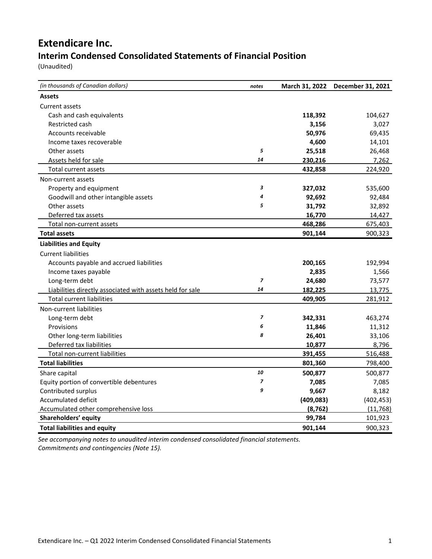# <span id="page-36-0"></span>**Extendicare Inc. Interim Condensed Consolidated Statements of Financial Position**

(Unaudited)

| (in thousands of Canadian dollars)                        | notes                    |            | March 31, 2022 December 31, 2021 |
|-----------------------------------------------------------|--------------------------|------------|----------------------------------|
| <b>Assets</b>                                             |                          |            |                                  |
| Current assets                                            |                          |            |                                  |
| Cash and cash equivalents                                 |                          | 118,392    | 104,627                          |
| Restricted cash                                           |                          | 3,156      | 3,027                            |
| Accounts receivable                                       |                          | 50,976     | 69,435                           |
| Income taxes recoverable                                  |                          | 4,600      | 14,101                           |
| Other assets                                              | 5                        | 25,518     | 26,468                           |
| Assets held for sale                                      | 14                       | 230,216    | 7,262                            |
| Total current assets                                      |                          | 432,858    | 224,920                          |
| Non-current assets                                        |                          |            |                                  |
| Property and equipment                                    | 3                        | 327,032    | 535,600                          |
| Goodwill and other intangible assets                      | 4                        | 92,692     | 92,484                           |
| Other assets                                              | 5                        | 31,792     | 32,892                           |
| Deferred tax assets                                       |                          | 16,770     | 14,427                           |
| Total non-current assets                                  |                          | 468,286    | 675,403                          |
| <b>Total assets</b>                                       |                          | 901,144    | 900,323                          |
| <b>Liabilities and Equity</b>                             |                          |            |                                  |
| <b>Current liabilities</b>                                |                          |            |                                  |
| Accounts payable and accrued liabilities                  |                          | 200,165    | 192,994                          |
| Income taxes payable                                      |                          | 2,835      | 1,566                            |
| Long-term debt                                            | $\overline{z}$           | 24,680     | 73,577                           |
| Liabilities directly associated with assets held for sale | 14                       | 182,225    | 13,775                           |
| <b>Total current liabilities</b>                          |                          | 409,905    | 281,912                          |
| Non-current liabilities                                   |                          |            |                                  |
| Long-term debt                                            | $\overline{\phantom{a}}$ | 342,331    | 463,274                          |
| Provisions                                                | 6                        | 11,846     | 11,312                           |
| Other long-term liabilities                               | 8                        | 26,401     | 33,106                           |
| Deferred tax liabilities                                  |                          | 10,877     | 8,796                            |
| Total non-current liabilities                             |                          | 391,455    | 516,488                          |
| <b>Total liabilities</b>                                  |                          | 801,360    | 798,400                          |
| Share capital                                             | 10                       | 500,877    | 500,877                          |
| Equity portion of convertible debentures                  | $\overline{\phantom{a}}$ | 7,085      | 7,085                            |
| Contributed surplus                                       | 9                        | 9,667      | 8,182                            |
| <b>Accumulated deficit</b>                                |                          | (409, 083) | (402, 453)                       |
| Accumulated other comprehensive loss                      |                          | (8, 762)   | (11, 768)                        |
| Shareholders' equity                                      |                          | 99,784     | 101,923                          |
| <b>Total liabilities and equity</b>                       |                          | 901,144    | 900,323                          |

See accompanying notes to unaudited interim condensed consolidated financial statements. *Commitments and contingencies (Note 15).*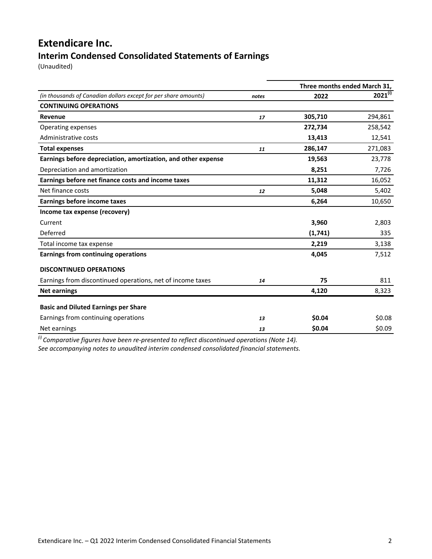# **Extendicare Inc. Interim Condensed Consolidated Statements of Earnings**

(Unaudited)

|                                                                 |       | Three months ended March 31, |              |
|-----------------------------------------------------------------|-------|------------------------------|--------------|
| (in thousands of Canadian dollars except for per share amounts) | notes | 2022                         | $2021^{(i)}$ |
| <b>CONTINUING OPERATIONS</b>                                    |       |                              |              |
| Revenue                                                         | 17    | 305,710                      | 294,861      |
| Operating expenses                                              |       | 272,734                      | 258,542      |
| Administrative costs                                            |       | 13,413                       | 12,541       |
| <b>Total expenses</b>                                           | 11    | 286,147                      | 271,083      |
| Earnings before depreciation, amortization, and other expense   |       | 19,563                       | 23,778       |
| Depreciation and amortization                                   |       | 8,251                        | 7,726        |
| Earnings before net finance costs and income taxes              |       | 11,312                       | 16,052       |
| Net finance costs                                               | 12    | 5,048                        | 5,402        |
| <b>Earnings before income taxes</b>                             |       | 6,264                        | 10,650       |
| Income tax expense (recovery)                                   |       |                              |              |
| Current                                                         |       | 3,960                        | 2,803        |
| Deferred                                                        |       | (1,741)                      | 335          |
| Total income tax expense                                        |       | 2,219                        | 3,138        |
| Earnings from continuing operations                             |       | 4,045                        | 7,512        |
| <b>DISCONTINUED OPERATIONS</b>                                  |       |                              |              |
| Earnings from discontinued operations, net of income taxes      | 14    | 75                           | 811          |
| <b>Net earnings</b>                                             |       | 4,120                        | 8,323        |
| <b>Basic and Diluted Earnings per Share</b>                     |       |                              |              |
| Earnings from continuing operations                             | 13    | \$0.04                       | \$0.08       |
| Net earnings                                                    | 13    | \$0.04                       | \$0.09       |

<sup>(i)</sup> Comparative figures have been re-presented to reflect discontinued operations (Note 14).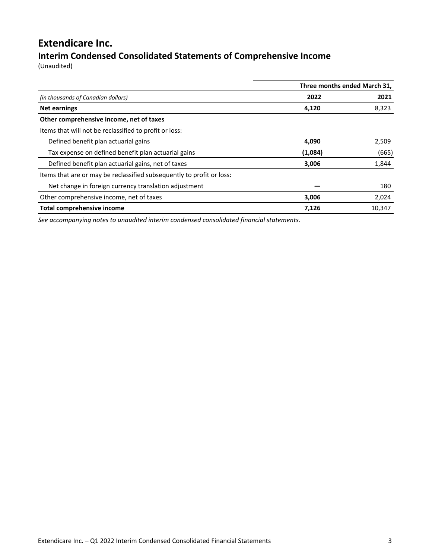# **Extendicare Inc.**

# **Interim Condensed Consolidated Statements of Comprehensive Income**

(Unaudited)

|                                                                       | Three months ended March 31, |        |  |
|-----------------------------------------------------------------------|------------------------------|--------|--|
| (in thousands of Canadian dollars)                                    | 2022                         | 2021   |  |
| <b>Net earnings</b>                                                   | 4,120                        | 8,323  |  |
| Other comprehensive income, net of taxes                              |                              |        |  |
| Items that will not be reclassified to profit or loss:                |                              |        |  |
| Defined benefit plan actuarial gains                                  | 4,090                        | 2,509  |  |
| Tax expense on defined benefit plan actuarial gains                   | (1,084)                      | (665)  |  |
| Defined benefit plan actuarial gains, net of taxes                    | 3,006                        | 1,844  |  |
| Items that are or may be reclassified subsequently to profit or loss: |                              |        |  |
| Net change in foreign currency translation adjustment                 |                              | 180    |  |
| Other comprehensive income, net of taxes                              | 3,006                        | 2,024  |  |
| Total comprehensive income                                            | 7.126                        | 10.347 |  |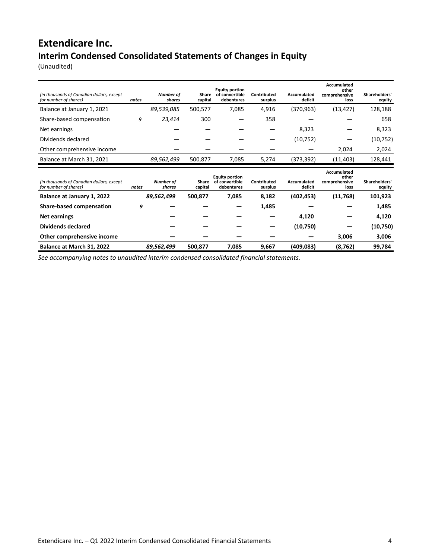# **Extendicare Inc. Interim Condensed Consolidated Statements of Changes in Equity**

(Unaudited)

| (in thousands of Canadian dollars, except<br>for number of shares) | notes | Number of<br>shares | Share<br>capital | <b>Equity portion</b><br>of convertible<br>debentures | Contributed<br>surplus | Accumulated<br>deficit | Accumulated<br>other<br>comprehensive<br>loss        | Shareholders'<br>equity |
|--------------------------------------------------------------------|-------|---------------------|------------------|-------------------------------------------------------|------------------------|------------------------|------------------------------------------------------|-------------------------|
| Balance at January 1, 2021                                         |       | 89,539,085          | 500,577          | 7,085                                                 | 4,916                  | (370, 963)             | (13, 427)                                            | 128,188                 |
| Share-based compensation                                           | 9     | 23,414              | 300              |                                                       | 358                    |                        |                                                      | 658                     |
| Net earnings                                                       |       |                     |                  |                                                       |                        | 8,323                  |                                                      | 8,323                   |
| Dividends declared                                                 |       |                     |                  |                                                       |                        | (10, 752)              |                                                      | (10, 752)               |
| Other comprehensive income                                         |       |                     |                  |                                                       |                        |                        | 2,024                                                | 2,024                   |
| Balance at March 31, 2021                                          |       | 89,562,499          | 500,877          | 7,085                                                 | 5,274                  | (373,392)              | (11, 403)                                            | 128,441                 |
|                                                                    |       |                     |                  |                                                       |                        |                        |                                                      |                         |
| (in thousands of Canadian dollars, except<br>for number of shares) | notes | Number of<br>shares | Share<br>capital | <b>Equity portion</b><br>of convertible<br>debentures | Contributed<br>surplus | Accumulated<br>deficit | <b>Accumulated</b><br>other<br>comprehensive<br>loss | Shareholders'<br>equity |
| Balance at January 1, 2022                                         |       | 89,562,499          | 500,877          | 7,085                                                 | 8,182                  | (402, 453)             | (11,768)                                             | 101,923                 |
| <b>Share-based compensation</b>                                    | 9     |                     |                  |                                                       | 1,485                  |                        |                                                      | 1,485                   |
| <b>Net earnings</b>                                                |       |                     |                  |                                                       |                        | 4,120                  |                                                      | 4,120                   |
| Dividends declared                                                 |       |                     |                  |                                                       |                        | (10,750)               |                                                      | (10,750)                |
| Other comprehensive income                                         |       |                     |                  |                                                       |                        |                        | 3,006                                                | 3,006                   |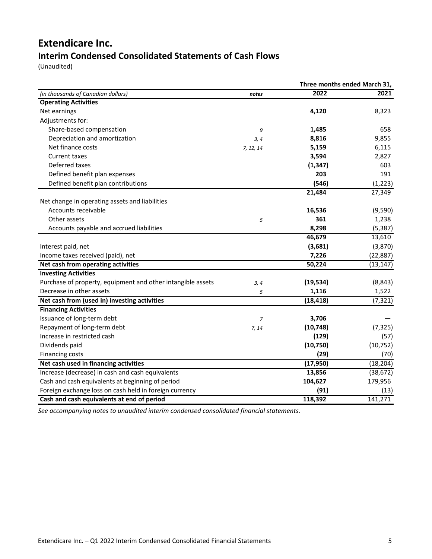# **Extendicare Inc. Interim Condensed Consolidated Statements of Cash Flows**

(Unaudited)

|                                                             |           |           | Three months ended March 31, |  |
|-------------------------------------------------------------|-----------|-----------|------------------------------|--|
| (in thousands of Canadian dollars)                          | notes     | 2022      | 2021                         |  |
| <b>Operating Activities</b>                                 |           |           |                              |  |
| Net earnings                                                |           | 4,120     | 8,323                        |  |
| Adjustments for:                                            |           |           |                              |  |
| Share-based compensation                                    | 9         | 1,485     | 658                          |  |
| Depreciation and amortization                               | 3, 4      | 8,816     | 9,855                        |  |
| Net finance costs                                           | 7, 12, 14 | 5,159     | 6,115                        |  |
| <b>Current taxes</b>                                        |           | 3,594     | 2,827                        |  |
| Deferred taxes                                              |           | (1, 347)  | 603                          |  |
| Defined benefit plan expenses                               |           | 203       | 191                          |  |
| Defined benefit plan contributions                          |           | (546)     | (1, 223)                     |  |
|                                                             |           | 21,484    | 27,349                       |  |
| Net change in operating assets and liabilities              |           |           |                              |  |
| Accounts receivable                                         |           | 16,536    | (9,590)                      |  |
| Other assets                                                | 5         | 361       | 1,238                        |  |
| Accounts payable and accrued liabilities                    |           | 8,298     | (5, 387)                     |  |
|                                                             |           | 46,679    | 13,610                       |  |
| Interest paid, net                                          |           | (3,681)   | (3,870)                      |  |
| Income taxes received (paid), net                           |           | 7,226     | (22, 887)                    |  |
| Net cash from operating activities                          |           | 50,224    | (13, 147)                    |  |
| <b>Investing Activities</b>                                 |           |           |                              |  |
| Purchase of property, equipment and other intangible assets | 3, 4      | (19, 534) | (8, 843)                     |  |
| Decrease in other assets                                    | 5         | 1,116     | 1,522                        |  |
| Net cash from (used in) investing activities                |           | (18, 418) | (7, 321)                     |  |
| <b>Financing Activities</b>                                 |           |           |                              |  |
| Issuance of long-term debt                                  | 7         | 3,706     |                              |  |
| Repayment of long-term debt                                 | 7, 14     | (10, 748) | (7, 325)                     |  |
| Increase in restricted cash                                 |           | (129)     | (57)                         |  |
| Dividends paid                                              |           | (10, 750) | (10, 752)                    |  |
| Financing costs                                             |           | (29)      | (70)                         |  |
| Net cash used in financing activities                       |           | (17, 950) | (18, 204)                    |  |
| Increase (decrease) in cash and cash equivalents            |           | 13,856    | (38, 672)                    |  |
| Cash and cash equivalents at beginning of period            |           | 104,627   | 179,956                      |  |
| Foreign exchange loss on cash held in foreign currency      |           | (91)      | (13)                         |  |
| Cash and cash equivalents at end of period                  |           | 118,392   | 141,271                      |  |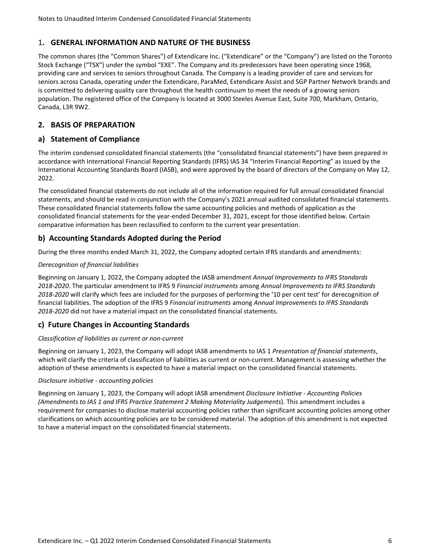# <span id="page-41-0"></span>1. **GENERAL INFORMATION AND NATURE OF THE BUSINESS**

The common shares (the "Common Shares") of Extendicare Inc. ("Extendicare" or the "Company") are listed on the Toronto Stock Exchange ("TSX") under the symbol "EXE". The Company and its predecessors have been operating since 1968, providing care and services to seniors throughout Canada. The Company is a leading provider of care and services for seniors across Canada, operating under the Extendicare, ParaMed, Extendicare Assist and SGP Partner Network brands and is committed to delivering quality care throughout the health continuum to meet the needs of a growing seniors population. The registered office of the Company is located at 3000 Steeles Avenue East, Suite 700, Markham, Ontario, Canada, L3R 9W2.

# **2. BASIS OF PREPARATION**

# **a) Statement of Compliance**

The interim condensed consolidated financial statements (the "consolidated financial statements") have been prepared in accordance with International Financial Reporting Standards (IFRS) IAS 34 "Interim Financial Reporting" as issued by the International Accounting Standards Board (IASB), and were approved by the board of directors of the Company on May 12, 2022.

The consolidated financial statements do not include all of the information required for full annual consolidated financial statements, and should be read in conjunction with the Company's 2021 annual audited consolidated financial statements. These consolidated financial statements follow the same accounting policies and methods of application as the consolidated financial statements for the year-ended December 31, 2021, except for those identified below. Certain comparative information has been reclassified to conform to the current year presentation.

# **b) Accounting Standards Adopted during the Period**

During the three months ended March 31, 2022, the Company adopted certain IFRS standards and amendments:

# *Derecognition of financial liabilities*

Beginning on January 1, 2022, the Company adopted the IASB amendment *Annual Improvements to IFRS Standards* 2018-2020. The particular amendment to IFRS 9 *Financial instruments* among *Annual Improvements to IFRS Standards* 2018-2020 will clarify which fees are included for the purposes of performing the '10 per cent test' for derecognition of financial liabilities. The adoption of the IFRS 9 *Financial instruments* among *Annual Improvements to IFRS Standards* 2018-2020 did not have a material impact on the consolidated financial statements.

# **c) Future Changes in Accounting Standards**

#### *Classification of liabilities as current or non-current*

Beginning on January 1, 2023, the Company will adopt IASB amendments to IAS 1 Presentation of financial statements, which will clarify the criteria of classification of liabilities as current or non-current. Management is assessing whether the adoption of these amendments is expected to have a material impact on the consolidated financial statements.

#### *Disclosure initiative - accounting policies*

Beginning on January 1, 2023, the Company will adopt IASB amendment *Disclosure Initiative - Accounting Policies (Amendments to IAS 1 and IFRS Practice Statement 2 Making Materiality Judgements*). This amendment includes a requirement for companies to disclose material accounting policies rather than significant accounting policies among other clarifications on which accounting policies are to be considered material. The adoption of this amendment is not expected to have a material impact on the consolidated financial statements.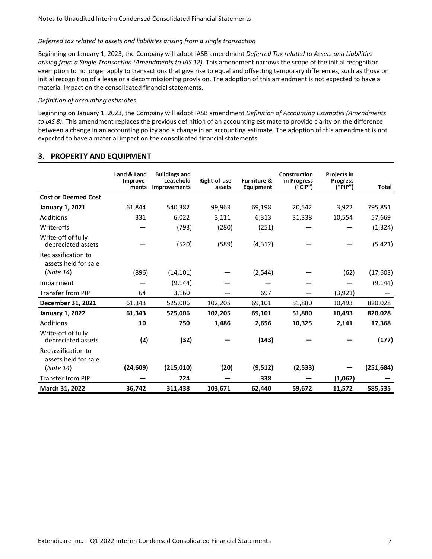#### <span id="page-42-0"></span>*Deferred tax related to assets and liabilities arising from a single transaction*

Beginning on January 1, 2023, the Company will adopt IASB amendment *Deferred Tax related to Assets and Liabilities arising from a Single Transaction (Amendments to IAS 12)*. This amendment narrows the scope of the initial recognition exemption to no longer apply to transactions that give rise to equal and offsetting temporary differences, such as those on initial recognition of a lease or a decommissioning provision. The adoption of this amendment is not expected to have a material impact on the consolidated financial statements.

#### *Definition of accounting estimates*

Beginning on January 1, 2023, the Company will adopt IASB amendment *Definition of Accounting Estimates (Amendments* to IAS 8). This amendment replaces the previous definition of an accounting estimate to provide clarity on the difference between a change in an accounting policy and a change in an accounting estimate. The adoption of this amendment is not expected to have a material impact on the consolidated financial statements.

|                                             | Land & Land<br>Improve-<br>ments | <b>Buildings and</b><br>Leasehold<br><b>Improvements</b> | Right-of-use<br>assets | <b>Furniture &amp;</b><br>Equipment | Construction<br>in Progress<br>(''CIP'') | Projects in<br><b>Progress</b><br>("PIP") | Total      |
|---------------------------------------------|----------------------------------|----------------------------------------------------------|------------------------|-------------------------------------|------------------------------------------|-------------------------------------------|------------|
| <b>Cost or Deemed Cost</b>                  |                                  |                                                          |                        |                                     |                                          |                                           |            |
| <b>January 1, 2021</b>                      | 61,844                           | 540,382                                                  | 99,963                 | 69,198                              | 20,542                                   | 3,922                                     | 795,851    |
| Additions                                   | 331                              | 6,022                                                    | 3,111                  | 6,313                               | 31,338                                   | 10,554                                    | 57,669     |
| Write-offs                                  |                                  | (793)                                                    | (280)                  | (251)                               |                                          |                                           | (1, 324)   |
| Write-off of fully<br>depreciated assets    |                                  | (520)                                                    | (589)                  | (4, 312)                            |                                          |                                           | (5, 421)   |
| Reclassification to<br>assets held for sale |                                  |                                                          |                        |                                     |                                          |                                           |            |
| (Note 14)                                   | (896)                            | (14, 101)                                                |                        | (2, 544)                            |                                          | (62)                                      | (17, 603)  |
| Impairment                                  |                                  | (9, 144)                                                 |                        |                                     |                                          |                                           | (9, 144)   |
| <b>Transfer from PIP</b>                    | 64                               | 3,160                                                    |                        | 697                                 |                                          | (3,921)                                   |            |
| December 31, 2021                           | 61,343                           | 525,006                                                  | 102,205                | 69,101                              | 51,880                                   | 10,493                                    | 820,028    |
| <b>January 1, 2022</b>                      | 61,343                           | 525,006                                                  | 102,205                | 69,101                              | 51,880                                   | 10,493                                    | 820,028    |
| Additions                                   | 10                               | 750                                                      | 1,486                  | 2,656                               | 10,325                                   | 2,141                                     | 17,368     |
| Write-off of fully<br>depreciated assets    | (2)                              | (32)                                                     |                        | (143)                               |                                          |                                           | (177)      |
| Reclassification to<br>assets held for sale |                                  |                                                          |                        |                                     |                                          |                                           |            |
| (Note 14)                                   | (24, 609)                        | (215,010)                                                | (20)                   | (9,512)                             | (2,533)                                  |                                           | (251, 684) |
| <b>Transfer from PIP</b>                    |                                  | 724                                                      |                        | 338                                 |                                          | (1,062)                                   |            |
| March 31, 2022                              | 36,742                           | 311,438                                                  | 103,671                | 62,440                              | 59,672                                   | 11,572                                    | 585,535    |

#### **3. PROPERTY AND EQUIPMENT**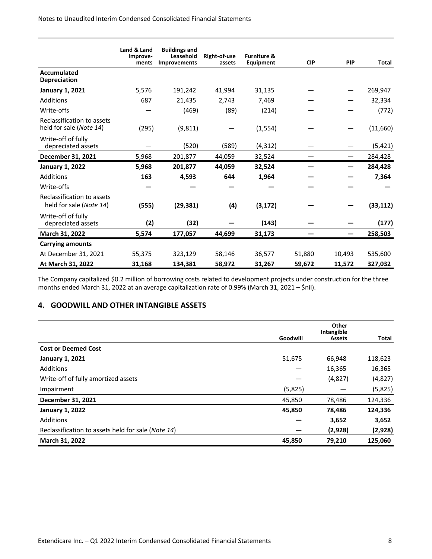<span id="page-43-0"></span>Notes to Unaudited Interim Condensed Consolidated Financial Statements

|                                                       | Land & Land<br>Improve-<br>ments | <b>Buildings and</b><br>Leasehold<br><b>Improvements</b> | Right-of-use<br>assets | <b>Furniture &amp;</b><br>Equipment | <b>CIP</b> | <b>PIP</b> | Total     |
|-------------------------------------------------------|----------------------------------|----------------------------------------------------------|------------------------|-------------------------------------|------------|------------|-----------|
| Accumulated<br><b>Depreciation</b>                    |                                  |                                                          |                        |                                     |            |            |           |
| <b>January 1, 2021</b>                                | 5,576                            | 191,242                                                  | 41,994                 | 31,135                              |            |            | 269,947   |
| Additions                                             | 687                              | 21,435                                                   | 2,743                  | 7,469                               |            |            | 32,334    |
| Write-offs                                            |                                  | (469)                                                    | (89)                   | (214)                               |            |            | (772)     |
| Reclassification to assets<br>held for sale (Note 14) | (295)                            | (9, 811)                                                 |                        | (1, 554)                            |            |            | (11,660)  |
| Write-off of fully<br>depreciated assets              |                                  | (520)                                                    | (589)                  | (4, 312)                            |            |            | (5, 421)  |
| December 31, 2021                                     | 5,968                            | 201,877                                                  | 44,059                 | 32,524                              |            |            | 284,428   |
| <b>January 1, 2022</b>                                | 5,968                            | 201,877                                                  | 44,059                 | 32,524                              |            |            | 284,428   |
| Additions                                             | 163                              | 4,593                                                    | 644                    | 1,964                               |            |            | 7,364     |
| Write-offs                                            |                                  |                                                          |                        |                                     |            |            |           |
| Reclassification to assets<br>held for sale (Note 14) | (555)                            | (29, 381)                                                | (4)                    | (3, 172)                            |            |            | (33, 112) |
| Write-off of fully<br>depreciated assets              | (2)                              | (32)                                                     |                        | (143)                               |            |            | (177)     |
| March 31, 2022                                        | 5,574                            | 177,057                                                  | 44,699                 | 31,173                              |            |            | 258,503   |
| <b>Carrying amounts</b>                               |                                  |                                                          |                        |                                     |            |            |           |
| At December 31, 2021                                  | 55,375                           | 323,129                                                  | 58,146                 | 36,577                              | 51,880     | 10,493     | 535,600   |
| At March 31, 2022                                     | 31,168                           | 134,381                                                  | 58,972                 | 31,267                              | 59,672     | 11,572     | 327,032   |

The Company capitalized \$0.2 million of borrowing costs related to development projects under construction for the three months ended March 31, 2022 at an average capitalization rate of 0.99% (March 31, 2021 – \$nil).

# **4. GOODWILL AND OTHER INTANGIBLE ASSETS**

|                                                    |          | Other<br>Intangible |         |
|----------------------------------------------------|----------|---------------------|---------|
|                                                    | Goodwill | <b>Assets</b>       | Total   |
| <b>Cost or Deemed Cost</b>                         |          |                     |         |
| <b>January 1, 2021</b>                             | 51,675   | 66,948              | 118,623 |
| Additions                                          |          | 16,365              | 16,365  |
| Write-off of fully amortized assets                |          | (4,827)             | (4,827) |
| Impairment                                         | (5,825)  |                     | (5,825) |
| December 31, 2021                                  | 45,850   | 78,486              | 124,336 |
| <b>January 1, 2022</b>                             | 45,850   | 78,486              | 124,336 |
| Additions                                          |          | 3,652               | 3,652   |
| Reclassification to assets held for sale (Note 14) |          | (2,928)             | (2,928) |
| March 31, 2022                                     | 45,850   | 79,210              | 125,060 |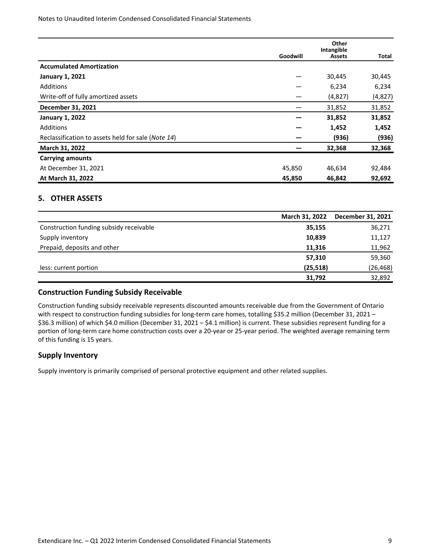<span id="page-44-0"></span>Notes to Unaudited Interim Condensed Consolidated Financial Statements

|                                                    |          | Other                       |         |
|----------------------------------------------------|----------|-----------------------------|---------|
|                                                    | Goodwill | Intangible<br><b>Assets</b> | Total   |
| <b>Accumulated Amortization</b>                    |          |                             |         |
| <b>January 1, 2021</b>                             |          | 30,445                      | 30,445  |
| <b>Additions</b>                                   |          | 6,234                       | 6,234   |
| Write-off of fully amortized assets                |          | (4,827)                     | (4,827) |
| December 31, 2021                                  |          | 31,852                      | 31,852  |
| <b>January 1, 2022</b>                             |          | 31,852                      | 31,852  |
| <b>Additions</b>                                   |          | 1,452                       | 1,452   |
| Reclassification to assets held for sale (Note 14) |          | (936)                       | (936)   |
| March 31, 2022                                     |          | 32,368                      | 32,368  |
| <b>Carrying amounts</b>                            |          |                             |         |
| At December 31, 2021                               | 45,850   | 46,634                      | 92,484  |
| At March 31, 2022                                  | 45,850   | 46,842                      | 92,692  |

# **5. OTHER ASSETS**

|                                         | <b>March 31, 2022</b> | December 31, 2021 |
|-----------------------------------------|-----------------------|-------------------|
| Construction funding subsidy receivable | 35,155                | 36,271            |
| Supply inventory                        | 10,839                | 11,127            |
| Prepaid, deposits and other             | 11,316                | 11,962            |
|                                         | 57,310                | 59,360            |
| less: current portion                   | (25, 518)             | (26, 468)         |
|                                         | 31,792                | 32,892            |

#### **Construction Funding Subsidy Receivable**

Construction funding subsidy receivable represents discounted amounts receivable due from the Government of Ontario with respect to construction funding subsidies for long-term care homes, totalling \$35.2 million (December 31, 2021 – \$36.3 million) of which \$4.0 million (December 31, 2021 – \$4.1 million) is current. These subsidies represent funding for a portion of long-term care home construction costs over a 20-year or 25-year period. The weighted average remaining term of this funding is 15 years.

# **Supply Inventory**

Supply inventory is primarily comprised of personal protective equipment and other related supplies.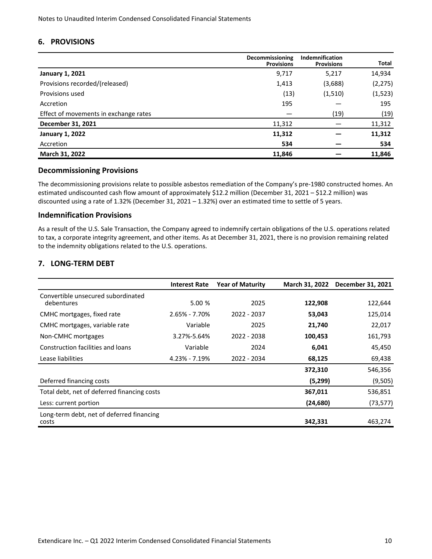#### <span id="page-45-0"></span>**6. PROVISIONS**

|                                       | Decommissioning<br><b>Provisions</b> | <b>Indemnification</b><br><b>Provisions</b> | <b>Total</b> |
|---------------------------------------|--------------------------------------|---------------------------------------------|--------------|
| <b>January 1, 2021</b>                | 9,717                                | 5,217                                       | 14,934       |
| Provisions recorded/(released)        | 1,413                                | (3,688)                                     | (2, 275)     |
| Provisions used                       | (13)                                 | (1, 510)                                    | (1, 523)     |
| Accretion                             | 195                                  |                                             | 195          |
| Effect of movements in exchange rates |                                      | (19)                                        | (19)         |
| December 31, 2021                     | 11,312                               |                                             | 11,312       |
| <b>January 1, 2022</b>                | 11,312                               |                                             | 11,312       |
| Accretion                             | 534                                  |                                             | 534          |
| March 31, 2022                        | 11,846                               |                                             | 11,846       |

#### **Decommissioning Provisions**

The decommissioning provisions relate to possible asbestos remediation of the Company's pre-1980 constructed homes. An estimated undiscounted cash flow amount of approximately \$12.2 million (December 31, 2021 – \$12.2 million) was discounted using a rate of 1.32% (December 31, 2021 – 1.32%) over an estimated time to settle of 5 years.

#### **Indemnification Provisions**

As a result of the U.S. Sale Transaction, the Company agreed to indemnify certain obligations of the U.S. operations related to tax, a corporate integrity agreement, and other items. As at December 31, 2021, there is no provision remaining related to the indemnity obligations related to the U.S. operations.

# **7. LONG-TERM DEBT**

|                                                    | <b>Interest Rate</b> | <b>Year of Maturity</b> | March 31, 2022 | December 31, 2021 |
|----------------------------------------------------|----------------------|-------------------------|----------------|-------------------|
| Convertible unsecured subordinated<br>debentures   | 5.00 %               | 2025                    | 122,908        | 122,644           |
| CMHC mortgages, fixed rate                         | $2.65\% - 7.70\%$    | 2022 - 2037             | 53,043         | 125,014           |
| CMHC mortgages, variable rate                      | Variable             | 2025                    | 21,740         | 22,017            |
| Non-CMHC mortgages                                 | 3.27%-5.64%          | 2022 - 2038             | 100,453        | 161,793           |
| Construction facilities and loans                  | Variable             | 2024                    | 6,041          | 45,450            |
| Lease liabilities                                  | $4.23\% - 7.19\%$    | 2022 - 2034             | 68,125         | 69,438            |
|                                                    |                      |                         | 372,310        | 546,356           |
| Deferred financing costs                           |                      |                         | (5,299)        | (9,505)           |
| Total debt, net of deferred financing costs        |                      |                         | 367,011        | 536,851           |
| Less: current portion                              |                      |                         | (24, 680)      | (73, 577)         |
| Long-term debt, net of deferred financing<br>costs |                      |                         | 342,331        | 463,274           |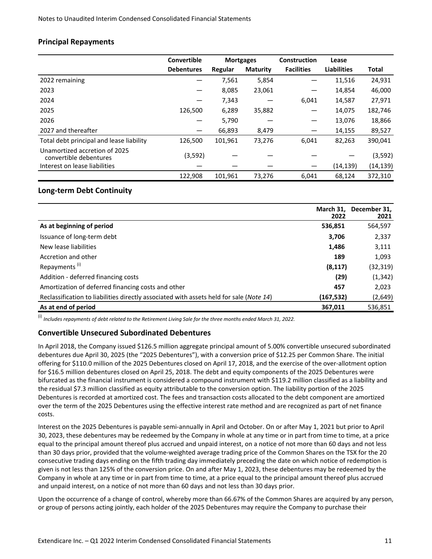# **Principal Repayments**

|                                                         | Convertible       | <b>Mortgages</b> |                 | Construction      | Lease              |              |
|---------------------------------------------------------|-------------------|------------------|-----------------|-------------------|--------------------|--------------|
|                                                         | <b>Debentures</b> | Regular          | <b>Maturity</b> | <b>Facilities</b> | <b>Liabilities</b> | <b>Total</b> |
| 2022 remaining                                          |                   | 7,561            | 5,854           |                   | 11,516             | 24,931       |
| 2023                                                    |                   | 8,085            | 23,061          |                   | 14,854             | 46,000       |
| 2024                                                    |                   | 7,343            |                 | 6,041             | 14,587             | 27,971       |
| 2025                                                    | 126,500           | 6,289            | 35,882          |                   | 14,075             | 182,746      |
| 2026                                                    |                   | 5,790            |                 |                   | 13,076             | 18,866       |
| 2027 and thereafter                                     |                   | 66,893           | 8,479           |                   | 14,155             | 89,527       |
| Total debt principal and lease liability                | 126,500           | 101,961          | 73,276          | 6,041             | 82,263             | 390,041      |
| Unamortized accretion of 2025<br>convertible debentures | (3, 592)          |                  |                 |                   |                    | (3, 592)     |
| Interest on lease liabilities                           |                   |                  |                 |                   | (14, 139)          | (14,139)     |
|                                                         | 122.908           | 101,961          | 73.276          | 6,041             | 68.124             | 372.310      |

#### **Long-term Debt Continuity**

|                                                                                         | March 31.<br>2022 | December 31,<br>2021 |
|-----------------------------------------------------------------------------------------|-------------------|----------------------|
| As at beginning of period                                                               | 536,851           | 564,597              |
| Issuance of long-term debt                                                              | 3,706             | 2,337                |
| New lease liabilities                                                                   | 1,486             | 3,111                |
| Accretion and other                                                                     | 189               | 1,093                |
| Repayments <sup>(i)</sup>                                                               | (8, 117)          | (32,319)             |
| Addition - deferred financing costs                                                     | (29)              | (1, 342)             |
| Amortization of deferred financing costs and other                                      | 457               | 2,023                |
| Reclassification to liabilities directly associated with assets held for sale (Note 14) | (167, 532)        | (2,649)              |
| As at end of period                                                                     | 367,011           | 536,851              |

(i) *Includes repayments of debt related to the Retirement Living Sale for the three months ended March 31, 2022.* 

#### **Convertible Unsecured Subordinated Debentures**

In April 2018, the Company issued \$126.5 million aggregate principal amount of 5.00% convertible unsecured subordinated debentures due April 30, 2025 (the "2025 Debentures"), with a conversion price of \$12.25 per Common Share. The initial offering for \$110.0 million of the 2025 Debentures closed on April 17, 2018, and the exercise of the over-allotment option for \$16.5 million debentures closed on April 25, 2018. The debt and equity components of the 2025 Debentures were bifurcated as the financial instrument is considered a compound instrument with \$119.2 million classified as a liability and the residual \$7.3 million classified as equity attributable to the conversion option. The liability portion of the 2025 Debentures is recorded at amortized cost. The fees and transaction costs allocated to the debt component are amortized over the term of the 2025 Debentures using the effective interest rate method and are recognized as part of net finance costs.

Interest on the 2025 Debentures is payable semi-annually in April and October. On or after May 1, 2021 but prior to April 30, 2023, these debentures may be redeemed by the Company in whole at any time or in part from time to time, at a price equal to the principal amount thereof plus accrued and unpaid interest, on a notice of not more than 60 days and not less than 30 days prior, provided that the volume-weighted average trading price of the Common Shares on the TSX for the 20 consecutive trading days ending on the fifth trading day immediately preceding the date on which notice of redemption is given is not less than 125% of the conversion price. On and after May 1, 2023, these debentures may be redeemed by the Company in whole at any time or in part from time to time, at a price equal to the principal amount thereof plus accrued and unpaid interest, on a notice of not more than 60 days and not less than 30 days prior.

Upon the occurrence of a change of control, whereby more than 66.67% of the Common Shares are acquired by any person, or group of persons acting jointly, each holder of the 2025 Debentures may require the Company to purchase their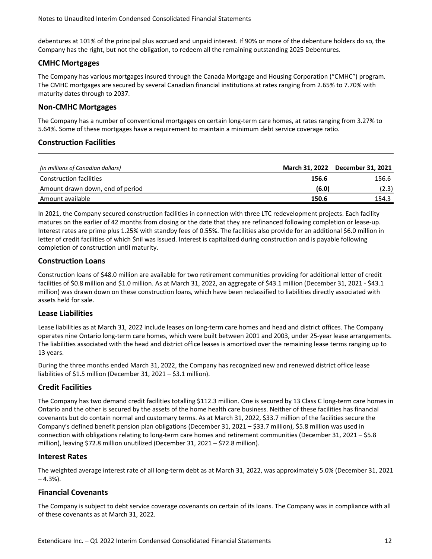Notes to Unaudited Interim Condensed Consolidated Financial Statements

debentures at 101% of the principal plus accrued and unpaid interest. If 90% or more of the debenture holders do so, the Company has the right, but not the obligation, to redeem all the remaining outstanding 2025 Debentures.

### **CMHC Mortgages**

The Company has various mortgages insured through the Canada Mortgage and Housing Corporation ("CMHC") program. The CMHC mortgages are secured by several Canadian financial institutions at rates ranging from 2.65% to 7.70% with maturity dates through to 2037.

# **Non-CMHC Mortgages**

The Company has a number of conventional mortgages on certain long-term care homes, at rates ranging from 3.27% to 5.64%. Some of these mortgages have a requirement to maintain a minimum debt service coverage ratio.

#### **Construction Facilities**

| (in millions of Canadian dollars) |       | March 31, 2022 December 31, 2021 |
|-----------------------------------|-------|----------------------------------|
| <b>Construction facilities</b>    | 156.6 | 156.6                            |
| Amount drawn down, end of period  | (6.0) | (2.3)                            |
| Amount available                  | 150.6 | 154.3                            |

In 2021, the Company secured construction facilities in connection with three LTC redevelopment projects. Each facility matures on the earlier of 42 months from closing or the date that they are refinanced following completion or lease-up. Interest rates are prime plus 1.25% with standby fees of 0.55%. The facilities also provide for an additional \$6.0 million in letter of credit facilities of which \$nil was issued. Interest is capitalized during construction and is payable following completion of construction until maturity.

# **Construction Loans**

Construction loans of \$48.0 million are available for two retirement communities providing for additional letter of credit facilities of \$0.8 million and \$1.0 million. As at March 31, 2022, an aggregate of \$43.1 million (December 31, 2021 - \$43.1 million) was drawn down on these construction loans, which have been reclassified to liabilities directly associated with assets held for sale.

#### **Lease Liabilities**

Lease liabilities as at March 31, 2022 include leases on long-term care homes and head and district offices. The Company operates nine Ontario long-term care homes, which were built between 2001 and 2003, under 25-year lease arrangements. The liabilities associated with the head and district office leases is amortized over the remaining lease terms ranging up to 13 years. 

During the three months ended March 31, 2022, the Company has recognized new and renewed district office lease liabilities of \$1.5 million (December 31, 2021 – \$3.1 million).

# **Credit Facilities**

The Company has two demand credit facilities totalling \$112.3 million. One is secured by 13 Class C long-term care homes in Ontario and the other is secured by the assets of the home health care business. Neither of these facilities has financial covenants but do contain normal and customary terms. As at March 31, 2022, \$33.7 million of the facilities secure the Company's defined benefit pension plan obligations (December 31, 2021 – \$33.7 million), \$5.8 million was used in connection with obligations relating to long-term care homes and retirement communities (December 31, 2021 – \$5.8 million), leaving \$72.8 million unutilized (December 31, 2021 – \$72.8 million).

#### **Interest Rates**

The weighted average interest rate of all long-term debt as at March 31, 2022, was approximately 5.0% (December 31, 2021  $-4.3%$ ).

# **Financial Covenants**

The Company is subject to debt service coverage covenants on certain of its loans. The Company was in compliance with all of these covenants as at March 31, 2022.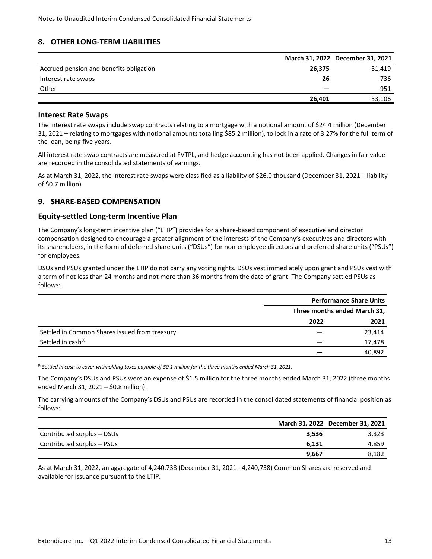# <span id="page-48-0"></span>**8. OTHER LONG-TERM LIABILITIES**

|                                         |        | March 31, 2022 December 31, 2021 |
|-----------------------------------------|--------|----------------------------------|
| Accrued pension and benefits obligation | 26,375 | 31,419                           |
| Interest rate swaps                     | 26     | 736                              |
| Other                                   |        | 951                              |
|                                         | 26.401 | 33.106                           |

#### **Interest Rate Swaps**

The interest rate swaps include swap contracts relating to a mortgage with a notional amount of \$24.4 million (December 31, 2021 – relating to mortgages with notional amounts totalling \$85.2 million), to lock in a rate of 3.27% for the full term of the loan, being five years.

All interest rate swap contracts are measured at FVTPL, and hedge accounting has not been applied. Changes in fair value are recorded in the consolidated statements of earnings.

As at March 31, 2022, the interest rate swaps were classified as a liability of \$26.0 thousand (December 31, 2021 – liability of \$0.7 million).

#### **9. SHARE-BASED COMPENSATION**

#### **Equity-settled Long-term Incentive Plan**

The Company's long-term incentive plan ("LTIP") provides for a share-based component of executive and director compensation designed to encourage a greater alignment of the interests of the Company's executives and directors with its shareholders, in the form of deferred share units ("DSUs") for non-employee directors and preferred share units ("PSUs") for employees.

DSUs and PSUs granted under the LTIP do not carry any voting rights. DSUs vest immediately upon grant and PSUs vest with a term of not less than 24 months and not more than 36 months from the date of grant. The Company settled PSUs as follows:

|                                               |      | <b>Performance Share Units</b> |  |
|-----------------------------------------------|------|--------------------------------|--|
|                                               |      | Three months ended March 31,   |  |
|                                               | 2022 | 2021                           |  |
| Settled in Common Shares issued from treasury |      | 23,414                         |  |
| Settled in cash <sup>(i)</sup>                |      | 17,478                         |  |
|                                               |      | 40,892                         |  |

<sup>(i)</sup> Settled in cash to cover withholding taxes payable of \$0.1 million for the three months ended March 31, 2021.

The Company's DSUs and PSUs were an expense of \$1.5 million for the three months ended March 31, 2022 (three months ended March 31, 2021 - \$0.8 million).

The carrying amounts of the Company's DSUs and PSUs are recorded in the consolidated statements of financial position as follows:

|                            |       | March 31, 2022 December 31, 2021 |
|----------------------------|-------|----------------------------------|
| Contributed surplus - DSUs | 3.536 | 3,323                            |
| Contributed surplus – PSUs | 6.131 | 4.859                            |
|                            | 9.667 | 8,182                            |

As at March 31, 2022, an aggregate of 4,240,738 (December 31, 2021 - 4,240,738) Common Shares are reserved and available for issuance pursuant to the LTIP.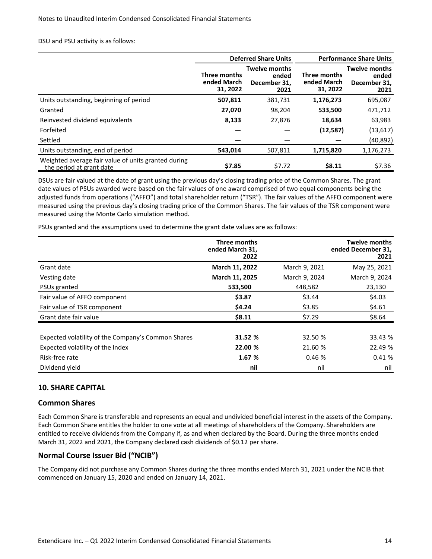<span id="page-49-0"></span>DSU and PSU activity is as follows:

|                                                                                 | <b>Deferred Share Units</b>             |                                                       | <b>Performance Share Units</b>                 |                                                       |
|---------------------------------------------------------------------------------|-----------------------------------------|-------------------------------------------------------|------------------------------------------------|-------------------------------------------------------|
|                                                                                 | Three months<br>ended March<br>31, 2022 | <b>Twelve months</b><br>ended<br>December 31.<br>2021 | <b>Three months</b><br>ended March<br>31, 2022 | <b>Twelve months</b><br>ended<br>December 31,<br>2021 |
| Units outstanding, beginning of period                                          | 507,811                                 | 381,731                                               | 1,176,273                                      | 695,087                                               |
| Granted                                                                         | 27,070                                  | 98.204                                                | 533,500                                        | 471,712                                               |
| Reinvested dividend equivalents                                                 | 8,133                                   | 27,876                                                | 18,634                                         | 63,983                                                |
| Forfeited                                                                       |                                         |                                                       | (12, 587)                                      | (13, 617)                                             |
| Settled                                                                         |                                         |                                                       |                                                | (40, 892)                                             |
| Units outstanding, end of period                                                | 543,014                                 | 507,811                                               | 1,715,820                                      | 1,176,273                                             |
| Weighted average fair value of units granted during<br>the period at grant date | \$7.85                                  | \$7.72                                                | \$8.11                                         | \$7.36                                                |

DSUs are fair valued at the date of grant using the previous day's closing trading price of the Common Shares. The grant date values of PSUs awarded were based on the fair values of one award comprised of two equal components being the adjusted funds from operations ("AFFO") and total shareholder return ("TSR"). The fair values of the AFFO component were measured using the previous day's closing trading price of the Common Shares. The fair values of the TSR component were measured using the Monte Carlo simulation method.

PSUs granted and the assumptions used to determine the grant date values are as follows:

|                                                    | Three months<br>ended March 31,<br>2022 |               | <b>Twelve months</b><br>ended December 31,<br>2021 |
|----------------------------------------------------|-----------------------------------------|---------------|----------------------------------------------------|
| Grant date                                         | March 11, 2022                          | March 9, 2021 | May 25, 2021                                       |
| Vesting date                                       | March 11, 2025                          | March 9, 2024 | March 9, 2024                                      |
| PSUs granted                                       | 533,500                                 | 448,582       | 23,130                                             |
| Fair value of AFFO component                       | \$3.87                                  | \$3.44        | \$4.03                                             |
| Fair value of TSR component                        | \$4.24                                  | \$3.85        | \$4.61                                             |
| Grant date fair value                              | \$8.11                                  | \$7.29        | \$8.64                                             |
| Expected volatility of the Company's Common Shares | 31.52 %                                 | 32.50 %       | 33.43 %                                            |
| Expected volatility of the Index                   | 22.00 %                                 | 21.60 %       | 22.49 %                                            |
| Risk-free rate                                     | 1.67 %                                  | 0.46%         | 0.41%                                              |
| Dividend yield                                     | nil                                     | nil           | nil                                                |

# **10. SHARE CAPITAL**

#### **Common Shares**

Each Common Share is transferable and represents an equal and undivided beneficial interest in the assets of the Company. Each Common Share entitles the holder to one vote at all meetings of shareholders of the Company. Shareholders are entitled to receive dividends from the Company if, as and when declared by the Board. During the three months ended March 31, 2022 and 2021, the Company declared cash dividends of \$0.12 per share.

#### **Normal Course Issuer Bid ("NCIB")**

The Company did not purchase any Common Shares during the three months ended March 31, 2021 under the NCIB that commenced on January 15, 2020 and ended on January 14, 2021.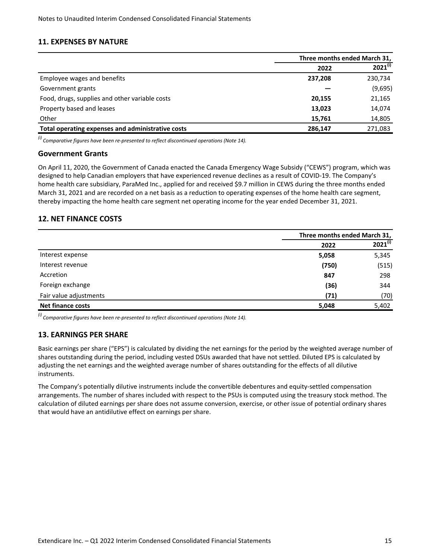### <span id="page-50-0"></span>**11. EXPENSES BY NATURE**

|                                                   | Three months ended March 31, |              |
|---------------------------------------------------|------------------------------|--------------|
|                                                   | 2022                         | $2021^{(i)}$ |
| Employee wages and benefits                       | 237,208                      | 230,734      |
| Government grants                                 |                              | (9,695)      |
| Food, drugs, supplies and other variable costs    | 20,155                       | 21,165       |
| Property based and leases                         | 13,023                       | 14,074       |
| Other                                             | 15,761                       | 14,805       |
| Total operating expenses and administrative costs | 286,147                      | 271,083      |

<sup>(i)</sup> Comparative figures have been re-presented to reflect discontinued operations (Note 14).

#### **Government Grants**

On April 11, 2020, the Government of Canada enacted the Canada Emergency Wage Subsidy ("CEWS") program, which was designed to help Canadian employers that have experienced revenue declines as a result of COVID-19. The Company's home health care subsidiary, ParaMed Inc., applied for and received \$9.7 million in CEWS during the three months ended March 31, 2021 and are recorded on a net basis as a reduction to operating expenses of the home health care segment, thereby impacting the home health care segment net operating income for the year ended December 31, 2021.

# **12. NET FINANCE COSTS**

|                          | Three months ended March 31, |              |
|--------------------------|------------------------------|--------------|
|                          | 2022                         | $2021^{(i)}$ |
| Interest expense         | 5,058                        | 5,345        |
| Interest revenue         | (750)                        | (515)        |
| Accretion                | 847                          | 298          |
| Foreign exchange         | (36)                         | 344          |
| Fair value adjustments   | (71)                         | (70)         |
| <b>Net finance costs</b> | 5,048                        | 5,402        |

<sup>(i)</sup> Comparative figures have been re-presented to reflect discontinued operations (Note 14).

# **13. EARNINGS PER SHARE**

Basic earnings per share ("EPS") is calculated by dividing the net earnings for the period by the weighted average number of shares outstanding during the period, including vested DSUs awarded that have not settled. Diluted EPS is calculated by adjusting the net earnings and the weighted average number of shares outstanding for the effects of all dilutive instruments.

The Company's potentially dilutive instruments include the convertible debentures and equity-settled compensation arrangements. The number of shares included with respect to the PSUs is computed using the treasury stock method. The calculation of diluted earnings per share does not assume conversion, exercise, or other issue of potential ordinary shares that would have an antidilutive effect on earnings per share.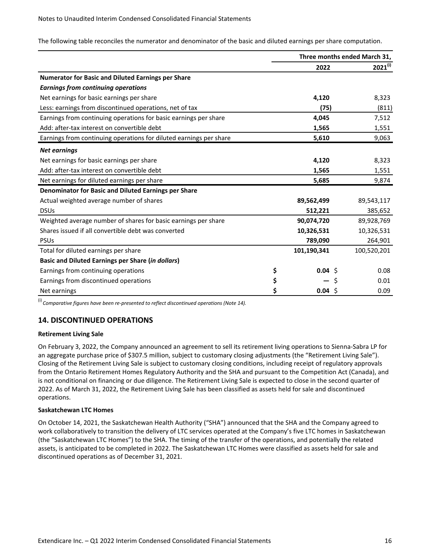<span id="page-51-0"></span>The following table reconciles the numerator and denominator of the basic and diluted earnings per share computation.

|                                                                    | Three months ended March 31, |   |              |
|--------------------------------------------------------------------|------------------------------|---|--------------|
|                                                                    | 2022                         |   | $2021^{(i)}$ |
| <b>Numerator for Basic and Diluted Earnings per Share</b>          |                              |   |              |
| <b>Earnings from continuing operations</b>                         |                              |   |              |
| Net earnings for basic earnings per share                          | 4,120                        |   | 8,323        |
| Less: earnings from discontinued operations, net of tax            | (75)                         |   | (811)        |
| Earnings from continuing operations for basic earnings per share   | 4,045                        |   | 7,512        |
| Add: after-tax interest on convertible debt                        | 1,565                        |   | 1,551        |
| Earnings from continuing operations for diluted earnings per share | 5,610                        |   | 9,063        |
| <b>Net earnings</b>                                                |                              |   |              |
| Net earnings for basic earnings per share                          | 4,120                        |   | 8,323        |
| Add: after-tax interest on convertible debt                        | 1,565                        |   | 1,551        |
| Net earnings for diluted earnings per share                        | 5,685                        |   | 9,874        |
| Denominator for Basic and Diluted Earnings per Share               |                              |   |              |
| Actual weighted average number of shares                           | 89,562,499                   |   | 89,543,117   |
| <b>DSUs</b>                                                        | 512,221                      |   | 385,652      |
| Weighted average number of shares for basic earnings per share     | 90,074,720                   |   | 89,928,769   |
| Shares issued if all convertible debt was converted                | 10,326,531                   |   | 10,326,531   |
| <b>PSU<sub>s</sub></b>                                             | 789,090                      |   | 264,901      |
| Total for diluted earnings per share                               | 101,190,341                  |   | 100,520,201  |
| <b>Basic and Diluted Earnings per Share (in dollars)</b>           |                              |   |              |
| Earnings from continuing operations                                | \$<br>$0.04$ \$              |   | 0.08         |
| Earnings from discontinued operations                              | \$                           | Ś | 0.01         |
| Net earnings                                                       | \$<br>$0.04$ \$              |   | 0.09         |

 $<sup>(i)</sup>$  Comparative figures have been re-presented to reflect discontinued operations (Note 14).</sup>

# **14. DISCONTINUED OPERATIONS**

#### **Retirement Living Sale**

On February 3, 2022, the Company announced an agreement to sell its retirement living operations to Sienna-Sabra LP for an aggregate purchase price of \$307.5 million, subject to customary closing adjustments (the "Retirement Living Sale"). Closing of the Retirement Living Sale is subject to customary closing conditions, including receipt of regulatory approvals from the Ontario Retirement Homes Regulatory Authority and the SHA and pursuant to the Competition Act (Canada), and is not conditional on financing or due diligence. The Retirement Living Sale is expected to close in the second quarter of 2022. As of March 31, 2022, the Retirement Living Sale has been classified as assets held for sale and discontinued operations.

#### **Saskatchewan LTC Homes**

On October 14, 2021, the Saskatchewan Health Authority ("SHA") announced that the SHA and the Company agreed to work collaboratively to transition the delivery of LTC services operated at the Company's five LTC homes in Saskatchewan (the "Saskatchewan LTC Homes") to the SHA. The timing of the transfer of the operations, and potentially the related assets, is anticipated to be completed in 2022. The Saskatchewan LTC Homes were classified as assets held for sale and discontinued operations as of December 31, 2021.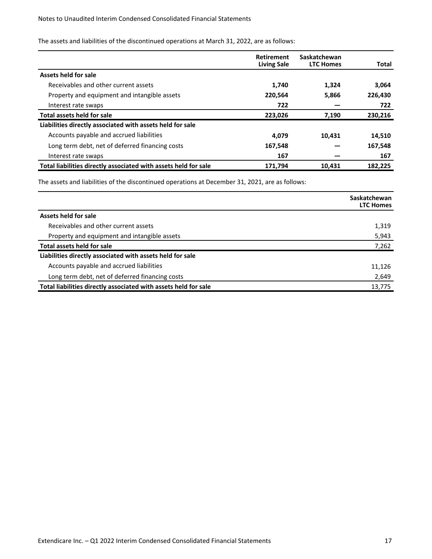The assets and liabilities of the discontinued operations at March 31, 2022, are as follows:

|                                                                 | <b>Retirement</b><br><b>Living Sale</b> | Saskatchewan<br><b>LTC Homes</b> | Total   |
|-----------------------------------------------------------------|-----------------------------------------|----------------------------------|---------|
| <b>Assets held for sale</b>                                     |                                         |                                  |         |
| Receivables and other current assets                            | 1.740                                   | 1,324                            | 3,064   |
| Property and equipment and intangible assets                    | 220,564                                 | 5,866                            | 226,430 |
| Interest rate swaps                                             | 722                                     |                                  | 722     |
| Total assets held for sale                                      | 223,026                                 | 7,190                            | 230,216 |
| Liabilities directly associated with assets held for sale       |                                         |                                  |         |
| Accounts payable and accrued liabilities                        | 4,079                                   | 10,431                           | 14,510  |
| Long term debt, net of deferred financing costs                 | 167,548                                 |                                  | 167,548 |
| Interest rate swaps                                             | 167                                     |                                  | 167     |
| Total liabilities directly associated with assets held for sale | 171.794                                 | 10.431                           | 182.225 |

The assets and liabilities of the discontinued operations at December 31, 2021, are as follows:

|                                                                 | Saskatchewan<br><b>LTC Homes</b> |
|-----------------------------------------------------------------|----------------------------------|
| Assets held for sale                                            |                                  |
| Receivables and other current assets                            | 1,319                            |
| Property and equipment and intangible assets                    | 5,943                            |
| <b>Total assets held for sale</b>                               | 7,262                            |
| Liabilities directly associated with assets held for sale       |                                  |
| Accounts payable and accrued liabilities                        | 11,126                           |
| Long term debt, net of deferred financing costs                 | 2,649                            |
| Total liabilities directly associated with assets held for sale | 13,775                           |
|                                                                 |                                  |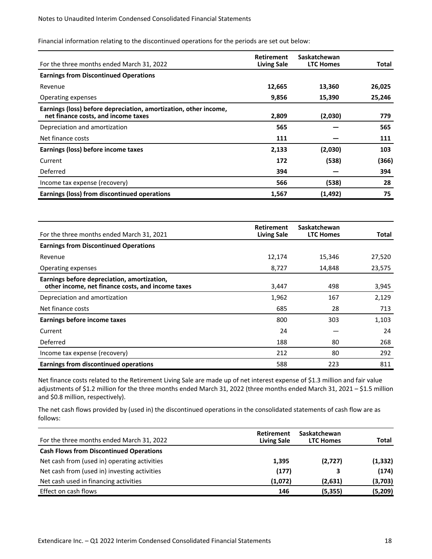Financial information relating to the discontinued operations for the periods are set out below:

| For the three months ended March 31, 2022                                                               | <b>Retirement</b><br><b>Living Sale</b> | Saskatchewan<br><b>LTC Homes</b> | Total  |
|---------------------------------------------------------------------------------------------------------|-----------------------------------------|----------------------------------|--------|
| <b>Earnings from Discontinued Operations</b>                                                            |                                         |                                  |        |
| Revenue                                                                                                 | 12,665                                  | 13,360                           | 26,025 |
| Operating expenses                                                                                      | 9,856                                   | 15,390                           | 25,246 |
| Earnings (loss) before depreciation, amortization, other income,<br>net finance costs, and income taxes | 2,809                                   | (2,030)                          | 779    |
| Depreciation and amortization                                                                           | 565                                     |                                  | 565    |
| Net finance costs                                                                                       | 111                                     |                                  | 111    |
| Earnings (loss) before income taxes                                                                     | 2,133                                   | (2,030)                          | 103    |
| Current                                                                                                 | 172                                     | (538)                            | (366)  |
| Deferred                                                                                                | 394                                     |                                  | 394    |
| Income tax expense (recovery)                                                                           | 566                                     | (538)                            | 28     |
| Earnings (loss) from discontinued operations                                                            | 1,567                                   | (1, 492)                         | 75     |

| For the three months ended March 31, 2021                                                        | <b>Retirement</b><br><b>Living Sale</b> | Saskatchewan<br><b>LTC Homes</b> | Total  |
|--------------------------------------------------------------------------------------------------|-----------------------------------------|----------------------------------|--------|
| <b>Earnings from Discontinued Operations</b>                                                     |                                         |                                  |        |
| Revenue                                                                                          | 12,174                                  | 15,346                           | 27,520 |
| Operating expenses                                                                               | 8,727                                   | 14,848                           | 23,575 |
| Earnings before depreciation, amortization,<br>other income, net finance costs, and income taxes | 3,447                                   | 498                              | 3,945  |
| Depreciation and amortization                                                                    | 1,962                                   | 167                              | 2,129  |
| Net finance costs                                                                                | 685                                     | 28                               | 713    |
| Earnings before income taxes                                                                     | 800                                     | 303                              | 1,103  |
| Current                                                                                          | 24                                      |                                  | 24     |
| Deferred                                                                                         | 188                                     | 80                               | 268    |
| Income tax expense (recovery)                                                                    | 212                                     | 80                               | 292    |
| Earnings from discontinued operations                                                            | 588                                     | 223                              | 811    |

Net finance costs related to the Retirement Living Sale are made up of net interest expense of \$1.3 million and fair value adjustments of \$1.2 million for the three months ended March 31, 2022 (three months ended March 31, 2021 - \$1.5 million and \$0.8 million, respectively).

The net cash flows provided by (used in) the discontinued operations in the consolidated statements of cash flow are as follows:

| For the three months ended March 31, 2022      | <b>Retirement</b><br><b>Living Sale</b> | Saskatchewan<br><b>LTC Homes</b> | Total    |
|------------------------------------------------|-----------------------------------------|----------------------------------|----------|
| <b>Cash Flows from Discontinued Operations</b> |                                         |                                  |          |
| Net cash from (used in) operating activities   | 1,395                                   | (2,727)                          | (1, 332) |
| Net cash from (used in) investing activities   | (177)                                   |                                  | (174)    |
| Net cash used in financing activities          | (1,072)                                 | (2,631)                          | (3,703)  |
| Effect on cash flows                           | 146                                     | (5,355)                          | (5, 209) |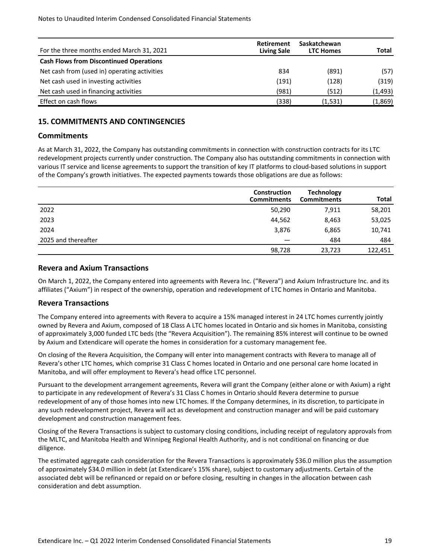<span id="page-54-0"></span>

| For the three months ended March 31, 2021      | <b>Retirement</b><br><b>Living Sale</b> | Saskatchewan<br><b>LTC Homes</b> | Total    |
|------------------------------------------------|-----------------------------------------|----------------------------------|----------|
| <b>Cash Flows from Discontinued Operations</b> |                                         |                                  |          |
| Net cash from (used in) operating activities   | 834                                     | (891)                            | (57)     |
| Net cash used in investing activities          | (191)                                   | (128)                            | (319)    |
| Net cash used in financing activities          | (981)                                   | (512)                            | (1, 493) |
| Effect on cash flows                           | (338)                                   | (1,531)                          | (1,869)  |

# **15. COMMITMENTS AND CONTINGENCIES**

#### **Commitments**

As at March 31, 2022, the Company has outstanding commitments in connection with construction contracts for its LTC redevelopment projects currently under construction. The Company also has outstanding commitments in connection with various IT service and license agreements to support the transition of key IT platforms to cloud-based solutions in support of the Company's growth initiatives. The expected payments towards those obligations are due as follows:

|                     | Construction<br><b>Commitments</b> | <b>Technology</b><br><b>Commitments</b> | <b>Total</b> |
|---------------------|------------------------------------|-----------------------------------------|--------------|
| 2022                | 50,290                             | 7,911                                   | 58,201       |
| 2023                | 44,562                             | 8,463                                   | 53,025       |
| 2024                | 3,876                              | 6,865                                   | 10,741       |
| 2025 and thereafter |                                    | 484                                     | 484          |
|                     | 98,728                             | 23,723                                  | 122,451      |

#### **Revera and Axium Transactions**

On March 1, 2022, the Company entered into agreements with Revera Inc. ("Revera") and Axium Infrastructure Inc. and its affiliates ("Axium") in respect of the ownership, operation and redevelopment of LTC homes in Ontario and Manitoba.

#### **Revera Transactions**

The Company entered into agreements with Revera to acquire a 15% managed interest in 24 LTC homes currently jointly owned by Revera and Axium, composed of 18 Class A LTC homes located in Ontario and six homes in Manitoba, consisting of approximately 3,000 funded LTC beds (the "Revera Acquisition"). The remaining 85% interest will continue to be owned by Axium and Extendicare will operate the homes in consideration for a customary management fee.

On closing of the Revera Acquisition, the Company will enter into management contracts with Revera to manage all of Revera's other LTC homes, which comprise 31 Class C homes located in Ontario and one personal care home located in Manitoba, and will offer employment to Revera's head office LTC personnel.

Pursuant to the development arrangement agreements, Revera will grant the Company (either alone or with Axium) a right to participate in any redevelopment of Revera's 31 Class C homes in Ontario should Revera determine to pursue redevelopment of any of those homes into new LTC homes. If the Company determines, in its discretion, to participate in any such redevelopment project, Revera will act as development and construction manager and will be paid customary development and construction management fees.

Closing of the Revera Transactions is subject to customary closing conditions, including receipt of regulatory approvals from the MLTC, and Manitoba Health and Winnipeg Regional Health Authority, and is not conditional on financing or due diligence. 

The estimated aggregate cash consideration for the Revera Transactions is approximately \$36.0 million plus the assumption of approximately \$34.0 million in debt (at Extendicare's 15% share), subject to customary adjustments. Certain of the associated debt will be refinanced or repaid on or before closing, resulting in changes in the allocation between cash consideration and debt assumption.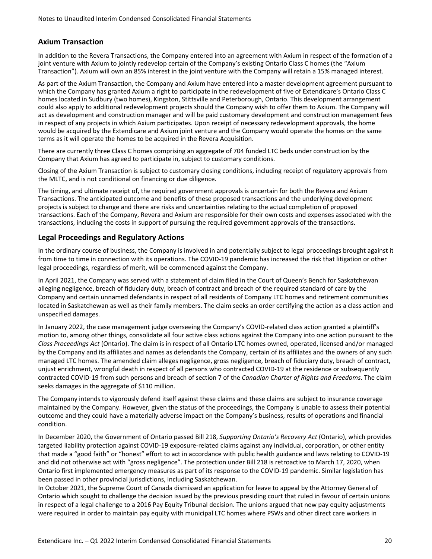# **Axium Transaction**

In addition to the Revera Transactions, the Company entered into an agreement with Axium in respect of the formation of a joint venture with Axium to jointly redevelop certain of the Company's existing Ontario Class C homes (the "Axium Transaction"). Axium will own an 85% interest in the joint venture with the Company will retain a 15% managed interest.

As part of the Axium Transaction, the Company and Axium have entered into a master development agreement pursuant to which the Company has granted Axium a right to participate in the redevelopment of five of Extendicare's Ontario Class C homes located in Sudbury (two homes), Kingston, Stittsville and Peterborough, Ontario. This development arrangement could also apply to additional redevelopment projects should the Company wish to offer them to Axium. The Company will act as development and construction manager and will be paid customary development and construction management fees in respect of any projects in which Axium participates. Upon receipt of necessary redevelopment approvals, the home would be acquired by the Extendicare and Axium joint venture and the Company would operate the homes on the same terms as it will operate the homes to be acquired in the Revera Acquisition.

There are currently three Class C homes comprising an aggregate of 704 funded LTC beds under construction by the Company that Axium has agreed to participate in, subject to customary conditions.

Closing of the Axium Transaction is subject to customary closing conditions, including receipt of regulatory approvals from the MLTC, and is not conditional on financing or due diligence.

The timing, and ultimate receipt of, the required government approvals is uncertain for both the Revera and Axium Transactions. The anticipated outcome and benefits of these proposed transactions and the underlying development projects is subject to change and there are risks and uncertainties relating to the actual completion of proposed transactions. Each of the Company, Revera and Axium are responsible for their own costs and expenses associated with the transactions, including the costs in support of pursuing the required government approvals of the transactions.

# Legal Proceedings and Regulatory Actions

In the ordinary course of business, the Company is involved in and potentially subject to legal proceedings brought against it from time to time in connection with its operations. The COVID-19 pandemic has increased the risk that litigation or other legal proceedings, regardless of merit, will be commenced against the Company.

In April 2021, the Company was served with a statement of claim filed in the Court of Queen's Bench for Saskatchewan alleging negligence, breach of fiduciary duty, breach of contract and breach of the required standard of care by the Company and certain unnamed defendants in respect of all residents of Company LTC homes and retirement communities located in Saskatchewan as well as their family members. The claim seeks an order certifying the action as a class action and unspecified damages.

In January 2022, the case management judge overseeing the Company's COVID-related class action granted a plaintiff's motion to, among other things, consolidate all four active class actions against the Company into one action pursuant to the *Class Proceedings Act* (Ontario). The claim is in respect of all Ontario LTC homes owned, operated, licensed and/or managed by the Company and its affiliates and names as defendants the Company, certain of its affiliates and the owners of any such managed LTC homes. The amended claim alleges negligence, gross negligence, breach of fiduciary duty, breach of contract, unjust enrichment, wrongful death in respect of all persons who contracted COVID-19 at the residence or subsequently contracted COVID-19 from such persons and breach of section 7 of the *Canadian Charter of Rights and Freedoms*. The claim seeks damages in the aggregate of \$110 million.

The Company intends to vigorously defend itself against these claims and these claims are subject to insurance coverage maintained by the Company. However, given the status of the proceedings, the Company is unable to assess their potential outcome and they could have a materially adverse impact on the Company's business, results of operations and financial condition.

In December 2020, the Government of Ontario passed Bill 218, *Supporting Ontario's Recovery Act* (Ontario), which provides targeted liability protection against COVID-19 exposure-related claims against any individual, corporation, or other entity that made a "good faith" or "honest" effort to act in accordance with public health guidance and laws relating to COVID-19 and did not otherwise act with "gross negligence". The protection under Bill 218 is retroactive to March 17, 2020, when Ontario first implemented emergency measures as part of its response to the COVID-19 pandemic. Similar legislation has been passed in other provincial jurisdictions, including Saskatchewan.

In October 2021, the Supreme Court of Canada dismissed an application for leave to appeal by the Attorney General of Ontario which sought to challenge the decision issued by the previous presiding court that ruled in favour of certain unions in respect of a legal challenge to a 2016 Pay Equity Tribunal decision. The unions argued that new pay equity adjustments were required in order to maintain pay equity with municipal LTC homes where PSWs and other direct care workers in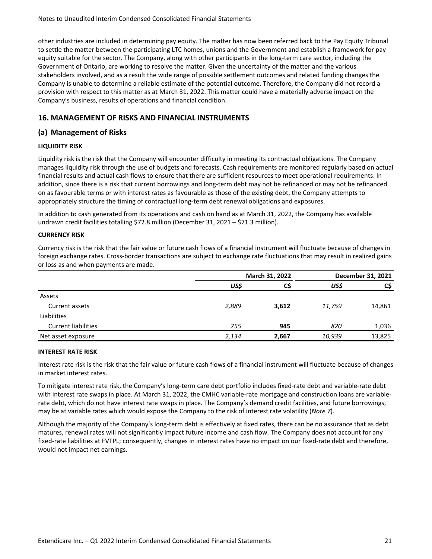<span id="page-56-0"></span>other industries are included in determining pay equity. The matter has now been referred back to the Pay Equity Tribunal to settle the matter between the participating LTC homes, unions and the Government and establish a framework for pay equity suitable for the sector. The Company, along with other participants in the long-term care sector, including the Government of Ontario, are working to resolve the matter. Given the uncertainty of the matter and the various stakeholders involved, and as a result the wide range of possible settlement outcomes and related funding changes the Company is unable to determine a reliable estimate of the potential outcome. Therefore, the Company did not record a provision with respect to this matter as at March 31, 2022. This matter could have a materially adverse impact on the Company's business, results of operations and financial condition.

# **16. MANAGEMENT OF RISKS AND FINANCIAL INSTRUMENTS**

# **(a) Management of Risks**

#### **LIQUIDITY RISK**

Liquidity risk is the risk that the Company will encounter difficulty in meeting its contractual obligations. The Company manages liquidity risk through the use of budgets and forecasts. Cash requirements are monitored regularly based on actual financial results and actual cash flows to ensure that there are sufficient resources to meet operational requirements. In addition, since there is a risk that current borrowings and long-term debt may not be refinanced or may not be refinanced on as favourable terms or with interest rates as favourable as those of the existing debt, the Company attempts to appropriately structure the timing of contractual long-term debt renewal obligations and exposures.

In addition to cash generated from its operations and cash on hand as at March 31, 2022, the Company has available undrawn credit facilities totalling \$72.8 million (December 31, 2021 – \$71.3 million).

#### **CURRENCY RISK**

Currency risk is the risk that the fair value or future cash flows of a financial instrument will fluctuate because of changes in foreign exchange rates. Cross-border transactions are subject to exchange rate fluctuations that may result in realized gains or loss as and when payments are made.

|                            |       | March 31, 2022 |        | December 31, 2021 |
|----------------------------|-------|----------------|--------|-------------------|
|                            | US\$  | C\$            | US\$   | C\$               |
| Assets                     |       |                |        |                   |
| Current assets             | 2,889 | 3,612          | 11,759 | 14,861            |
| Liabilities                |       |                |        |                   |
| <b>Current liabilities</b> | 755   | 945            | 820    | 1,036             |
| Net asset exposure         | 2,134 | 2,667          | 10,939 | 13,825            |

#### **INTEREST RATE RISK**

Interest rate risk is the risk that the fair value or future cash flows of a financial instrument will fluctuate because of changes in market interest rates.

To mitigate interest rate risk, the Company's long-term care debt portfolio includes fixed-rate debt and variable-rate debt with interest rate swaps in place. At March 31, 2022, the CMHC variable-rate mortgage and construction loans are variablerate debt, which do not have interest rate swaps in place. The Company's demand credit facilities, and future borrowings, may be at variable rates which would expose the Company to the risk of interest rate volatility (Note 7).

Although the majority of the Company's long-term debt is effectively at fixed rates, there can be no assurance that as debt matures, renewal rates will not significantly impact future income and cash flow. The Company does not account for any fixed-rate liabilities at FVTPL; consequently, changes in interest rates have no impact on our fixed-rate debt and therefore, would not impact net earnings.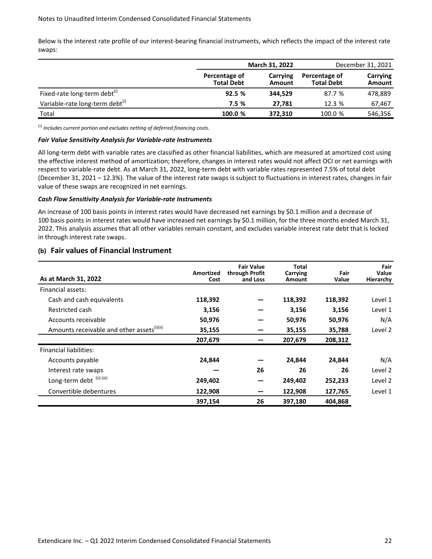Below is the interest rate profile of our interest-bearing financial instruments, which reflects the impact of the interest rate swaps:

|                                             |                                    | March 31, 2022     |                                    | December 31, 2021  |
|---------------------------------------------|------------------------------------|--------------------|------------------------------------|--------------------|
|                                             | Percentage of<br><b>Total Debt</b> | Carrying<br>Amount | Percentage of<br><b>Total Debt</b> | Carrying<br>Amount |
| Fixed-rate long-term debt <sup>(1)</sup>    | 92.5%                              | 344.529            | 87.7 %                             | 478,889            |
| Variable-rate long-term debt <sup>(i)</sup> | 7.5%                               | 27.781             | 12.3 %                             | 67.467             |
| Total                                       | 100.0 %                            | 372,310            | 100.0 %                            | 546,356            |

 $<sup>(1)</sup>$  *Includes current portion and excludes netting of deferred financing costs.*</sup>

#### Fair Value Sensitivity Analysis for Variable-rate Instruments

All long-term debt with variable rates are classified as other financial liabilities, which are measured at amortized cost using the effective interest method of amortization; therefore, changes in interest rates would not affect OCI or net earnings with respect to variable-rate debt. As at March 31, 2022, long-term debt with variable rates represented 7.5% of total debt (December 31, 2021 – 12.3%). The value of the interest rate swaps is subject to fluctuations in interest rates, changes in fair value of these swaps are recognized in net earnings.

#### *Cash Flow Sensitivity Analysis for Variable-rate Instruments*

An increase of 100 basis points in interest rates would have decreased net earnings by \$0.1 million and a decrease of 100 basis points in interest rates would have increased net earnings by \$0.1 million, for the three months ended March 31, 2022. This analysis assumes that all other variables remain constant, and excludes variable interest rate debt that is locked in through interest rate swaps.

#### **(b) Fair values of Financial Instrument**

| As at March 31, 2022                                   | Amortized<br>Cost | <b>Fair Value</b><br>through Profit<br>and Loss | Total<br>Carrying<br>Amount | Fair<br>Value | Fair<br>Value<br>Hierarchy |
|--------------------------------------------------------|-------------------|-------------------------------------------------|-----------------------------|---------------|----------------------------|
| Financial assets:                                      |                   |                                                 |                             |               |                            |
| Cash and cash equivalents                              | 118,392           |                                                 | 118,392                     | 118,392       | Level 1                    |
| Restricted cash                                        | 3,156             |                                                 | 3,156                       | 3,156         | Level 1                    |
| Accounts receivable                                    | 50,976            |                                                 | 50,976                      | 50,976        | N/A                        |
| Amounts receivable and other assets <sup>(i)(ii)</sup> | 35,155            |                                                 | 35,155                      | 35,788        | Level 2                    |
|                                                        | 207,679           |                                                 | 207,679                     | 208,312       |                            |
| Financial liabilities:                                 |                   |                                                 |                             |               |                            |
| Accounts payable                                       | 24,844            |                                                 | 24,844                      | 24,844        | N/A                        |
| Interest rate swaps                                    |                   | 26                                              | 26                          | 26            | Level 2                    |
| Long-term debt (ii) (iii)                              | 249,402           |                                                 | 249,402                     | 252,233       | Level 2                    |
| Convertible debentures                                 | 122,908           |                                                 | 122,908                     | 127,765       | Level 1                    |
|                                                        | 397,154           | 26                                              | 397,180                     | 404.868       |                            |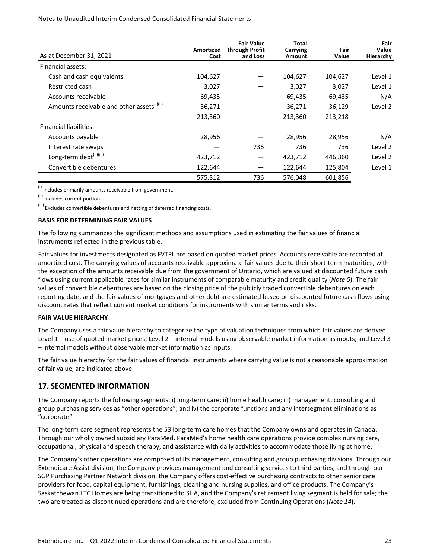#### <span id="page-58-0"></span>Notes to Unaudited Interim Condensed Consolidated Financial Statements

| As at December 31, 2021                                | Amortized<br>Cost | <b>Fair Value</b><br>through Profit<br>and Loss | Total<br>Carrying<br>Amount | Fair<br>Value | Fair<br>Value<br>Hierarchy |
|--------------------------------------------------------|-------------------|-------------------------------------------------|-----------------------------|---------------|----------------------------|
| Financial assets:                                      |                   |                                                 |                             |               |                            |
| Cash and cash equivalents                              | 104,627           |                                                 | 104,627                     | 104,627       | Level 1                    |
| Restricted cash                                        | 3,027             |                                                 | 3,027                       | 3,027         | Level 1                    |
| Accounts receivable                                    | 69,435            |                                                 | 69,435                      | 69,435        | N/A                        |
| Amounts receivable and other assets <sup>(i)(ii)</sup> | 36,271            |                                                 | 36,271                      | 36,129        | Level 2                    |
|                                                        | 213,360           |                                                 | 213,360                     | 213,218       |                            |
| <b>Financial liabilities:</b>                          |                   |                                                 |                             |               |                            |
| Accounts payable                                       | 28,956            |                                                 | 28,956                      | 28,956        | N/A                        |
| Interest rate swaps                                    |                   | 736                                             | 736                         | 736           | Level 2                    |
| Long-term debt <sup>(ii)(iii)</sup>                    | 423,712           |                                                 | 423,712                     | 446,360       | Level 2                    |
| Convertible debentures                                 | 122,644           |                                                 | 122,644                     | 125,804       | Level 1                    |
|                                                        | 575,312           | 736                                             | 576,048                     | 601,856       |                            |

 $(i)$  Includes primarily amounts receivable from government.

(ii) Includes current portion.

 $^{(iii)}$  Excludes convertible debentures and netting of deferred financing costs.

#### **BASIS FOR DETERMINING FAIR VALUES**

The following summarizes the significant methods and assumptions used in estimating the fair values of financial instruments reflected in the previous table.

Fair values for investments designated as FVTPL are based on quoted market prices. Accounts receivable are recorded at amortized cost. The carrying values of accounts receivable approximate fair values due to their short-term maturities, with the exception of the amounts receivable due from the government of Ontario, which are valued at discounted future cash flows using current applicable rates for similar instruments of comparable maturity and credit quality (Note 5). The fair values of convertible debentures are based on the closing price of the publicly traded convertible debentures on each reporting date, and the fair values of mortgages and other debt are estimated based on discounted future cash flows using discount rates that reflect current market conditions for instruments with similar terms and risks.

#### **FAIR VALUE HIERARCHY**

The Company uses a fair value hierarchy to categorize the type of valuation techniques from which fair values are derived: Level  $1$  – use of quoted market prices; Level  $2$  – internal models using observable market information as inputs; and Level 3  $-$  internal models without observable market information as inputs.

The fair value hierarchy for the fair values of financial instruments where carrying value is not a reasonable approximation of fair value, are indicated above.

#### **17. SEGMENTED INFORMATION**

The Company reports the following segments: i) long-term care; ii) home health care; iii) management, consulting and group purchasing services as "other operations"; and iv) the corporate functions and any intersegment eliminations as "corporate".

The long-term care segment represents the 53 long-term care homes that the Company owns and operates in Canada. Through our wholly owned subsidiary ParaMed, ParaMed's home health care operations provide complex nursing care, occupational, physical and speech therapy, and assistance with daily activities to accommodate those living at home.

The Company's other operations are composed of its management, consulting and group purchasing divisions. Through our Extendicare Assist division, the Company provides management and consulting services to third parties; and through our SGP Purchasing Partner Network division, the Company offers cost-effective purchasing contracts to other senior care providers for food, capital equipment, furnishings, cleaning and nursing supplies, and office products. The Company's Saskatchewan LTC Homes are being transitioned to SHA, and the Company's retirement living segment is held for sale; the two are treated as discontinued operations and are therefore, excluded from Continuing Operations (Note 14).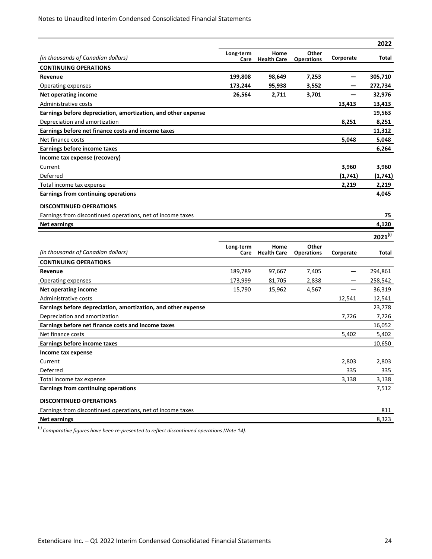|                                                               |                   |                            |                            |           | 2022         |
|---------------------------------------------------------------|-------------------|----------------------------|----------------------------|-----------|--------------|
| (in thousands of Canadian dollars)                            | Long-term         | Home                       | Other                      | Corporate | Total        |
| <b>CONTINUING OPERATIONS</b>                                  | Care              | <b>Health Care</b>         | <b>Operations</b>          |           |              |
| Revenue                                                       | 199,808           | 98,649                     | 7,253                      |           | 305,710      |
| Operating expenses                                            | 173,244           | 95,938                     | 3,552                      |           | 272,734      |
| Net operating income                                          | 26,564            | 2,711                      | 3,701                      |           | 32,976       |
| Administrative costs                                          |                   |                            |                            | 13,413    | 13,413       |
| Earnings before depreciation, amortization, and other expense |                   |                            |                            |           | 19,563       |
| Depreciation and amortization                                 |                   |                            |                            | 8,251     | 8,251        |
| Earnings before net finance costs and income taxes            |                   |                            |                            |           | 11,312       |
| Net finance costs                                             |                   |                            |                            | 5,048     | 5,048        |
| <b>Earnings before income taxes</b>                           |                   |                            |                            |           | 6,264        |
| Income tax expense (recovery)                                 |                   |                            |                            |           |              |
| Current                                                       |                   |                            |                            | 3,960     | 3,960        |
| Deferred                                                      |                   |                            |                            | (1, 741)  | (1,741)      |
| Total income tax expense                                      |                   |                            |                            | 2,219     | 2,219        |
| Earnings from continuing operations                           |                   |                            |                            |           | 4,045        |
| <b>DISCONTINUED OPERATIONS</b>                                |                   |                            |                            |           |              |
| Earnings from discontinued operations, net of income taxes    |                   |                            |                            |           | 75           |
| <b>Net earnings</b>                                           |                   |                            |                            |           | 4,120        |
|                                                               |                   |                            |                            |           |              |
|                                                               |                   |                            |                            |           |              |
|                                                               |                   |                            |                            |           | $2021^{(i)}$ |
| (in thousands of Canadian dollars)                            | Long-term<br>Care | Home<br><b>Health Care</b> | Other<br><b>Operations</b> | Corporate | Total        |
| <b>CONTINUING OPERATIONS</b>                                  |                   |                            |                            |           |              |
| Revenue                                                       | 189,789           | 97,667                     | 7,405                      |           | 294,861      |
| Operating expenses                                            | 173,999           | 81,705                     | 2,838                      |           | 258,542      |
| Net operating income                                          | 15,790            | 15,962                     | 4,567                      |           | 36,319       |
| Administrative costs                                          |                   |                            |                            | 12,541    | 12,541       |
| Earnings before depreciation, amortization, and other expense |                   |                            |                            |           | 23,778       |
| Depreciation and amortization                                 |                   |                            |                            | 7,726     | 7,726        |
| Earnings before net finance costs and income taxes            |                   |                            |                            |           | 16,052       |
| Net finance costs                                             |                   |                            |                            | 5,402     | 5,402        |
| Earnings before income taxes                                  |                   |                            |                            |           | 10,650       |
| Income tax expense                                            |                   |                            |                            |           |              |
| Current                                                       |                   |                            |                            | 2,803     | 2,803        |
| Deferred                                                      |                   |                            |                            | 335       | 335          |
| Total income tax expense                                      |                   |                            |                            | 3,138     | 3,138        |
| Earnings from continuing operations                           |                   |                            |                            |           | 7,512        |
| <b>DISCONTINUED OPERATIONS</b>                                |                   |                            |                            |           |              |
| Earnings from discontinued operations, net of income taxes    |                   |                            |                            |           | 811          |

 $\frac{1}{(1)}$  *Comparative figures have been re-presented to reflect discontinued operations (Note 14).*